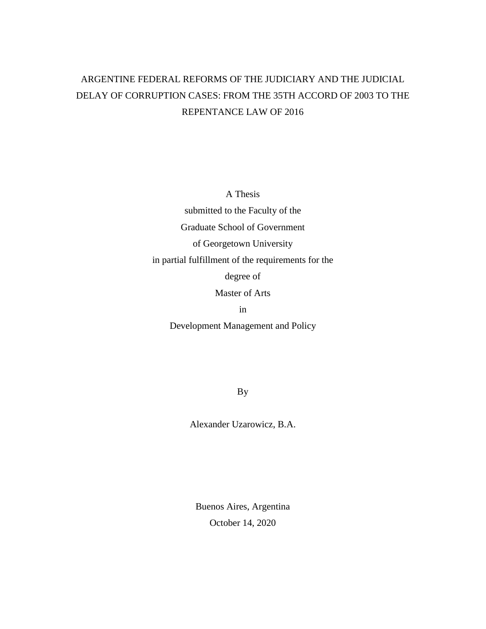# ARGENTINE FEDERAL REFORMS OF THE JUDICIARY AND THE JUDICIAL DELAY OF CORRUPTION CASES: FROM THE 35TH ACCORD OF 2003 TO THE REPENTANCE LAW OF 2016

A Thesis

submitted to the Faculty of the Graduate School of Government

of Georgetown University

in partial fulfillment of the requirements for the

degree of

Master of Arts

in

Development Management and Policy

By

Alexander Uzarowicz, B.A.

Buenos Aires, Argentina October 14, 2020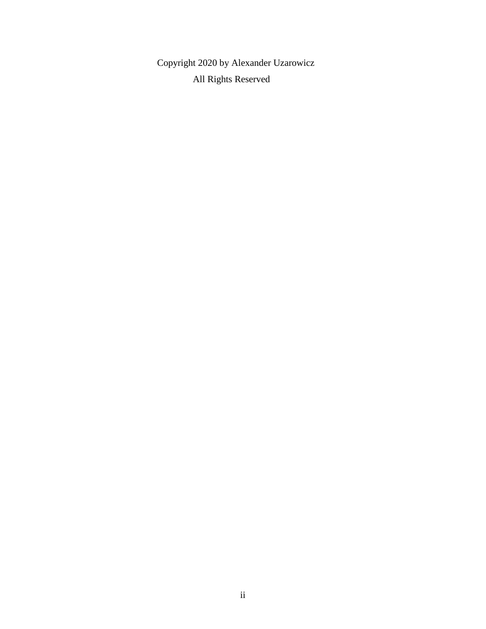Copyright 2020 by Alexander Uzarowicz All Rights Reserved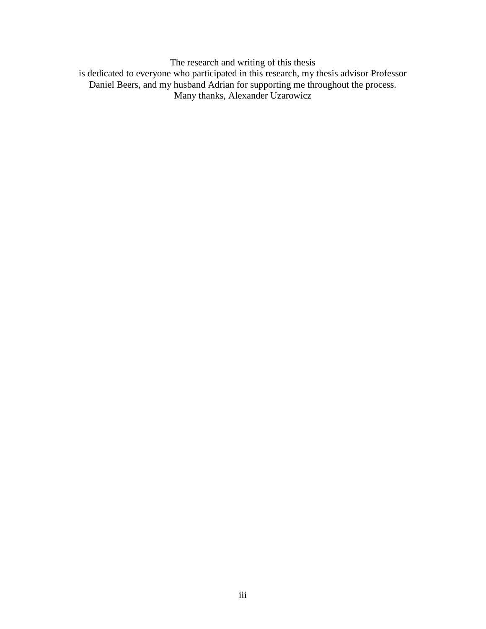The research and writing of this thesis is dedicated to everyone who participated in this research, my thesis advisor Professor Daniel Beers, and my husband Adrian for supporting me throughout the process. Many thanks, Alexander Uzarowicz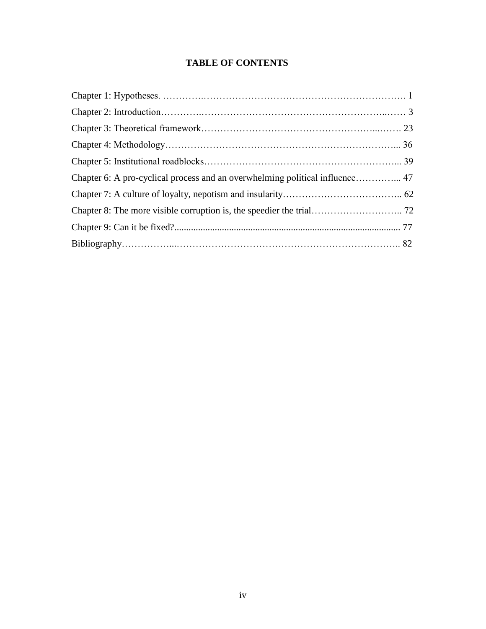# **TABLE OF CONTENTS**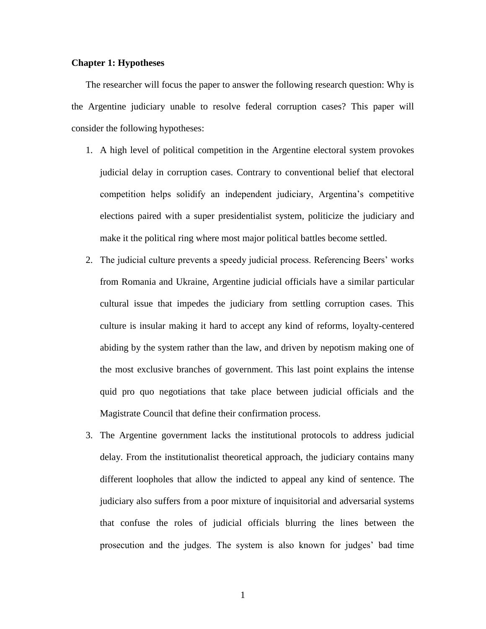## **Chapter 1: Hypotheses**

The researcher will focus the paper to answer the following research question: Why is the Argentine judiciary unable to resolve federal corruption cases? This paper will consider the following hypotheses:

- 1. A high level of political competition in the Argentine electoral system provokes judicial delay in corruption cases. Contrary to conventional belief that electoral competition helps solidify an independent judiciary, Argentina's competitive elections paired with a super presidentialist system, politicize the judiciary and make it the political ring where most major political battles become settled.
- 2. The judicial culture prevents a speedy judicial process. Referencing Beers' works from Romania and Ukraine, Argentine judicial officials have a similar particular cultural issue that impedes the judiciary from settling corruption cases. This culture is insular making it hard to accept any kind of reforms, loyalty-centered abiding by the system rather than the law, and driven by nepotism making one of the most exclusive branches of government. This last point explains the intense quid pro quo negotiations that take place between judicial officials and the Magistrate Council that define their confirmation process.
- 3. The Argentine government lacks the institutional protocols to address judicial delay. From the institutionalist theoretical approach, the judiciary contains many different loopholes that allow the indicted to appeal any kind of sentence. The judiciary also suffers from a poor mixture of inquisitorial and adversarial systems that confuse the roles of judicial officials blurring the lines between the prosecution and the judges. The system is also known for judges' bad time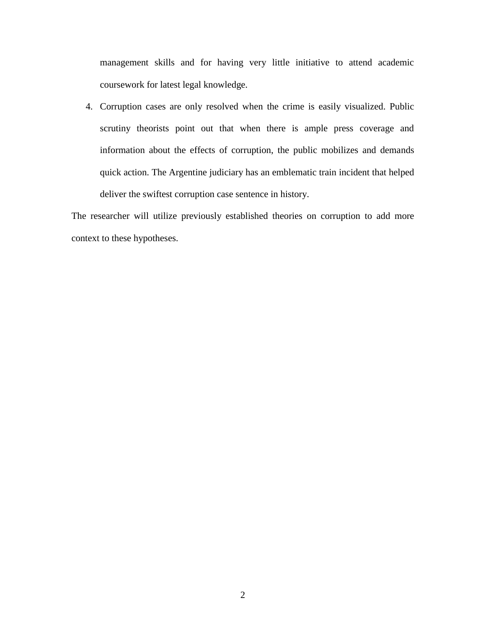management skills and for having very little initiative to attend academic coursework for latest legal knowledge.

4. Corruption cases are only resolved when the crime is easily visualized. Public scrutiny theorists point out that when there is ample press coverage and information about the effects of corruption, the public mobilizes and demands quick action. The Argentine judiciary has an emblematic train incident that helped deliver the swiftest corruption case sentence in history.

The researcher will utilize previously established theories on corruption to add more context to these hypotheses.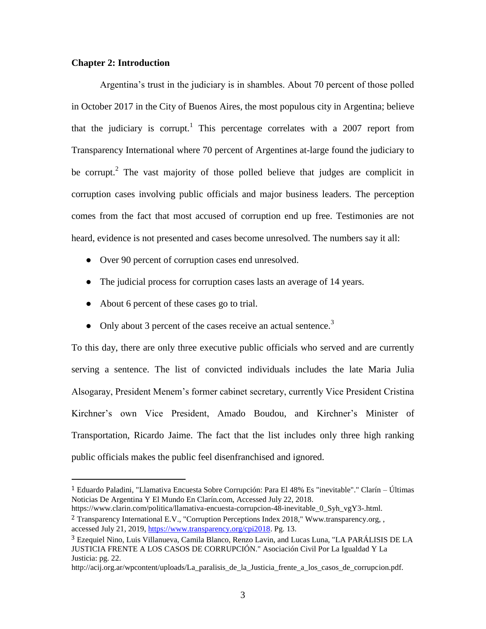#### **Chapter 2: Introduction**

 $\overline{a}$ 

Argentina's trust in the judiciary is in shambles. About 70 percent of those polled in October 2017 in the City of Buenos Aires, the most populous city in Argentina; believe that the judiciary is corrupt.<sup>1</sup> This percentage correlates with a 2007 report from Transparency International where 70 percent of Argentines at-large found the judiciary to be corrupt.<sup>2</sup> The vast majority of those polled believe that judges are complicit in corruption cases involving public officials and major business leaders. The perception comes from the fact that most accused of corruption end up free. Testimonies are not heard, evidence is not presented and cases become unresolved. The numbers say it all:

- Over 90 percent of corruption cases end unresolved.
- The judicial process for corruption cases lasts an average of 14 years.
- About 6 percent of these cases go to trial.
- Only about 3 percent of the cases receive an actual sentence.<sup>3</sup>

To this day, there are only three executive public officials who served and are currently serving a sentence. The list of convicted individuals includes the late Maria Julia Alsogaray, President Menem's former cabinet secretary, currently Vice President Cristina Kirchner's own Vice President, Amado Boudou, and Kirchner's Minister of Transportation, Ricardo Jaime. The fact that the list includes only three high ranking public officials makes the public feel disenfranchised and ignored.

<sup>1</sup> Eduardo Paladini, "Llamativa Encuesta Sobre Corrupción: Para El 48% Es "inevitable"." Clarín – Últimas Noticias De Argentina Y El Mundo En Clarín.com, Accessed July 22, 2018.

https://www.clarin.com/politica/llamativa-encuesta-corrupcion-48-inevitable\_0\_Syh\_vgY3-.html.

<sup>&</sup>lt;sup>2</sup> Transparency International E.V., "Corruption Perceptions Index 2018," Www.transparency.org, , accessed July 21, 2019[, https://www.transparency.org/cpi2018.](https://www.transparency.org/cpi2018) Pg. 13.

<sup>3</sup> Ezequiel Nino, Luis Villanueva, Camila Blanco, Renzo Lavin, and Lucas Luna, "LA PARÁLISIS DE LA JUSTICIA FRENTE A LOS CASOS DE CORRUPCIÓN." Asociación Civil Por La Igualdad Y La Justicia: pg. 22.

http://acij.org.ar/wpcontent/uploads/La\_paralisis\_de\_la\_Justicia\_frente\_a\_los\_casos\_de\_corrupcion.pdf.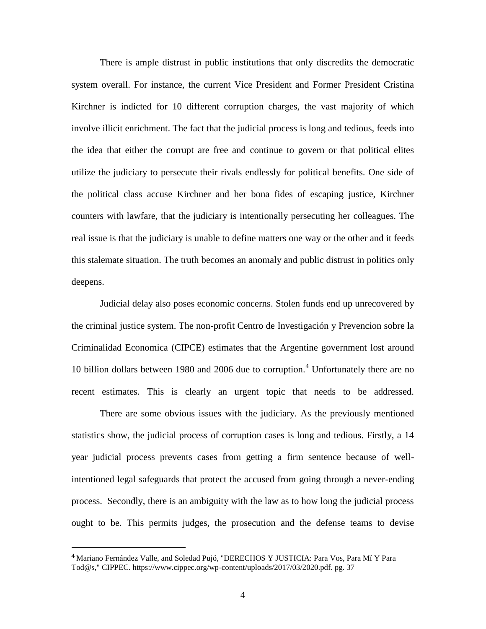There is ample distrust in public institutions that only discredits the democratic system overall. For instance, the current Vice President and Former President Cristina Kirchner is indicted for 10 different corruption charges, the vast majority of which involve illicit enrichment. The fact that the judicial process is long and tedious, feeds into the idea that either the corrupt are free and continue to govern or that political elites utilize the judiciary to persecute their rivals endlessly for political benefits. One side of the political class accuse Kirchner and her bona fides of escaping justice, Kirchner counters with lawfare, that the judiciary is intentionally persecuting her colleagues. The real issue is that the judiciary is unable to define matters one way or the other and it feeds this stalemate situation. The truth becomes an anomaly and public distrust in politics only deepens.

Judicial delay also poses economic concerns. Stolen funds end up unrecovered by the criminal justice system. The non-profit Centro de Investigación y Prevencion sobre la Criminalidad Economica (CIPCE) estimates that the Argentine government lost around 10 billion dollars between 1980 and 2006 due to corruption.<sup>4</sup> Unfortunately there are no recent estimates. This is clearly an urgent topic that needs to be addressed.

There are some obvious issues with the judiciary. As the previously mentioned statistics show, the judicial process of corruption cases is long and tedious. Firstly, a 14 year judicial process prevents cases from getting a firm sentence because of wellintentioned legal safeguards that protect the accused from going through a never-ending process. Secondly, there is an ambiguity with the law as to how long the judicial process ought to be. This permits judges, the prosecution and the defense teams to devise

<sup>4</sup> Mariano Fernández Valle, and Soledad Pujó, "DERECHOS Y JUSTICIA: Para Vos, Para Mí Y Para Tod@s," CIPPEC. https://www.cippec.org/wp-content/uploads/2017/03/2020.pdf. pg. 37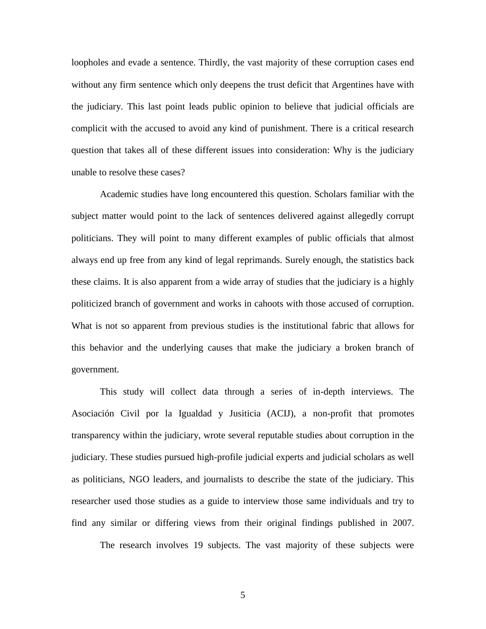loopholes and evade a sentence. Thirdly, the vast majority of these corruption cases end without any firm sentence which only deepens the trust deficit that Argentines have with the judiciary. This last point leads public opinion to believe that judicial officials are complicit with the accused to avoid any kind of punishment. There is a critical research question that takes all of these different issues into consideration: Why is the judiciary unable to resolve these cases?

Academic studies have long encountered this question. Scholars familiar with the subject matter would point to the lack of sentences delivered against allegedly corrupt politicians. They will point to many different examples of public officials that almost always end up free from any kind of legal reprimands. Surely enough, the statistics back these claims. It is also apparent from a wide array of studies that the judiciary is a highly politicized branch of government and works in cahoots with those accused of corruption. What is not so apparent from previous studies is the institutional fabric that allows for this behavior and the underlying causes that make the judiciary a broken branch of government.

This study will collect data through a series of in-depth interviews. The Asociación Civil por la Igualdad y Jusiticia (ACIJ), a non-profit that promotes transparency within the judiciary, wrote several reputable studies about corruption in the judiciary. These studies pursued high-profile judicial experts and judicial scholars as well as politicians, NGO leaders, and journalists to describe the state of the judiciary. This researcher used those studies as a guide to interview those same individuals and try to find any similar or differing views from their original findings published in 2007.

The research involves 19 subjects. The vast majority of these subjects were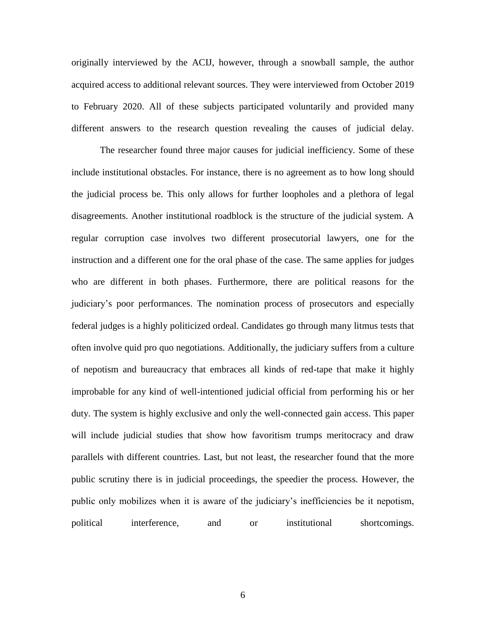originally interviewed by the ACIJ, however, through a snowball sample, the author acquired access to additional relevant sources. They were interviewed from October 2019 to February 2020. All of these subjects participated voluntarily and provided many different answers to the research question revealing the causes of judicial delay.

The researcher found three major causes for judicial inefficiency. Some of these include institutional obstacles. For instance, there is no agreement as to how long should the judicial process be. This only allows for further loopholes and a plethora of legal disagreements. Another institutional roadblock is the structure of the judicial system. A regular corruption case involves two different prosecutorial lawyers, one for the instruction and a different one for the oral phase of the case. The same applies for judges who are different in both phases. Furthermore, there are political reasons for the judiciary's poor performances. The nomination process of prosecutors and especially federal judges is a highly politicized ordeal. Candidates go through many litmus tests that often involve quid pro quo negotiations. Additionally, the judiciary suffers from a culture of nepotism and bureaucracy that embraces all kinds of red-tape that make it highly improbable for any kind of well-intentioned judicial official from performing his or her duty. The system is highly exclusive and only the well-connected gain access. This paper will include judicial studies that show how favoritism trumps meritocracy and draw parallels with different countries. Last, but not least, the researcher found that the more public scrutiny there is in judicial proceedings, the speedier the process. However, the public only mobilizes when it is aware of the judiciary's inefficiencies be it nepotism, political interference, and or institutional shortcomings.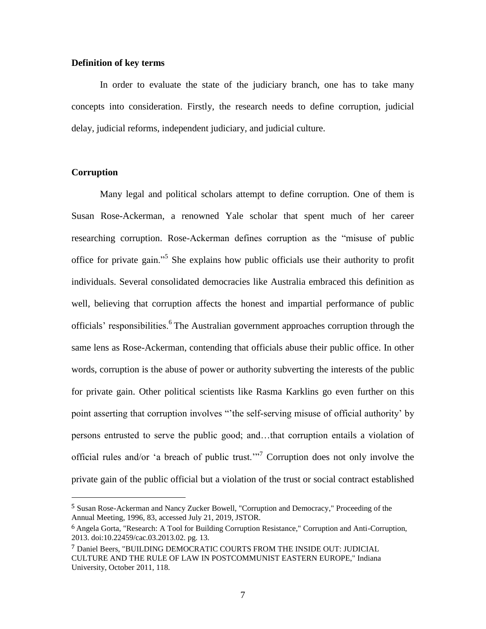#### **Definition of key terms**

In order to evaluate the state of the judiciary branch, one has to take many concepts into consideration. Firstly, the research needs to define corruption, judicial delay, judicial reforms, independent judiciary, and judicial culture.

### **Corruption**

 $\overline{a}$ 

Many legal and political scholars attempt to define corruption. One of them is Susan Rose-Ackerman, a renowned Yale scholar that spent much of her career researching corruption. Rose-Ackerman defines corruption as the "misuse of public office for private gain."<sup>5</sup> She explains how public officials use their authority to profit individuals. Several consolidated democracies like Australia embraced this definition as well, believing that corruption affects the honest and impartial performance of public officials' responsibilities.<sup>6</sup> The Australian government approaches corruption through the same lens as Rose-Ackerman, contending that officials abuse their public office. In other words, corruption is the abuse of power or authority subverting the interests of the public for private gain. Other political scientists like Rasma Karklins go even further on this point asserting that corruption involves "'the self-serving misuse of official authority' by persons entrusted to serve the public good; and…that corruption entails a violation of official rules and/or 'a breach of public trust.'"<sup>7</sup> Corruption does not only involve the private gain of the public official but a violation of the trust or social contract established

<sup>5</sup> Susan Rose-Ackerman and Nancy Zucker Bowell, "Corruption and Democracy," Proceeding of the Annual Meeting, 1996, 83, accessed July 21, 2019, JSTOR.

<sup>6</sup> Angela Gorta, "Research: A Tool for Building Corruption Resistance," Corruption and Anti-Corruption, 2013. doi:10.22459/cac.03.2013.02. pg. 13.

<sup>7</sup> Daniel Beers, "BUILDING DEMOCRATIC COURTS FROM THE INSIDE OUT: JUDICIAL CULTURE AND THE RULE OF LAW IN POSTCOMMUNIST EASTERN EUROPE," Indiana University, October 2011, 118.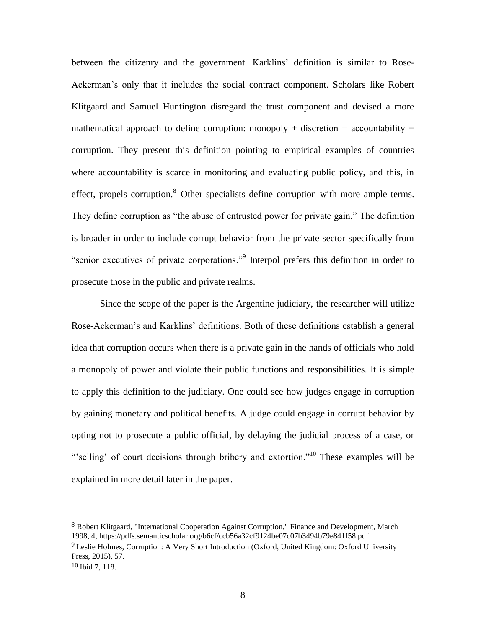between the citizenry and the government. Karklins' definition is similar to Rose-Ackerman's only that it includes the social contract component. Scholars like Robert Klitgaard and Samuel Huntington disregard the trust component and devised a more mathematical approach to define corruption: monopoly + discretion – accountability = corruption. They present this definition pointing to empirical examples of countries where accountability is scarce in monitoring and evaluating public policy, and this, in effect, propels corruption.<sup>8</sup> Other specialists define corruption with more ample terms. They define corruption as "the abuse of entrusted power for private gain." The definition is broader in order to include corrupt behavior from the private sector specifically from "senior executives of private corporations."<sup>9</sup> Interpol prefers this definition in order to prosecute those in the public and private realms.

Since the scope of the paper is the Argentine judiciary, the researcher will utilize Rose-Ackerman's and Karklins' definitions. Both of these definitions establish a general idea that corruption occurs when there is a private gain in the hands of officials who hold a monopoly of power and violate their public functions and responsibilities. It is simple to apply this definition to the judiciary. One could see how judges engage in corruption by gaining monetary and political benefits. A judge could engage in corrupt behavior by opting not to prosecute a public official, by delaying the judicial process of a case, or "'selling' of court decisions through bribery and extortion."<sup>10</sup> These examples will be explained in more detail later in the paper.

<sup>8</sup> Robert Klitgaard, "International Cooperation Against Corruption," Finance and Development, March 1998, 4, https://pdfs.semanticscholar.org/b6cf/ccb56a32cf9124be07c07b3494b79e841f58.pdf

<sup>9</sup> Leslie Holmes, Corruption: A Very Short Introduction (Oxford, United Kingdom: Oxford University Press, 2015), 57.

<sup>10</sup> Ibid 7, 118.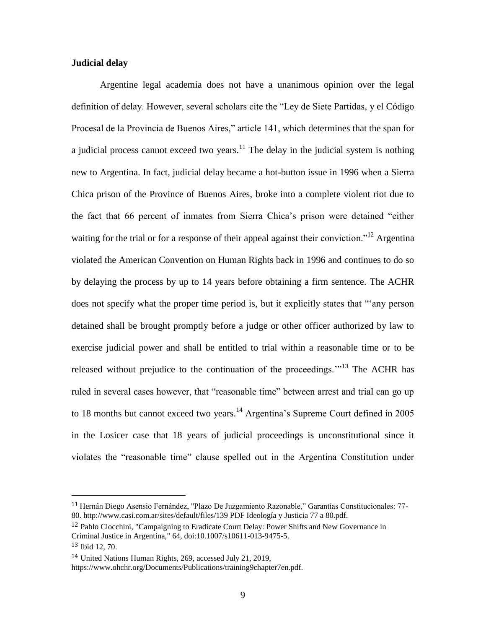#### **Judicial delay**

Argentine legal academia does not have a unanimous opinion over the legal definition of delay. However, several scholars cite the "Ley de Siete Partidas, y el Código Procesal de la Provincia de Buenos Aires," article 141, which determines that the span for a judicial process cannot exceed two years.<sup>11</sup> The delay in the judicial system is nothing new to Argentina. In fact, judicial delay became a hot-button issue in 1996 when a Sierra Chica prison of the Province of Buenos Aires, broke into a complete violent riot due to the fact that 66 percent of inmates from Sierra Chica's prison were detained "either waiting for the trial or for a response of their appeal against their conviction."<sup>12</sup> Argentina violated the American Convention on Human Rights back in 1996 and continues to do so by delaying the process by up to 14 years before obtaining a firm sentence. The ACHR does not specify what the proper time period is, but it explicitly states that "'any person detained shall be brought promptly before a judge or other officer authorized by law to exercise judicial power and shall be entitled to trial within a reasonable time or to be released without prejudice to the continuation of the proceedings.'"<sup>13</sup> The ACHR has ruled in several cases however, that "reasonable time" between arrest and trial can go up to 18 months but cannot exceed two years.<sup>14</sup> Argentina's Supreme Court defined in 2005 in the Losicer case that 18 years of judicial proceedings is unconstitutional since it violates the "reasonable time" clause spelled out in the Argentina Constitution under

<sup>11</sup> Hernán Diego Asensio Fernández, "Plazo De Juzgamiento Razonable," Garantías Constitucionales: 77- 80. http://www.casi.com.ar/sites/default/files/139 PDF Ideología y Justicia 77 a 80.pdf.

<sup>12</sup> Pablo Ciocchini, "Campaigning to Eradicate Court Delay: Power Shifts and New Governance in Criminal Justice in Argentina," 64, doi:10.1007/s10611-013-9475-5.

<sup>13</sup> Ibid 12, 70.

<sup>14</sup> United Nations Human Rights, 269, accessed July 21, 2019,

https://www.ohchr.org/Documents/Publications/training9chapter7en.pdf.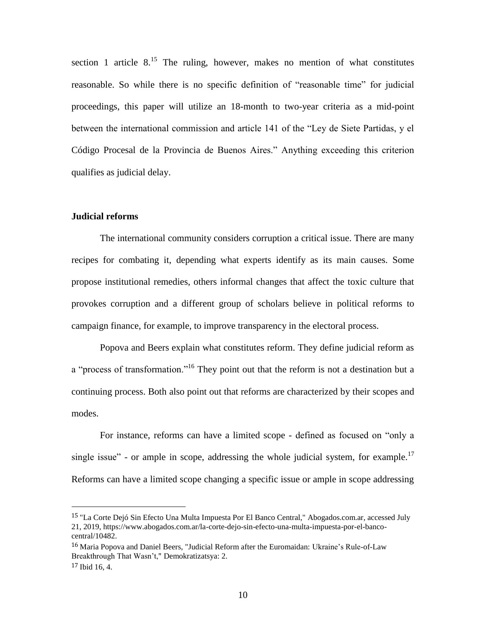section 1 article  $8^{15}$ . The ruling, however, makes no mention of what constitutes reasonable. So while there is no specific definition of "reasonable time" for judicial proceedings, this paper will utilize an 18-month to two-year criteria as a mid-point between the international commission and article 141 of the "Ley de Siete Partidas, y el Código Procesal de la Provincia de Buenos Aires." Anything exceeding this criterion qualifies as judicial delay.

#### **Judicial reforms**

l

The international community considers corruption a critical issue. There are many recipes for combating it, depending what experts identify as its main causes. Some propose institutional remedies, others informal changes that affect the toxic culture that provokes corruption and a different group of scholars believe in political reforms to campaign finance, for example, to improve transparency in the electoral process.

Popova and Beers explain what constitutes reform. They define judicial reform as a "process of transformation."<sup>16</sup> They point out that the reform is not a destination but a continuing process. Both also point out that reforms are characterized by their scopes and modes.

For instance, reforms can have a limited scope - defined as focused on "only a single issue" - or ample in scope, addressing the whole judicial system, for example.<sup>17</sup> Reforms can have a limited scope changing a specific issue or ample in scope addressing

<sup>15</sup> "La Corte Dejó Sin Efecto Una Multa Impuesta Por El Banco Central," Abogados.com.ar, accessed July 21, 2019, https://www.abogados.com.ar/la-corte-dejo-sin-efecto-una-multa-impuesta-por-el-bancocentral/10482.

<sup>16</sup> Maria Popova and Daniel Beers, "Judicial Reform after the Euromaidan: Ukraine's Rule-of-Law Breakthrough That Wasn't," Demokratizatsya: 2. 17 Ibid 16, 4.

<sup>10</sup>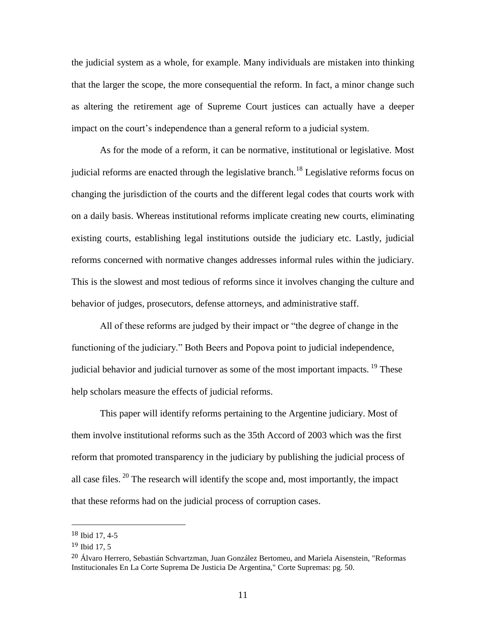the judicial system as a whole, for example. Many individuals are mistaken into thinking that the larger the scope, the more consequential the reform. In fact, a minor change such as altering the retirement age of Supreme Court justices can actually have a deeper impact on the court's independence than a general reform to a judicial system.

As for the mode of a reform, it can be normative, institutional or legislative. Most judicial reforms are enacted through the legislative branch.<sup>18</sup> Legislative reforms focus on changing the jurisdiction of the courts and the different legal codes that courts work with on a daily basis. Whereas institutional reforms implicate creating new courts, eliminating existing courts, establishing legal institutions outside the judiciary etc. Lastly, judicial reforms concerned with normative changes addresses informal rules within the judiciary. This is the slowest and most tedious of reforms since it involves changing the culture and behavior of judges, prosecutors, defense attorneys, and administrative staff.

All of these reforms are judged by their impact or "the degree of change in the functioning of the judiciary." Both Beers and Popova point to judicial independence, judicial behavior and judicial turnover as some of the most important impacts.  $^{19}$  These help scholars measure the effects of judicial reforms.

This paper will identify reforms pertaining to the Argentine judiciary. Most of them involve institutional reforms such as the 35th Accord of 2003 which was the first reform that promoted transparency in the judiciary by publishing the judicial process of all case files.  $20$  The research will identify the scope and, most importantly, the impact that these reforms had on the judicial process of corruption cases.

<sup>18</sup> Ibid 17, 4-5

<sup>19</sup> Ibid 17, 5

<sup>20</sup> Álvaro Herrero, Sebastián Schvartzman, Juan González Bertomeu, and Mariela Aisenstein, "Reformas Institucionales En La Corte Suprema De Justicia De Argentina," Corte Supremas: pg. 50.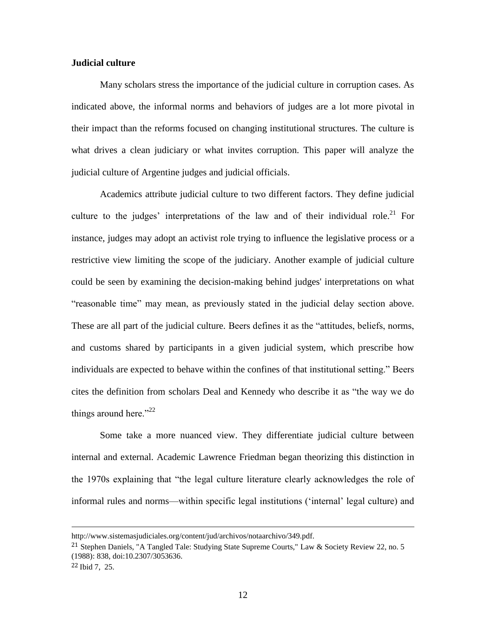#### **Judicial culture**

Many scholars stress the importance of the judicial culture in corruption cases. As indicated above, the informal norms and behaviors of judges are a lot more pivotal in their impact than the reforms focused on changing institutional structures. The culture is what drives a clean judiciary or what invites corruption. This paper will analyze the judicial culture of Argentine judges and judicial officials.

Academics attribute judicial culture to two different factors. They define judicial culture to the judges' interpretations of the law and of their individual role.<sup>21</sup> For instance, judges may adopt an activist role trying to influence the legislative process or a restrictive view limiting the scope of the judiciary. Another example of judicial culture could be seen by examining the decision-making behind judges' interpretations on what "reasonable time" may mean, as previously stated in the judicial delay section above. These are all part of the judicial culture. Beers defines it as the "attitudes, beliefs, norms, and customs shared by participants in a given judicial system, which prescribe how individuals are expected to behave within the confines of that institutional setting." Beers cites the definition from scholars Deal and Kennedy who describe it as "the way we do things around here." $2^2$ 

Some take a more nuanced view. They differentiate judicial culture between internal and external. Academic Lawrence Friedman began theorizing this distinction in the 1970s explaining that "the legal culture literature clearly acknowledges the role of informal rules and norms—within specific legal institutions ('internal' legal culture) and

http://www.sistemasjudiciales.org/content/jud/archivos/notaarchivo/349.pdf.

<sup>&</sup>lt;sup>21</sup> Stephen Daniels, "A Tangled Tale: Studying State Supreme Courts," Law & Society Review 22, no. 5 (1988): 838, doi:10.2307/3053636.

<sup>22</sup> Ibid 7, 25.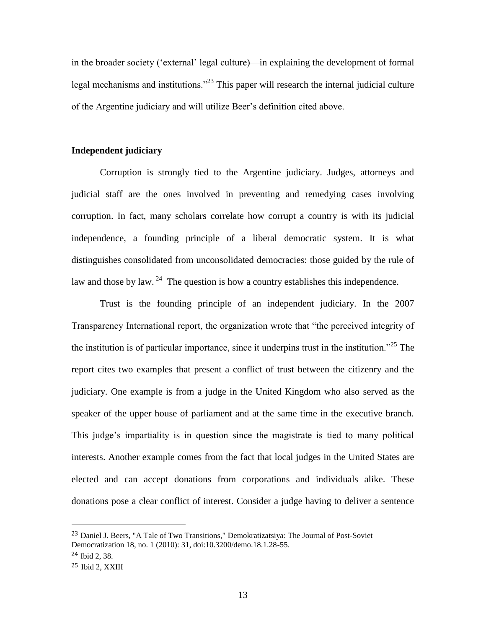in the broader society ('external' legal culture)—in explaining the development of formal legal mechanisms and institutions."<sup>23</sup> This paper will research the internal judicial culture of the Argentine judiciary and will utilize Beer's definition cited above.

#### **Independent judiciary**

Corruption is strongly tied to the Argentine judiciary. Judges, attorneys and judicial staff are the ones involved in preventing and remedying cases involving corruption. In fact, many scholars correlate how corrupt a country is with its judicial independence, a founding principle of a liberal democratic system. It is what distinguishes consolidated from unconsolidated democracies: those guided by the rule of law and those by law.  $^{24}$  The question is how a country establishes this independence.

Trust is the founding principle of an independent judiciary. In the 2007 Transparency International report, the organization wrote that "the perceived integrity of the institution is of particular importance, since it underpins trust in the institution."<sup>25</sup> The report cites two examples that present a conflict of trust between the citizenry and the judiciary. One example is from a judge in the United Kingdom who also served as the speaker of the upper house of parliament and at the same time in the executive branch. This judge's impartiality is in question since the magistrate is tied to many political interests. Another example comes from the fact that local judges in the United States are elected and can accept donations from corporations and individuals alike. These donations pose a clear conflict of interest. Consider a judge having to deliver a sentence

<sup>23</sup> Daniel J. Beers, "A Tale of Two Transitions," Demokratizatsiya: The Journal of Post-Soviet Democratization 18, no. 1 (2010): 31, doi:10.3200/demo.18.1.28-55.

<sup>24</sup> Ibid 2, 38.

<sup>25</sup> Ibid 2, XXIII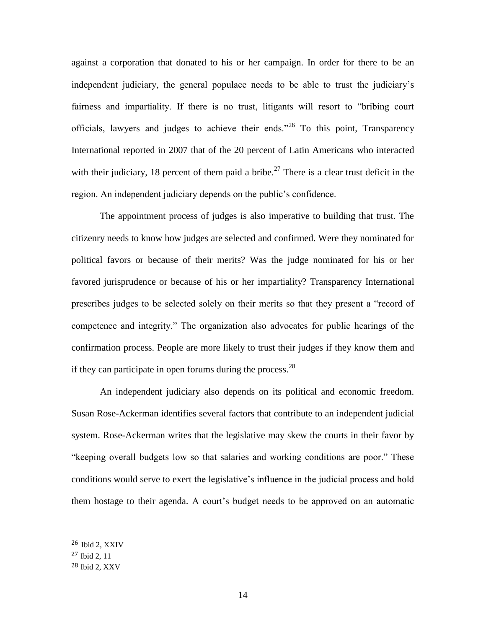against a corporation that donated to his or her campaign. In order for there to be an independent judiciary, the general populace needs to be able to trust the judiciary's fairness and impartiality. If there is no trust, litigants will resort to "bribing court officials, lawyers and judges to achieve their ends."<sup>26</sup> To this point, Transparency International reported in 2007 that of the 20 percent of Latin Americans who interacted with their judiciary, 18 percent of them paid a bribe.<sup>27</sup> There is a clear trust deficit in the region. An independent judiciary depends on the public's confidence.

The appointment process of judges is also imperative to building that trust. The citizenry needs to know how judges are selected and confirmed. Were they nominated for political favors or because of their merits? Was the judge nominated for his or her favored jurisprudence or because of his or her impartiality? Transparency International prescribes judges to be selected solely on their merits so that they present a "record of competence and integrity." The organization also advocates for public hearings of the confirmation process. People are more likely to trust their judges if they know them and if they can participate in open forums during the process. $^{28}$ 

An independent judiciary also depends on its political and economic freedom. Susan Rose-Ackerman identifies several factors that contribute to an independent judicial system. Rose-Ackerman writes that the legislative may skew the courts in their favor by "keeping overall budgets low so that salaries and working conditions are poor." These conditions would serve to exert the legislative's influence in the judicial process and hold them hostage to their agenda. A court's budget needs to be approved on an automatic

<sup>26</sup> Ibid 2, XXIV

<sup>27</sup> Ibid 2, 11

<sup>28</sup> Ibid 2, XXV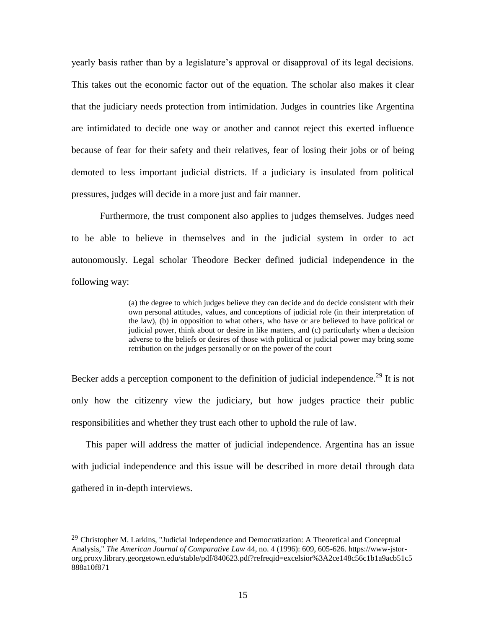yearly basis rather than by a legislature's approval or disapproval of its legal decisions. This takes out the economic factor out of the equation. The scholar also makes it clear that the judiciary needs protection from intimidation. Judges in countries like Argentina are intimidated to decide one way or another and cannot reject this exerted influence because of fear for their safety and their relatives, fear of losing their jobs or of being demoted to less important judicial districts. If a judiciary is insulated from political pressures, judges will decide in a more just and fair manner.

Furthermore, the trust component also applies to judges themselves. Judges need to be able to believe in themselves and in the judicial system in order to act autonomously. Legal scholar Theodore Becker defined judicial independence in the following way:

> (a) the degree to which judges believe they can decide and do decide consistent with their own personal attitudes, values, and conceptions of judicial role (in their interpretation of the law), (b) in opposition to what others, who have or are believed to have political or judicial power, think about or desire in like matters, and (c) particularly when a decision adverse to the beliefs or desires of those with political or judicial power may bring some retribution on the judges personally or on the power of the court

Becker adds a perception component to the definition of judicial independence.<sup>29</sup> It is not only how the citizenry view the judiciary, but how judges practice their public responsibilities and whether they trust each other to uphold the rule of law.

This paper will address the matter of judicial independence. Argentina has an issue with judicial independence and this issue will be described in more detail through data gathered in in-depth interviews.

<sup>&</sup>lt;sup>29</sup> Christopher M. Larkins, "Judicial Independence and Democratization: A Theoretical and Conceptual Analysis," *The American Journal of Comparative Law* 44, no. 4 (1996): 609, 605-626. https://www-jstororg.proxy.library.georgetown.edu/stable/pdf/840623.pdf?refreqid=excelsior%3A2ce148c56c1b1a9acb51c5 888a10f871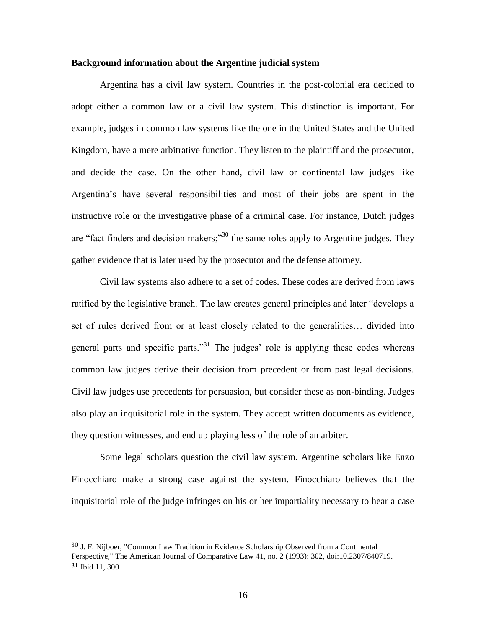#### **Background information about the Argentine judicial system**

Argentina has a civil law system. Countries in the post-colonial era decided to adopt either a common law or a civil law system. This distinction is important. For example, judges in common law systems like the one in the United States and the United Kingdom, have a mere arbitrative function. They listen to the plaintiff and the prosecutor, and decide the case. On the other hand, civil law or continental law judges like Argentina's have several responsibilities and most of their jobs are spent in the instructive role or the investigative phase of a criminal case. For instance, Dutch judges are "fact finders and decision makers;"<sup>30</sup> the same roles apply to Argentine judges. They gather evidence that is later used by the prosecutor and the defense attorney.

Civil law systems also adhere to a set of codes. These codes are derived from laws ratified by the legislative branch. The law creates general principles and later "develops a set of rules derived from or at least closely related to the generalities… divided into general parts and specific parts."<sup>31</sup> The judges' role is applying these codes whereas common law judges derive their decision from precedent or from past legal decisions. Civil law judges use precedents for persuasion, but consider these as non-binding. Judges also play an inquisitorial role in the system. They accept written documents as evidence, they question witnesses, and end up playing less of the role of an arbiter.

Some legal scholars question the civil law system. Argentine scholars like Enzo Finocchiaro make a strong case against the system. Finocchiaro believes that the inquisitorial role of the judge infringes on his or her impartiality necessary to hear a case

<sup>30</sup> J. F. Nijboer, "Common Law Tradition in Evidence Scholarship Observed from a Continental Perspective," The American Journal of Comparative Law 41, no. 2 (1993): 302, doi:10.2307/840719. 31 Ibid 11, 300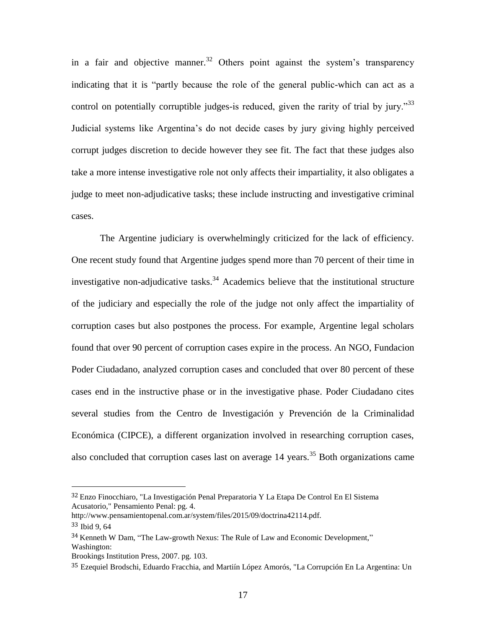in a fair and objective manner.<sup>32</sup> Others point against the system's transparency indicating that it is "partly because the role of the general public-which can act as a control on potentially corruptible judges-is reduced, given the rarity of trial by jury."<sup>33</sup> Judicial systems like Argentina's do not decide cases by jury giving highly perceived corrupt judges discretion to decide however they see fit. The fact that these judges also take a more intense investigative role not only affects their impartiality, it also obligates a judge to meet non-adjudicative tasks; these include instructing and investigative criminal cases.

The Argentine judiciary is overwhelmingly criticized for the lack of efficiency. One recent study found that Argentine judges spend more than 70 percent of their time in investigative non-adjudicative tasks.<sup>34</sup> Academics believe that the institutional structure of the judiciary and especially the role of the judge not only affect the impartiality of corruption cases but also postpones the process. For example, Argentine legal scholars found that over 90 percent of corruption cases expire in the process. An NGO, Fundacion Poder Ciudadano, analyzed corruption cases and concluded that over 80 percent of these cases end in the instructive phase or in the investigative phase. Poder Ciudadano cites several studies from the Centro de Investigación y Prevención de la Criminalidad Económica (CIPCE), a different organization involved in researching corruption cases, also concluded that corruption cases last on average  $14$  years.<sup>35</sup> Both organizations came

<sup>32</sup> Enzo Finocchiaro, "La Investigación Penal Preparatoria Y La Etapa De Control En El Sistema Acusatorio," Pensamiento Penal: pg. 4.

http://www.pensamientopenal.com.ar/system/files/2015/09/doctrina42114.pdf.

<sup>33</sup> Ibid 9, 64

<sup>34</sup> Kenneth W Dam, "The Law-growth Nexus: The Rule of Law and Economic Development," Washington:

Brookings Institution Press, 2007. pg. 103.

<sup>35</sup> Ezequiel Brodschi, Eduardo Fracchia, and Martiín López Amorós, "La Corrupción En La Argentina: Un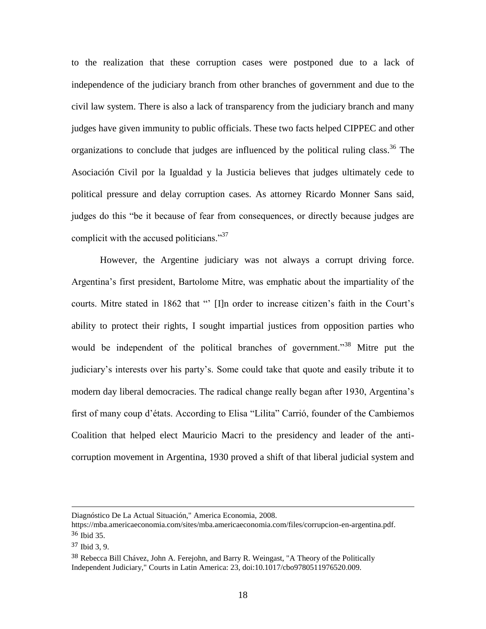to the realization that these corruption cases were postponed due to a lack of independence of the judiciary branch from other branches of government and due to the civil law system. There is also a lack of transparency from the judiciary branch and many judges have given immunity to public officials. These two facts helped CIPPEC and other organizations to conclude that judges are influenced by the political ruling class. <sup>36</sup> The Asociación Civil por la Igualdad y la Justicia believes that judges ultimately cede to political pressure and delay corruption cases. As attorney Ricardo Monner Sans said, judges do this "be it because of fear from consequences, or directly because judges are complicit with the accused politicians."<sup>37</sup>

However, the Argentine judiciary was not always a corrupt driving force. Argentina's first president, Bartolome Mitre, was emphatic about the impartiality of the courts. Mitre stated in 1862 that "' [I]n order to increase citizen's faith in the Court's ability to protect their rights, I sought impartial justices from opposition parties who would be independent of the political branches of government.<sup>38</sup> Mitre put the judiciary's interests over his party's. Some could take that quote and easily tribute it to modern day liberal democracies. The radical change really began after 1930, Argentina's first of many coup d'états. According to Elisa "Lilita" Carrió, founder of the Cambiemos Coalition that helped elect Mauricio Macri to the presidency and leader of the anticorruption movement in Argentina, 1930 proved a shift of that liberal judicial system and

Diagnóstico De La Actual Situación," America Economia, 2008.

https://mba.americaeconomia.com/sites/mba.americaeconomia.com/files/corrupcion-en-argentina.pdf. 36 Ibid 35.

<sup>37</sup> Ibid 3, 9.

<sup>38</sup> Rebecca Bill Chávez, John A. Ferejohn, and Barry R. Weingast, "A Theory of the Politically Independent Judiciary," Courts in Latin America: 23, doi:10.1017/cbo9780511976520.009.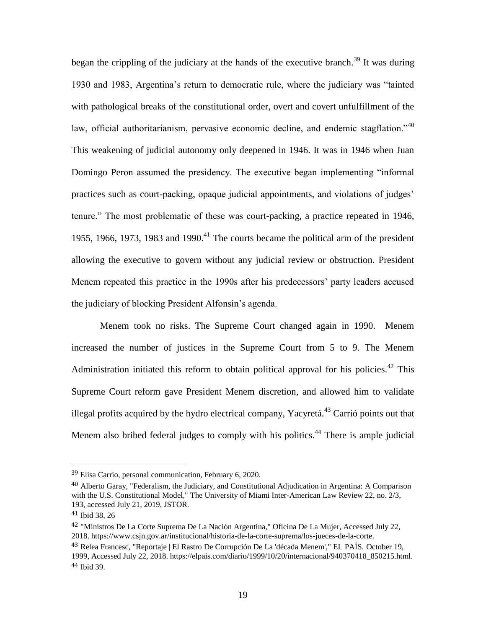began the crippling of the judiciary at the hands of the executive branch.<sup>39</sup> It was during 1930 and 1983, Argentina's return to democratic rule, where the judiciary was "tainted with pathological breaks of the constitutional order, overt and covert unfulfillment of the law, official authoritarianism, pervasive economic decline, and endemic stagflation.<sup> $140$ </sup> This weakening of judicial autonomy only deepened in 1946. It was in 1946 when Juan Domingo Peron assumed the presidency. The executive began implementing "informal practices such as court-packing, opaque judicial appointments, and violations of judges' tenure." The most problematic of these was court-packing, a practice repeated in 1946, 1955, 1966, 1973, 1983 and 1990.<sup>41</sup> The courts became the political arm of the president allowing the executive to govern without any judicial review or obstruction. President Menem repeated this practice in the 1990s after his predecessors' party leaders accused the judiciary of blocking President Alfonsin's agenda.

Menem took no risks. The Supreme Court changed again in 1990. Menem increased the number of justices in the Supreme Court from 5 to 9. The Menem Administration initiated this reform to obtain political approval for his policies.<sup>42</sup> This Supreme Court reform gave President Menem discretion, and allowed him to validate illegal profits acquired by the hydro electrical company, Yacyretá.<sup>43</sup> Carrió points out that Menem also bribed federal judges to comply with his politics.<sup>44</sup> There is ample judicial

<sup>39</sup> Elisa Carrio, personal communication, February 6, 2020.

<sup>40</sup> Alberto Garay, "Federalism, the Judiciary, and Constitutional Adjudication in Argentina: A Comparison with the U.S. Constitutional Model," The University of Miami Inter-American Law Review 22, no. 2/3, 193, accessed July 21, 2019, JSTOR.

<sup>41</sup> Ibid 38, 26

<sup>42</sup> "Ministros De La Corte Suprema De La Nación Argentina," Oficina De La Mujer, Accessed July 22, 2018. https://www.csjn.gov.ar/institucional/historia-de-la-corte-suprema/los-jueces-de-la-corte.

<sup>43</sup> Relea Francesc, "Reportaje | El Rastro De Corrupción De La 'década Menem'," EL PAÍS. October 19, 1999, Accessed July 22, 2018. https://elpais.com/diario/1999/10/20/internacional/940370418\_850215.html. 44 Ibid 39.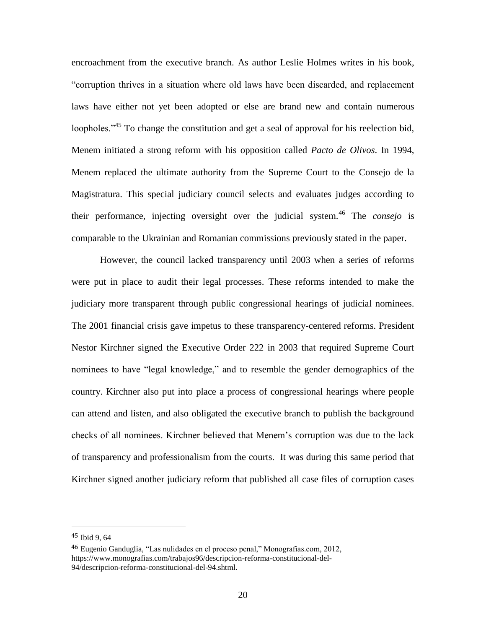encroachment from the executive branch. As author Leslie Holmes writes in his book, "corruption thrives in a situation where old laws have been discarded, and replacement laws have either not yet been adopted or else are brand new and contain numerous loopholes."<sup>45</sup> To change the constitution and get a seal of approval for his reelection bid, Menem initiated a strong reform with his opposition called *Pacto de Olivos*. In 1994, Menem replaced the ultimate authority from the Supreme Court to the Consejo de la Magistratura. This special judiciary council selects and evaluates judges according to their performance, injecting oversight over the judicial system.<sup>46</sup> The *consejo* is comparable to the Ukrainian and Romanian commissions previously stated in the paper.

However, the council lacked transparency until 2003 when a series of reforms were put in place to audit their legal processes. These reforms intended to make the judiciary more transparent through public congressional hearings of judicial nominees. The 2001 financial crisis gave impetus to these transparency-centered reforms. President Nestor Kirchner signed the Executive Order 222 in 2003 that required Supreme Court nominees to have "legal knowledge," and to resemble the gender demographics of the country. Kirchner also put into place a process of congressional hearings where people can attend and listen, and also obligated the executive branch to publish the background checks of all nominees. Kirchner believed that Menem's corruption was due to the lack of transparency and professionalism from the courts. It was during this same period that Kirchner signed another judiciary reform that published all case files of corruption cases

<sup>45</sup> Ibid 9, 64

<sup>46</sup> Eugenio Ganduglia, "Las nulidades en el proceso penal," Monografias.com, 2012, https://www.monografias.com/trabajos96/descripcion-reforma-constitucional-del-94/descripcion-reforma-constitucional-del-94.shtml.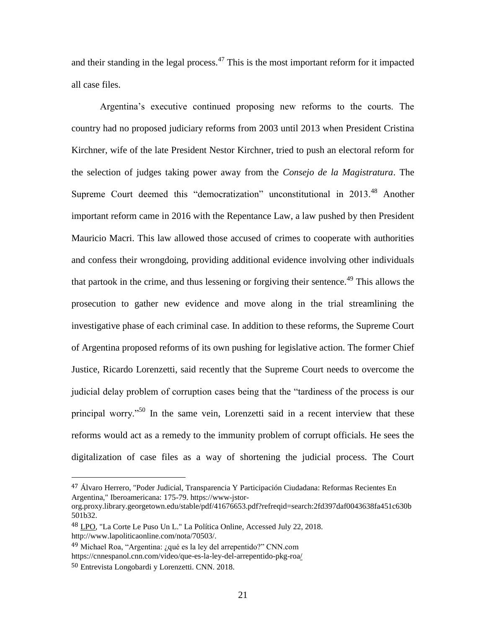and their standing in the legal process. $47$  This is the most important reform for it impacted all case files.

Argentina's executive continued proposing new reforms to the courts. The country had no proposed judiciary reforms from 2003 until 2013 when President Cristina Kirchner, wife of the late President Nestor Kirchner, tried to push an electoral reform for the selection of judges taking power away from the *Consejo de la Magistratura*. The Supreme Court deemed this "democratization" unconstitutional in 2013.<sup>48</sup> Another important reform came in 2016 with the Repentance Law, a law pushed by then President Mauricio Macri. This law allowed those accused of crimes to cooperate with authorities and confess their wrongdoing, providing additional evidence involving other individuals that partook in the crime, and thus lessening or forgiving their sentence.<sup>49</sup> This allows the prosecution to gather new evidence and move along in the trial streamlining the investigative phase of each criminal case. In addition to these reforms, the Supreme Court of Argentina proposed reforms of its own pushing for legislative action. The former Chief Justice, Ricardo Lorenzetti, said recently that the Supreme Court needs to overcome the judicial delay problem of corruption cases being that the "tardiness of the process is our principal worry."<sup>50</sup> In the same vein, Lorenzetti said in a recent interview that these reforms would act as a remedy to the immunity problem of corrupt officials. He sees the digitalization of case files as a way of shortening the judicial process. The Court

<sup>47</sup> Álvaro Herrero, "Poder Judicial, Transparencia Y Participación Ciudadana: Reformas Recientes En Argentina," Iberoamericana: 175-79. https://www-jstor-

org.proxy.library.georgetown.edu/stable/pdf/41676653.pdf?refreqid=search:2fd397daf0043638fa451c630b 501b32.

<sup>48</sup> LPO, "La Corte Le Puso Un L." La Política Online, Accessed July 22, 2018. http://www.lapoliticaonline.com/nota/70503/.

<sup>49</sup> Michael Roa, "Argentina: ¿qué es la ley del arrepentido?" CNN.com <https://cnnespanol.cnn.com/video/que-es-la-ley-del-arrepentido-pkg-roa/>

<sup>50</sup> Entrevista Longobardi y Lorenzetti. CNN. 2018.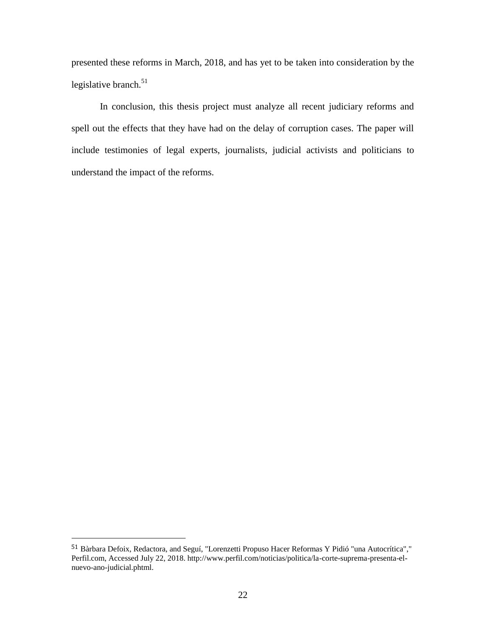presented these reforms in March, 2018, and has yet to be taken into consideration by the legislative branch. 51

In conclusion, this thesis project must analyze all recent judiciary reforms and spell out the effects that they have had on the delay of corruption cases. The paper will include testimonies of legal experts, journalists, judicial activists and politicians to understand the impact of the reforms.

<sup>51</sup> Bàrbara Defoix, Redactora, and Seguí, "Lorenzetti Propuso Hacer Reformas Y Pidió "una Autocrítica"," Perfil.com, Accessed July 22, 2018. http://www.perfil.com/noticias/politica/la-corte-suprema-presenta-elnuevo-ano-judicial.phtml.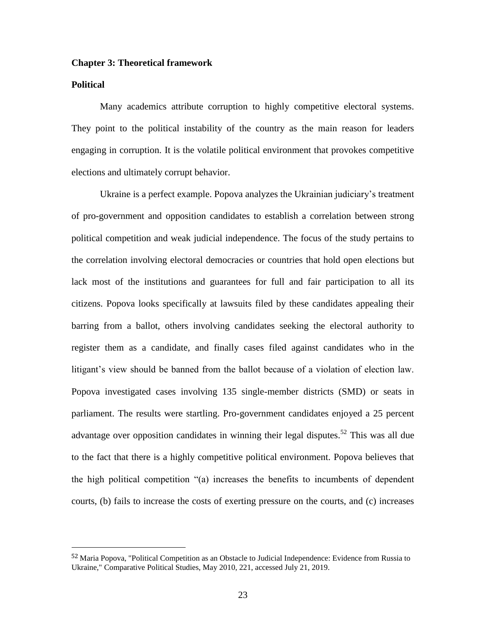#### **Chapter 3: Theoretical framework**

#### **Political**

 $\overline{a}$ 

Many academics attribute corruption to highly competitive electoral systems. They point to the political instability of the country as the main reason for leaders engaging in corruption. It is the volatile political environment that provokes competitive elections and ultimately corrupt behavior.

Ukraine is a perfect example. Popova analyzes the Ukrainian judiciary's treatment of pro-government and opposition candidates to establish a correlation between strong political competition and weak judicial independence. The focus of the study pertains to the correlation involving electoral democracies or countries that hold open elections but lack most of the institutions and guarantees for full and fair participation to all its citizens. Popova looks specifically at lawsuits filed by these candidates appealing their barring from a ballot, others involving candidates seeking the electoral authority to register them as a candidate, and finally cases filed against candidates who in the litigant's view should be banned from the ballot because of a violation of election law. Popova investigated cases involving 135 single-member districts (SMD) or seats in parliament. The results were startling. Pro-government candidates enjoyed a 25 percent advantage over opposition candidates in winning their legal disputes.<sup>52</sup> This was all due to the fact that there is a highly competitive political environment. Popova believes that the high political competition "(a) increases the benefits to incumbents of dependent courts, (b) fails to increase the costs of exerting pressure on the courts, and (c) increases

<sup>52</sup> Maria Popova, "Political Competition as an Obstacle to Judicial Independence: Evidence from Russia to Ukraine," Comparative Political Studies, May 2010, 221, accessed July 21, 2019.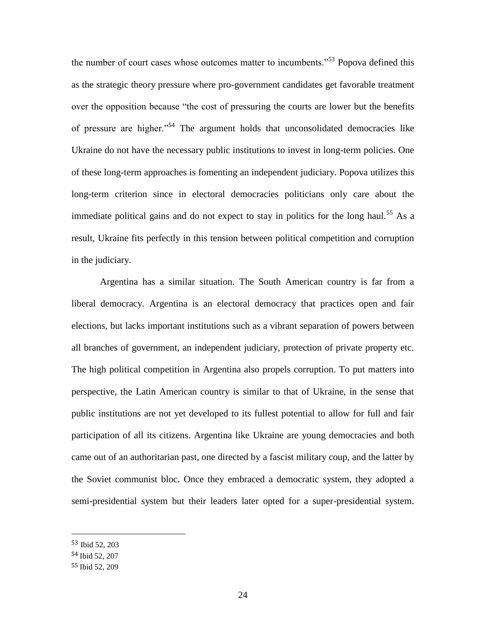the number of court cases whose outcomes matter to incumbents."<sup>53</sup> Popova defined this as the strategic theory pressure where pro-government candidates get favorable treatment over the opposition because "the cost of pressuring the courts are lower but the benefits of pressure are higher."<sup>54</sup> The argument holds that unconsolidated democracies like Ukraine do not have the necessary public institutions to invest in long-term policies. One of these long-term approaches is fomenting an independent judiciary. Popova utilizes this long-term criterion since in electoral democracies politicians only care about the immediate political gains and do not expect to stay in politics for the long haul.<sup>55</sup> As a result, Ukraine fits perfectly in this tension between political competition and corruption in the judiciary.

Argentina has a similar situation. The South American country is far from a liberal democracy. Argentina is an electoral democracy that practices open and fair elections, but lacks important institutions such as a vibrant separation of powers between all branches of government, an independent judiciary, protection of private property etc. The high political competition in Argentina also propels corruption. To put matters into perspective, the Latin American country is similar to that of Ukraine, in the sense that public institutions are not yet developed to its fullest potential to allow for full and fair participation of all its citizens. Argentina like Ukraine are young democracies and both came out of an authoritarian past, one directed by a fascist military coup, and the latter by the Soviet communist bloc. Once they embraced a democratic system, they adopted a semi-presidential system but their leaders later opted for a super-presidential system.

<sup>53</sup> Ibid 52, 203

<sup>54</sup> Ibid 52, 207

<sup>55</sup> Ibid 52, 209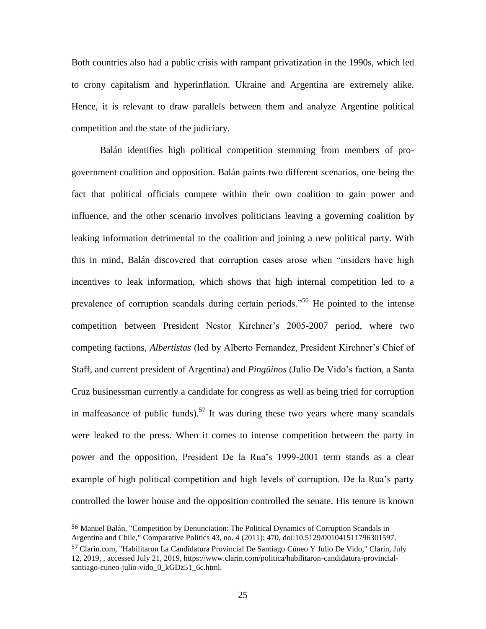Both countries also had a public crisis with rampant privatization in the 1990s, which led to crony capitalism and hyperinflation. Ukraine and Argentina are extremely alike. Hence, it is relevant to draw parallels between them and analyze Argentine political competition and the state of the judiciary.

Balán identifies high political competition stemming from members of progovernment coalition and opposition. Balán paints two different scenarios, one being the fact that political officials compete within their own coalition to gain power and influence, and the other scenario involves politicians leaving a governing coalition by leaking information detrimental to the coalition and joining a new political party. With this in mind, Balán discovered that corruption cases arose when "insiders have high incentives to leak information, which shows that high internal competition led to a prevalence of corruption scandals during certain periods."<sup>56</sup> He pointed to the intense competition between President Nestor Kirchner's 2005-2007 period, where two competing factions, *Albertistas* (led by Alberto Fernandez, President Kirchner's Chief of Staff, and current president of Argentina) and *Pingüinos* (Julio De Vido's faction, a Santa Cruz businessman currently a candidate for congress as well as being tried for corruption in malfeasance of public funds).<sup>57</sup> It was during these two years where many scandals were leaked to the press. When it comes to intense competition between the party in power and the opposition, President De la Rua's 1999-2001 term stands as a clear example of high political competition and high levels of corruption. De la Rua's party controlled the lower house and the opposition controlled the senate. His tenure is known

<sup>56</sup> Manuel Balán, "Competition by Denunciation: The Political Dynamics of Corruption Scandals in Argentina and Chile," Comparative Politics 43, no. 4 (2011): 470, doi:10.5129/001041511796301597.

<sup>57</sup> Clarín.com, "Habilitaron La Candidatura Provincial De Santiago Cúneo Y Julio De Vido," Clarín, July 12, 2019, , accessed July 21, 2019, https://www.clarin.com/politica/habilitaron-candidatura-provincialsantiago-cuneo-julio-vido 0 kGDz51 6c.html.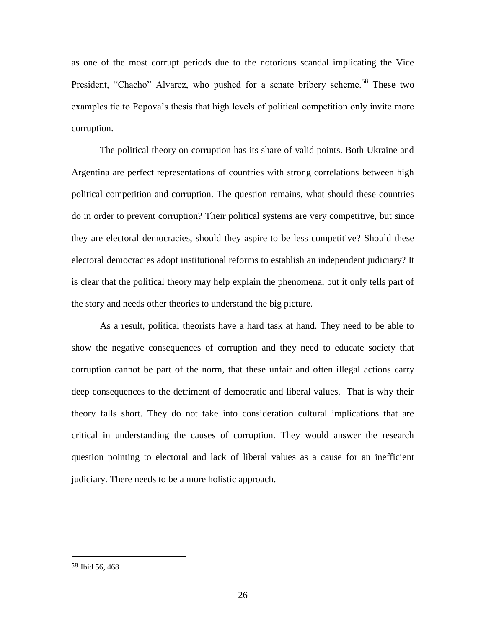as one of the most corrupt periods due to the notorious scandal implicating the Vice President, "Chacho" Alvarez, who pushed for a senate bribery scheme.<sup>58</sup> These two examples tie to Popova's thesis that high levels of political competition only invite more corruption.

The political theory on corruption has its share of valid points. Both Ukraine and Argentina are perfect representations of countries with strong correlations between high political competition and corruption. The question remains, what should these countries do in order to prevent corruption? Their political systems are very competitive, but since they are electoral democracies, should they aspire to be less competitive? Should these electoral democracies adopt institutional reforms to establish an independent judiciary? It is clear that the political theory may help explain the phenomena, but it only tells part of the story and needs other theories to understand the big picture.

As a result, political theorists have a hard task at hand. They need to be able to show the negative consequences of corruption and they need to educate society that corruption cannot be part of the norm, that these unfair and often illegal actions carry deep consequences to the detriment of democratic and liberal values. That is why their theory falls short. They do not take into consideration cultural implications that are critical in understanding the causes of corruption. They would answer the research question pointing to electoral and lack of liberal values as a cause for an inefficient judiciary. There needs to be a more holistic approach.

<sup>58</sup> Ibid 56, 468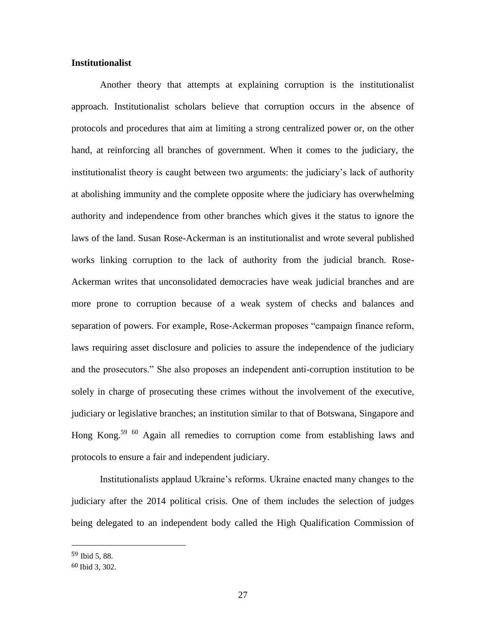#### **Institutionalist**

Another theory that attempts at explaining corruption is the institutionalist approach. Institutionalist scholars believe that corruption occurs in the absence of protocols and procedures that aim at limiting a strong centralized power or, on the other hand, at reinforcing all branches of government. When it comes to the judiciary, the institutionalist theory is caught between two arguments: the judiciary's lack of authority at abolishing immunity and the complete opposite where the judiciary has overwhelming authority and independence from other branches which gives it the status to ignore the laws of the land. Susan Rose-Ackerman is an institutionalist and wrote several published works linking corruption to the lack of authority from the judicial branch. Rose-Ackerman writes that unconsolidated democracies have weak judicial branches and are more prone to corruption because of a weak system of checks and balances and separation of powers. For example, Rose-Ackerman proposes "campaign finance reform, laws requiring asset disclosure and policies to assure the independence of the judiciary and the prosecutors." She also proposes an independent anti-corruption institution to be solely in charge of prosecuting these crimes without the involvement of the executive, judiciary or legislative branches; an institution similar to that of Botswana, Singapore and Hong Kong.<sup>59 60</sup> Again all remedies to corruption come from establishing laws and protocols to ensure a fair and independent judiciary.

Institutionalists applaud Ukraine's reforms. Ukraine enacted many changes to the judiciary after the 2014 political crisis. One of them includes the selection of judges being delegated to an independent body called the High Qualification Commission of

<sup>59</sup> Ibid 5, 88.

<sup>60</sup> Ibid 3, 302.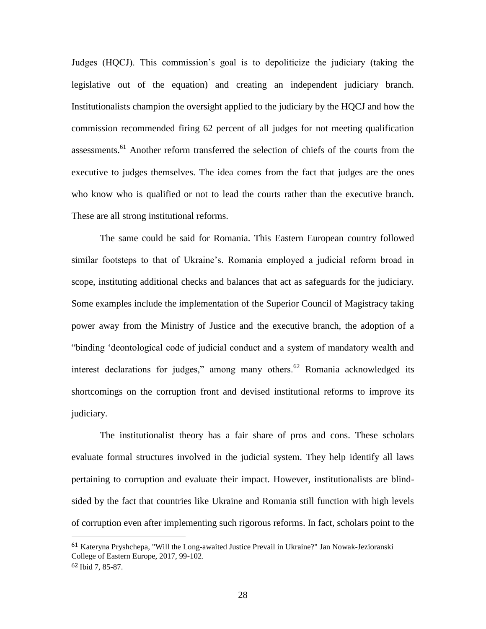Judges (HQCJ). This commission's goal is to depoliticize the judiciary (taking the legislative out of the equation) and creating an independent judiciary branch. Institutionalists champion the oversight applied to the judiciary by the HQCJ and how the commission recommended firing 62 percent of all judges for not meeting qualification assessments.<sup>61</sup> Another reform transferred the selection of chiefs of the courts from the executive to judges themselves. The idea comes from the fact that judges are the ones who know who is qualified or not to lead the courts rather than the executive branch. These are all strong institutional reforms.

The same could be said for Romania. This Eastern European country followed similar footsteps to that of Ukraine's. Romania employed a judicial reform broad in scope, instituting additional checks and balances that act as safeguards for the judiciary. Some examples include the implementation of the Superior Council of Magistracy taking power away from the Ministry of Justice and the executive branch, the adoption of a "binding 'deontological code of judicial conduct and a system of mandatory wealth and interest declarations for judges," among many others.<sup>62</sup> Romania acknowledged its shortcomings on the corruption front and devised institutional reforms to improve its judiciary.

The institutionalist theory has a fair share of pros and cons. These scholars evaluate formal structures involved in the judicial system. They help identify all laws pertaining to corruption and evaluate their impact. However, institutionalists are blindsided by the fact that countries like Ukraine and Romania still function with high levels of corruption even after implementing such rigorous reforms. In fact, scholars point to the

<sup>61</sup> Kateryna Pryshchepa, "Will the Long-awaited Justice Prevail in Ukraine?" Jan Nowak-Jezioranski College of Eastern Europe, 2017, 99-102.

<sup>62</sup> Ibid 7, 85-87.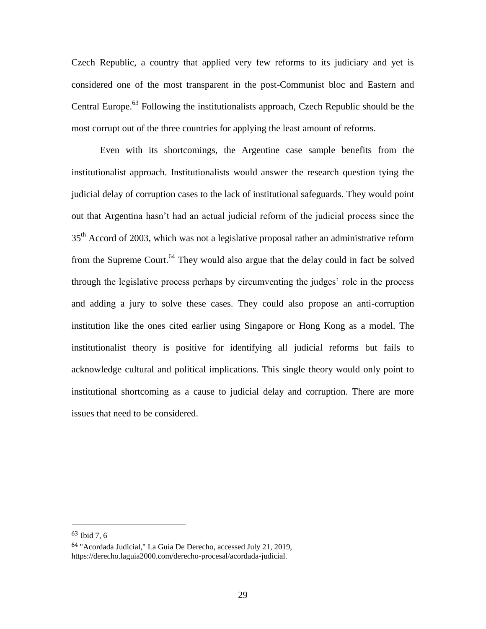Czech Republic, a country that applied very few reforms to its judiciary and yet is considered one of the most transparent in the post-Communist bloc and Eastern and Central Europe.<sup>63</sup> Following the institutionalists approach, Czech Republic should be the most corrupt out of the three countries for applying the least amount of reforms.

Even with its shortcomings, the Argentine case sample benefits from the institutionalist approach. Institutionalists would answer the research question tying the judicial delay of corruption cases to the lack of institutional safeguards. They would point out that Argentina hasn't had an actual judicial reform of the judicial process since the 35<sup>th</sup> Accord of 2003, which was not a legislative proposal rather an administrative reform from the Supreme Court.<sup>64</sup> They would also argue that the delay could in fact be solved through the legislative process perhaps by circumventing the judges' role in the process and adding a jury to solve these cases. They could also propose an anti-corruption institution like the ones cited earlier using Singapore or Hong Kong as a model. The institutionalist theory is positive for identifying all judicial reforms but fails to acknowledge cultural and political implications. This single theory would only point to institutional shortcoming as a cause to judicial delay and corruption. There are more issues that need to be considered.

<sup>63</sup> Ibid 7, 6

<sup>64</sup> "Acordada Judicial," La Guía De Derecho, accessed July 21, 2019, https://derecho.laguia2000.com/derecho-procesal/acordada-judicial.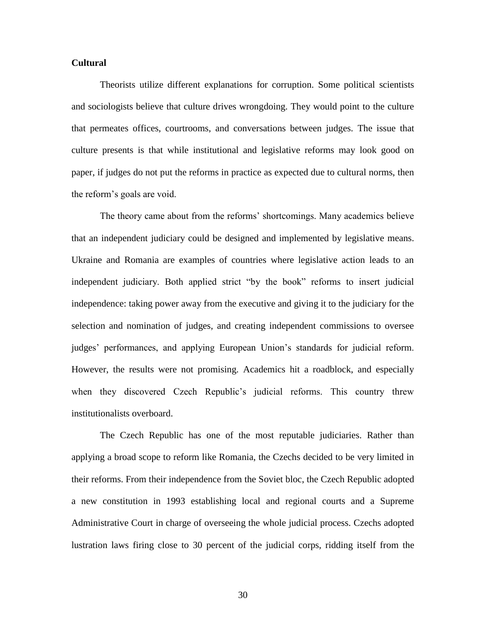#### **Cultural**

Theorists utilize different explanations for corruption. Some political scientists and sociologists believe that culture drives wrongdoing. They would point to the culture that permeates offices, courtrooms, and conversations between judges. The issue that culture presents is that while institutional and legislative reforms may look good on paper, if judges do not put the reforms in practice as expected due to cultural norms, then the reform's goals are void.

The theory came about from the reforms' shortcomings. Many academics believe that an independent judiciary could be designed and implemented by legislative means. Ukraine and Romania are examples of countries where legislative action leads to an independent judiciary. Both applied strict "by the book" reforms to insert judicial independence: taking power away from the executive and giving it to the judiciary for the selection and nomination of judges, and creating independent commissions to oversee judges' performances, and applying European Union's standards for judicial reform. However, the results were not promising. Academics hit a roadblock, and especially when they discovered Czech Republic's judicial reforms. This country threw institutionalists overboard.

The Czech Republic has one of the most reputable judiciaries. Rather than applying a broad scope to reform like Romania, the Czechs decided to be very limited in their reforms. From their independence from the Soviet bloc, the Czech Republic adopted a new constitution in 1993 establishing local and regional courts and a Supreme Administrative Court in charge of overseeing the whole judicial process. Czechs adopted lustration laws firing close to 30 percent of the judicial corps, ridding itself from the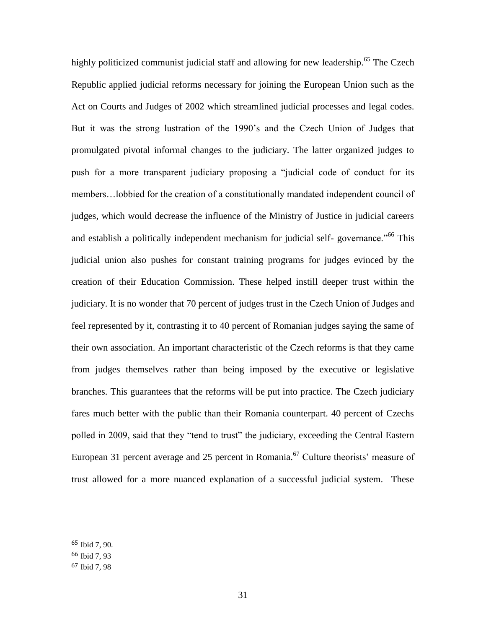highly politicized communist judicial staff and allowing for new leadership.<sup>65</sup> The Czech Republic applied judicial reforms necessary for joining the European Union such as the Act on Courts and Judges of 2002 which streamlined judicial processes and legal codes. But it was the strong lustration of the 1990's and the Czech Union of Judges that promulgated pivotal informal changes to the judiciary. The latter organized judges to push for a more transparent judiciary proposing a "judicial code of conduct for its members…lobbied for the creation of a constitutionally mandated independent council of judges, which would decrease the influence of the Ministry of Justice in judicial careers and establish a politically independent mechanism for judicial self-governance.<sup>"66</sup> This judicial union also pushes for constant training programs for judges evinced by the creation of their Education Commission. These helped instill deeper trust within the judiciary. It is no wonder that 70 percent of judges trust in the Czech Union of Judges and feel represented by it, contrasting it to 40 percent of Romanian judges saying the same of their own association. An important characteristic of the Czech reforms is that they came from judges themselves rather than being imposed by the executive or legislative branches. This guarantees that the reforms will be put into practice. The Czech judiciary fares much better with the public than their Romania counterpart. 40 percent of Czechs polled in 2009, said that they "tend to trust" the judiciary, exceeding the Central Eastern European 31 percent average and 25 percent in Romania.<sup>67</sup> Culture theorists' measure of trust allowed for a more nuanced explanation of a successful judicial system. These

<sup>65</sup> Ibid 7, 90.

<sup>66</sup> Ibid 7, 93

<sup>67</sup> Ibid 7, 98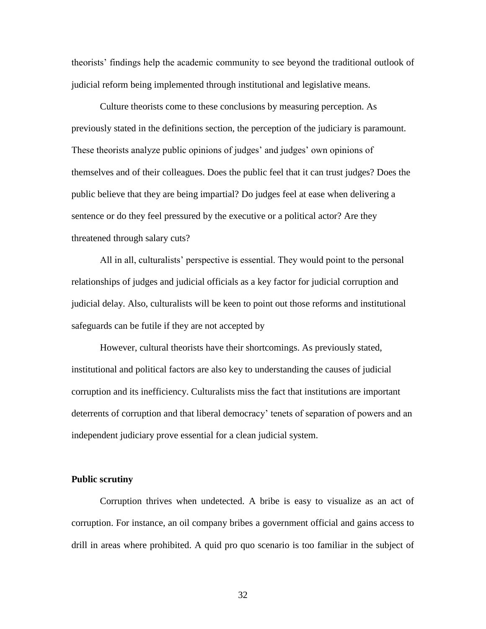theorists' findings help the academic community to see beyond the traditional outlook of judicial reform being implemented through institutional and legislative means.

Culture theorists come to these conclusions by measuring perception. As previously stated in the definitions section, the perception of the judiciary is paramount. These theorists analyze public opinions of judges' and judges' own opinions of themselves and of their colleagues. Does the public feel that it can trust judges? Does the public believe that they are being impartial? Do judges feel at ease when delivering a sentence or do they feel pressured by the executive or a political actor? Are they threatened through salary cuts?

All in all, culturalists' perspective is essential. They would point to the personal relationships of judges and judicial officials as a key factor for judicial corruption and judicial delay. Also, culturalists will be keen to point out those reforms and institutional safeguards can be futile if they are not accepted by

However, cultural theorists have their shortcomings. As previously stated, institutional and political factors are also key to understanding the causes of judicial corruption and its inefficiency. Culturalists miss the fact that institutions are important deterrents of corruption and that liberal democracy' tenets of separation of powers and an independent judiciary prove essential for a clean judicial system.

#### **Public scrutiny**

Corruption thrives when undetected. A bribe is easy to visualize as an act of corruption. For instance, an oil company bribes a government official and gains access to drill in areas where prohibited. A quid pro quo scenario is too familiar in the subject of

32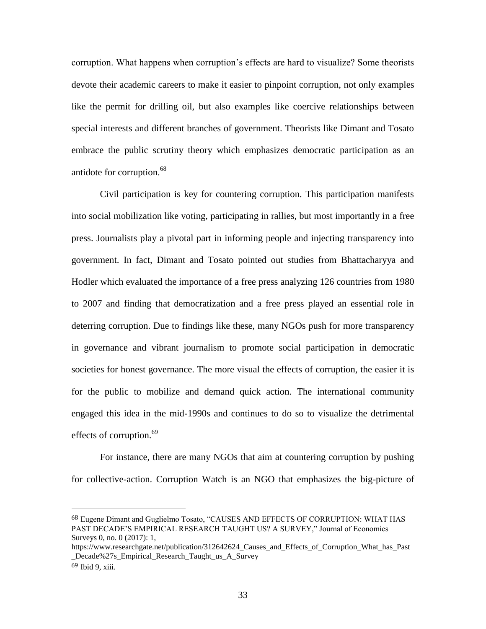corruption. What happens when corruption's effects are hard to visualize? Some theorists devote their academic careers to make it easier to pinpoint corruption, not only examples like the permit for drilling oil, but also examples like coercive relationships between special interests and different branches of government. Theorists like Dimant and Tosato embrace the public scrutiny theory which emphasizes democratic participation as an antidote for corruption.<sup>68</sup>

Civil participation is key for countering corruption. This participation manifests into social mobilization like voting, participating in rallies, but most importantly in a free press. Journalists play a pivotal part in informing people and injecting transparency into government. In fact, Dimant and Tosato pointed out studies from Bhattacharyya and Hodler which evaluated the importance of a free press analyzing 126 countries from 1980 to 2007 and finding that democratization and a free press played an essential role in deterring corruption. Due to findings like these, many NGOs push for more transparency in governance and vibrant journalism to promote social participation in democratic societies for honest governance. The more visual the effects of corruption, the easier it is for the public to mobilize and demand quick action. The international community engaged this idea in the mid-1990s and continues to do so to visualize the detrimental effects of corruption.<sup>69</sup>

For instance, there are many NGOs that aim at countering corruption by pushing for collective-action. Corruption Watch is an NGO that emphasizes the big-picture of

<sup>68</sup> Eugene Dimant and Guglielmo Tosato, "CAUSES AND EFFECTS OF CORRUPTION: WHAT HAS PAST DECADE'S EMPIRICAL RESEARCH TAUGHT US? A SURVEY," Journal of Economics Surveys 0, no. 0 (2017): 1,

https://www.researchgate.net/publication/312642624\_Causes\_and\_Effects\_of\_Corruption\_What\_has\_Past Decade%27s Empirical Research Taught us A Survey

<sup>69</sup> Ibid 9, xiii.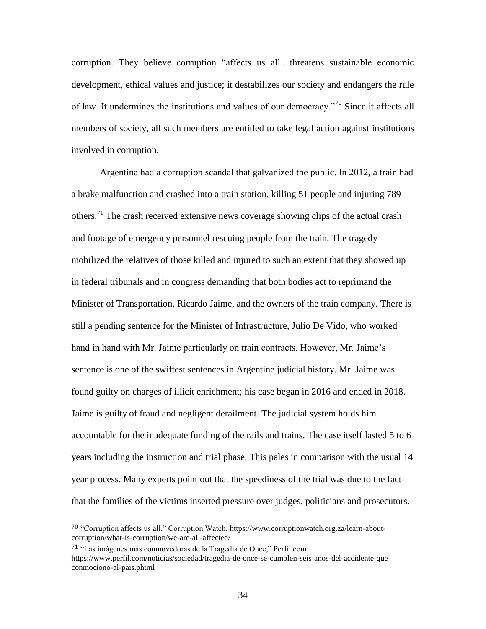corruption. They believe corruption "affects us all…threatens sustainable economic development, ethical values and justice; it destabilizes our society and endangers the rule of law. It undermines the institutions and values of our democracy."<sup>70</sup> Since it affects all members of society, all such members are entitled to take legal action against institutions involved in corruption.

Argentina had a corruption scandal that galvanized the public. In 2012, a train had a brake malfunction and crashed into a train station, killing 51 people and injuring 789 others.<sup>71</sup> The crash received extensive news coverage showing clips of the actual crash and footage of emergency personnel rescuing people from the train. The tragedy mobilized the relatives of those killed and injured to such an extent that they showed up in federal tribunals and in congress demanding that both bodies act to reprimand the Minister of Transportation, Ricardo Jaime, and the owners of the train company. There is still a pending sentence for the Minister of Infrastructure, Julio De Vido, who worked hand in hand with Mr. Jaime particularly on train contracts. However, Mr. Jaime's sentence is one of the swiftest sentences in Argentine judicial history. Mr. Jaime was found guilty on charges of illicit enrichment; his case began in 2016 and ended in 2018. Jaime is guilty of fraud and negligent derailment. The judicial system holds him accountable for the inadequate funding of the rails and trains. The case itself lasted 5 to 6 years including the instruction and trial phase. This pales in comparison with the usual 14 year process. Many experts point out that the speediness of the trial was due to the fact that the families of the victims inserted pressure over judges, politicians and prosecutors.

<sup>70</sup> "Corruption affects us all," Corruption Watch, [https://www.corruptionwatch.org.za/learn-about](https://www.corruptionwatch.org.za/learn-about-corruption/what-is-corruption/we-are-all-affected/)[corruption/what-is-corruption/we-are-all-affected/](https://www.corruptionwatch.org.za/learn-about-corruption/what-is-corruption/we-are-all-affected/)

<sup>71</sup> "Las imágenes más conmovedoras de la Tragedia de Once," Perfil.com [https://www.perfil.com/noticias/sociedad/tragedia-de-once-se-cumplen-seis-anos-del-accidente-que](https://www.perfil.com/noticias/sociedad/tragedia-de-once-se-cumplen-seis-anos-del-accidente-que-conmociono-al-pais.phtml)[conmociono-al-pais.phtml](https://www.perfil.com/noticias/sociedad/tragedia-de-once-se-cumplen-seis-anos-del-accidente-que-conmociono-al-pais.phtml)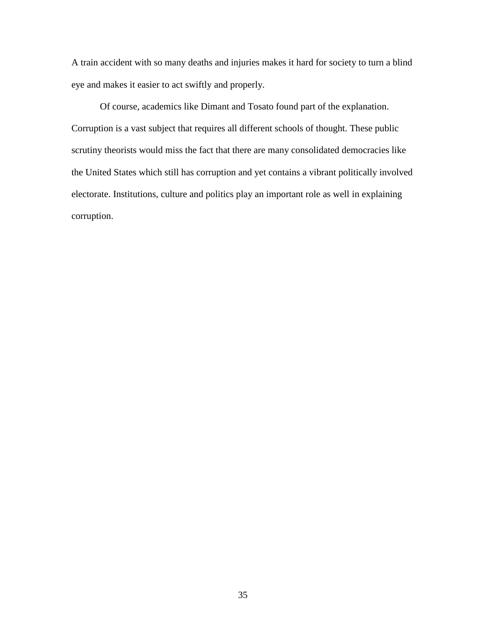A train accident with so many deaths and injuries makes it hard for society to turn a blind eye and makes it easier to act swiftly and properly.

Of course, academics like Dimant and Tosato found part of the explanation. Corruption is a vast subject that requires all different schools of thought. These public scrutiny theorists would miss the fact that there are many consolidated democracies like the United States which still has corruption and yet contains a vibrant politically involved electorate. Institutions, culture and politics play an important role as well in explaining corruption.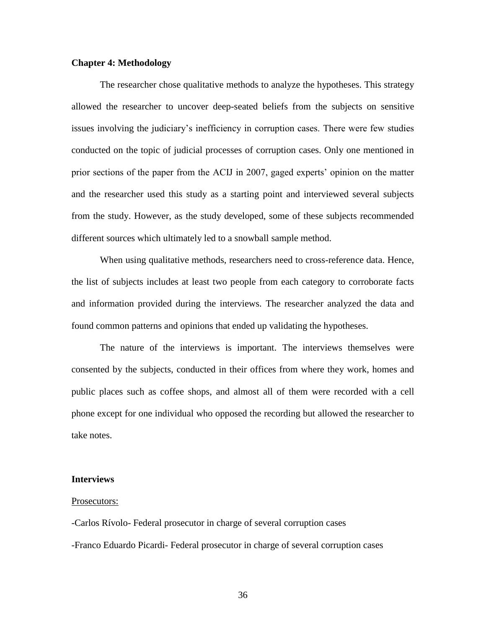# **Chapter 4: Methodology**

The researcher chose qualitative methods to analyze the hypotheses. This strategy allowed the researcher to uncover deep-seated beliefs from the subjects on sensitive issues involving the judiciary's inefficiency in corruption cases. There were few studies conducted on the topic of judicial processes of corruption cases. Only one mentioned in prior sections of the paper from the ACIJ in 2007, gaged experts' opinion on the matter and the researcher used this study as a starting point and interviewed several subjects from the study. However, as the study developed, some of these subjects recommended different sources which ultimately led to a snowball sample method.

When using qualitative methods, researchers need to cross-reference data. Hence, the list of subjects includes at least two people from each category to corroborate facts and information provided during the interviews. The researcher analyzed the data and found common patterns and opinions that ended up validating the hypotheses.

The nature of the interviews is important. The interviews themselves were consented by the subjects, conducted in their offices from where they work, homes and public places such as coffee shops, and almost all of them were recorded with a cell phone except for one individual who opposed the recording but allowed the researcher to take notes.

### **Interviews**

#### Prosecutors:

-Carlos Rívolo- Federal prosecutor in charge of several corruption cases -Franco Eduardo Picardi- Federal prosecutor in charge of several corruption cases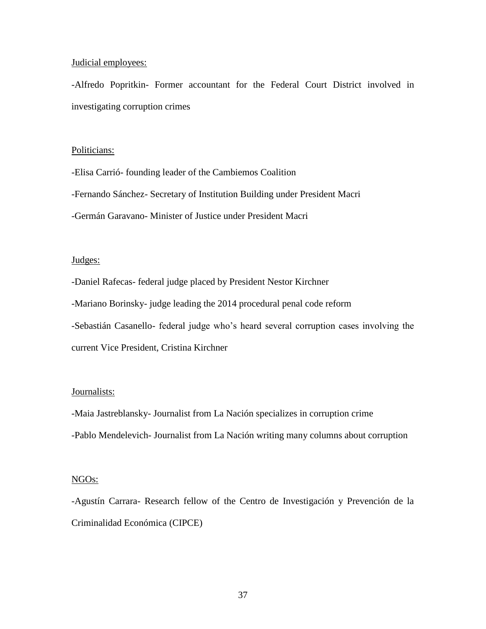### Judicial employees:

-Alfredo Popritkin- Former accountant for the Federal Court District involved in investigating corruption crimes

### Politicians:

-Elisa Carrió- founding leader of the Cambiemos Coalition -Fernando Sánchez- Secretary of Institution Building under President Macri -Germán Garavano- Minister of Justice under President Macri

## Judges:

-Daniel Rafecas- federal judge placed by President Nestor Kirchner -Mariano Borinsky- judge leading the 2014 procedural penal code reform -Sebastián Casanello- federal judge who's heard several corruption cases involving the current Vice President, Cristina Kirchner

# Journalists:

-Maia Jastreblansky- Journalist from La Nación specializes in corruption crime -Pablo Mendelevich- Journalist from La Nación writing many columns about corruption

### NGOs:

-Agustín Carrara- Research fellow of the Centro de Investigación y Prevención de la Criminalidad Económica (CIPCE)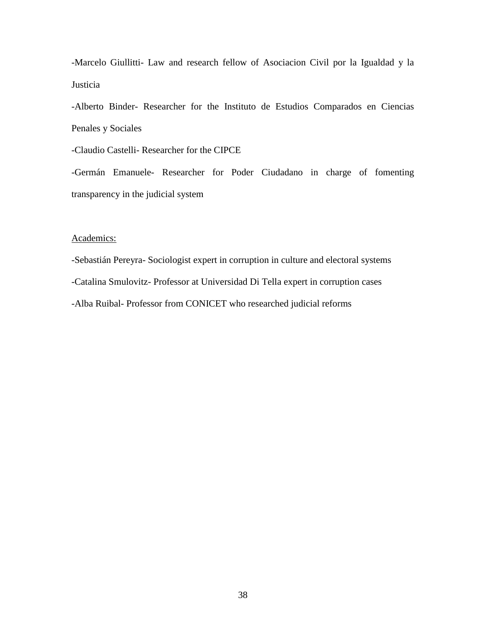-Marcelo Giullitti- Law and research fellow of Asociacion Civil por la Igualdad y la Justicia

-Alberto Binder- Researcher for the Instituto de Estudios Comparados en Ciencias Penales y Sociales

-Claudio Castelli- Researcher for the CIPCE

-Germán Emanuele- Researcher for Poder Ciudadano in charge of fomenting transparency in the judicial system

### Academics:

-Sebastián Pereyra- Sociologist expert in corruption in culture and electoral systems -Catalina Smulovitz- Professor at Universidad Di Tella expert in corruption cases -Alba Ruibal- Professor from CONICET who researched judicial reforms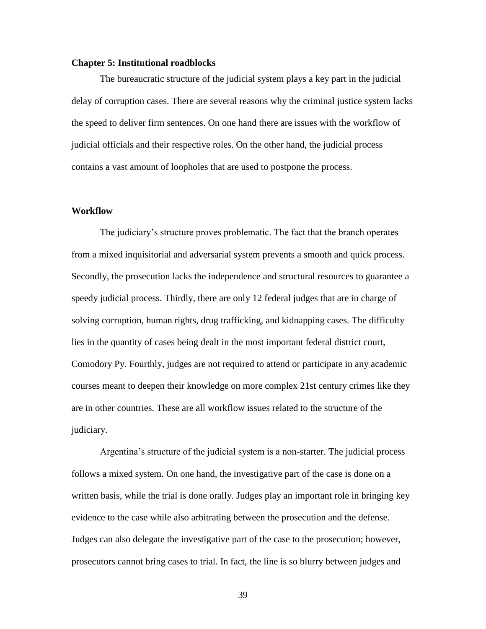### **Chapter 5: Institutional roadblocks**

The bureaucratic structure of the judicial system plays a key part in the judicial delay of corruption cases. There are several reasons why the criminal justice system lacks the speed to deliver firm sentences. On one hand there are issues with the workflow of judicial officials and their respective roles. On the other hand, the judicial process contains a vast amount of loopholes that are used to postpone the process.

#### **Workflow**

The judiciary's structure proves problematic. The fact that the branch operates from a mixed inquisitorial and adversarial system prevents a smooth and quick process. Secondly, the prosecution lacks the independence and structural resources to guarantee a speedy judicial process. Thirdly, there are only 12 federal judges that are in charge of solving corruption, human rights, drug trafficking, and kidnapping cases. The difficulty lies in the quantity of cases being dealt in the most important federal district court, Comodory Py. Fourthly, judges are not required to attend or participate in any academic courses meant to deepen their knowledge on more complex 21st century crimes like they are in other countries. These are all workflow issues related to the structure of the judiciary.

Argentina's structure of the judicial system is a non-starter. The judicial process follows a mixed system. On one hand, the investigative part of the case is done on a written basis, while the trial is done orally. Judges play an important role in bringing key evidence to the case while also arbitrating between the prosecution and the defense. Judges can also delegate the investigative part of the case to the prosecution; however, prosecutors cannot bring cases to trial. In fact, the line is so blurry between judges and

39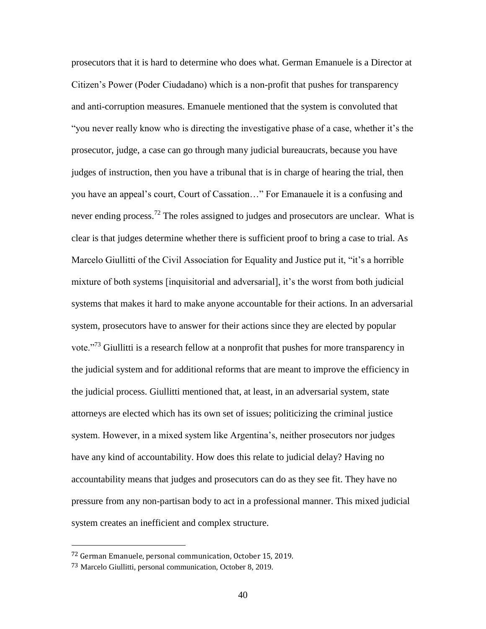prosecutors that it is hard to determine who does what. German Emanuele is a Director at Citizen's Power (Poder Ciudadano) which is a non-profit that pushes for transparency and anti-corruption measures. Emanuele mentioned that the system is convoluted that "you never really know who is directing the investigative phase of a case, whether it's the prosecutor, judge, a case can go through many judicial bureaucrats, because you have judges of instruction, then you have a tribunal that is in charge of hearing the trial, then you have an appeal's court, Court of Cassation…" For Emanauele it is a confusing and never ending process.<sup>72</sup> The roles assigned to judges and prosecutors are unclear. What is clear is that judges determine whether there is sufficient proof to bring a case to trial. As Marcelo Giullitti of the Civil Association for Equality and Justice put it, "it's a horrible mixture of both systems [inquisitorial and adversarial], it's the worst from both judicial systems that makes it hard to make anyone accountable for their actions. In an adversarial system, prosecutors have to answer for their actions since they are elected by popular vote.<sup>73</sup> Giullitti is a research fellow at a nonprofit that pushes for more transparency in the judicial system and for additional reforms that are meant to improve the efficiency in the judicial process. Giullitti mentioned that, at least, in an adversarial system, state attorneys are elected which has its own set of issues; politicizing the criminal justice system. However, in a mixed system like Argentina's, neither prosecutors nor judges have any kind of accountability. How does this relate to judicial delay? Having no accountability means that judges and prosecutors can do as they see fit. They have no pressure from any non-partisan body to act in a professional manner. This mixed judicial system creates an inefficient and complex structure.

<sup>72</sup> German Emanuele, personal communication, October 15, 2019.

<sup>73</sup> Marcelo Giullitti, personal communication, October 8, 2019.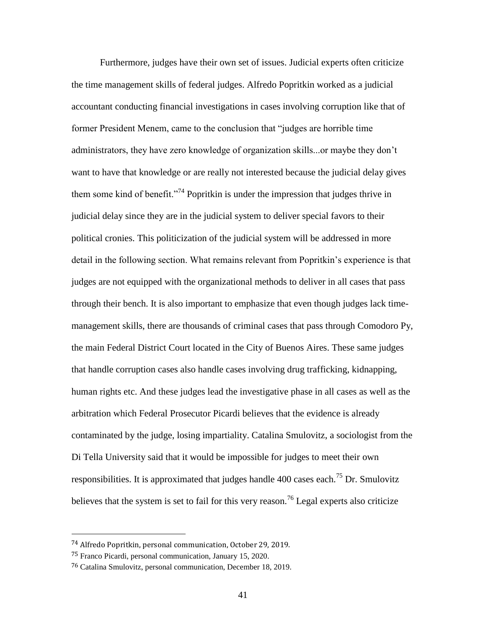Furthermore, judges have their own set of issues. Judicial experts often criticize the time management skills of federal judges. Alfredo Popritkin worked as a judicial accountant conducting financial investigations in cases involving corruption like that of former President Menem, came to the conclusion that "judges are horrible time administrators, they have zero knowledge of organization skills...or maybe they don't want to have that knowledge or are really not interested because the judicial delay gives them some kind of benefit."<sup>74</sup> Popritkin is under the impression that judges thrive in judicial delay since they are in the judicial system to deliver special favors to their political cronies. This politicization of the judicial system will be addressed in more detail in the following section. What remains relevant from Popritkin's experience is that judges are not equipped with the organizational methods to deliver in all cases that pass through their bench. It is also important to emphasize that even though judges lack timemanagement skills, there are thousands of criminal cases that pass through Comodoro Py, the main Federal District Court located in the City of Buenos Aires. These same judges that handle corruption cases also handle cases involving drug trafficking, kidnapping, human rights etc. And these judges lead the investigative phase in all cases as well as the arbitration which Federal Prosecutor Picardi believes that the evidence is already contaminated by the judge, losing impartiality. Catalina Smulovitz, a sociologist from the Di Tella University said that it would be impossible for judges to meet their own responsibilities. It is approximated that judges handle 400 cases each.<sup>75</sup> Dr. Smulovitz believes that the system is set to fail for this very reason.<sup>76</sup> Legal experts also criticize

<sup>74</sup> Alfredo Popritkin, personal communication, October 29, 2019.

<sup>75</sup> Franco Picardi, personal communication, January 15, 2020.

<sup>76</sup> Catalina Smulovitz, personal communication, December 18, 2019.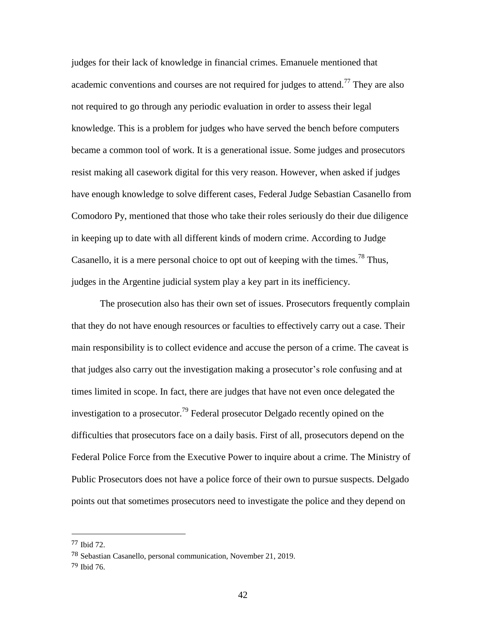judges for their lack of knowledge in financial crimes. Emanuele mentioned that academic conventions and courses are not required for judges to attend.<sup>77</sup> They are also not required to go through any periodic evaluation in order to assess their legal knowledge. This is a problem for judges who have served the bench before computers became a common tool of work. It is a generational issue. Some judges and prosecutors resist making all casework digital for this very reason. However, when asked if judges have enough knowledge to solve different cases, Federal Judge Sebastian Casanello from Comodoro Py, mentioned that those who take their roles seriously do their due diligence in keeping up to date with all different kinds of modern crime. According to Judge Casanello, it is a mere personal choice to opt out of keeping with the times.<sup>78</sup> Thus, judges in the Argentine judicial system play a key part in its inefficiency.

The prosecution also has their own set of issues. Prosecutors frequently complain that they do not have enough resources or faculties to effectively carry out a case. Their main responsibility is to collect evidence and accuse the person of a crime. The caveat is that judges also carry out the investigation making a prosecutor's role confusing and at times limited in scope. In fact, there are judges that have not even once delegated the investigation to a prosecutor.<sup>79</sup> Federal prosecutor Delgado recently opined on the difficulties that prosecutors face on a daily basis. First of all, prosecutors depend on the Federal Police Force from the Executive Power to inquire about a crime. The Ministry of Public Prosecutors does not have a police force of their own to pursue suspects. Delgado points out that sometimes prosecutors need to investigate the police and they depend on

<sup>77</sup> Ibid 72.

<sup>78</sup> Sebastian Casanello, personal communication, November 21, 2019.

<sup>79</sup> Ibid 76.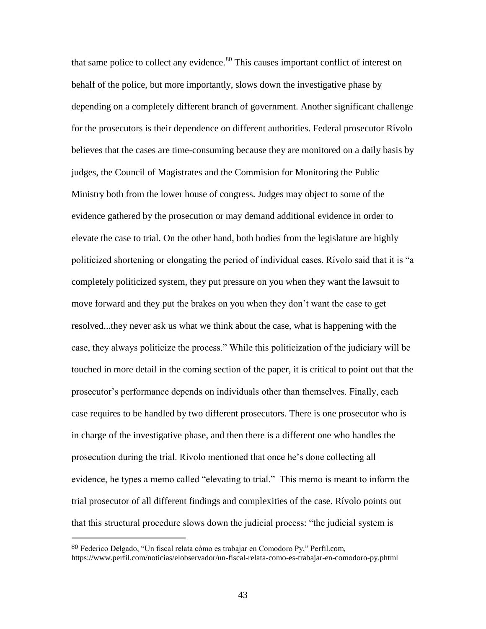that same police to collect any evidence.<sup>80</sup> This causes important conflict of interest on behalf of the police, but more importantly, slows down the investigative phase by depending on a completely different branch of government. Another significant challenge for the prosecutors is their dependence on different authorities. Federal prosecutor Rívolo believes that the cases are time-consuming because they are monitored on a daily basis by judges, the Council of Magistrates and the Commision for Monitoring the Public Ministry both from the lower house of congress. Judges may object to some of the evidence gathered by the prosecution or may demand additional evidence in order to elevate the case to trial. On the other hand, both bodies from the legislature are highly politicized shortening or elongating the period of individual cases. Rívolo said that it is "a completely politicized system, they put pressure on you when they want the lawsuit to move forward and they put the brakes on you when they don't want the case to get resolved...they never ask us what we think about the case, what is happening with the case, they always politicize the process." While this politicization of the judiciary will be touched in more detail in the coming section of the paper, it is critical to point out that the prosecutor's performance depends on individuals other than themselves. Finally, each case requires to be handled by two different prosecutors. There is one prosecutor who is in charge of the investigative phase, and then there is a different one who handles the prosecution during the trial. Rívolo mentioned that once he's done collecting all evidence, he types a memo called "elevating to trial." This memo is meant to inform the trial prosecutor of all different findings and complexities of the case. Rívolo points out that this structural procedure slows down the judicial process: "the judicial system is

l

<sup>80</sup> Federico Delgado, "Un fiscal relata cómo es trabajar en Comodoro Py," Perfil.com, <https://www.perfil.com/noticias/elobservador/un-fiscal-relata-como-es-trabajar-en-comodoro-py.phtml>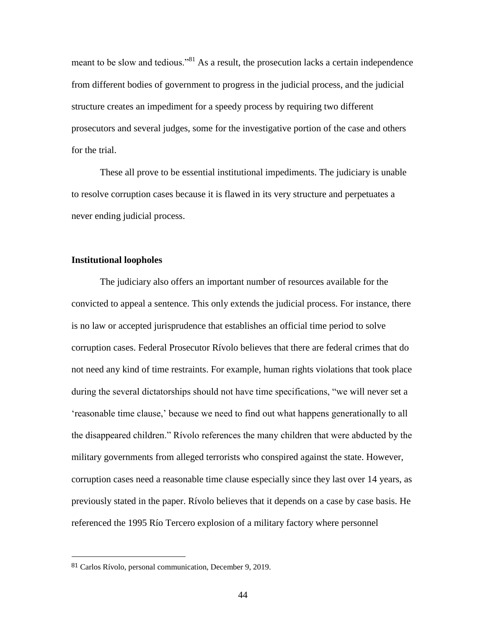meant to be slow and tedious."<sup>81</sup> As a result, the prosecution lacks a certain independence from different bodies of government to progress in the judicial process, and the judicial structure creates an impediment for a speedy process by requiring two different prosecutors and several judges, some for the investigative portion of the case and others for the trial.

These all prove to be essential institutional impediments. The judiciary is unable to resolve corruption cases because it is flawed in its very structure and perpetuates a never ending judicial process.

# **Institutional loopholes**

The judiciary also offers an important number of resources available for the convicted to appeal a sentence. This only extends the judicial process. For instance, there is no law or accepted jurisprudence that establishes an official time period to solve corruption cases. Federal Prosecutor Rívolo believes that there are federal crimes that do not need any kind of time restraints. For example, human rights violations that took place during the several dictatorships should not have time specifications, "we will never set a 'reasonable time clause,' because we need to find out what happens generationally to all the disappeared children." Rívolo references the many children that were abducted by the military governments from alleged terrorists who conspired against the state. However, corruption cases need a reasonable time clause especially since they last over 14 years, as previously stated in the paper. Rívolo believes that it depends on a case by case basis. He referenced the 1995 Río Tercero explosion of a military factory where personnel

l

<sup>81</sup> Carlos Rívolo, personal communication, December 9, 2019.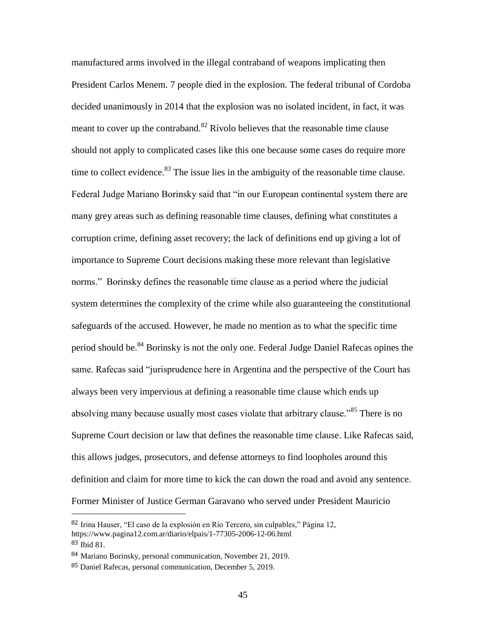manufactured arms involved in the illegal contraband of weapons implicating then President Carlos Menem. 7 people died in the explosion. The federal tribunal of Cordoba decided unanimously in 2014 that the explosion was no isolated incident, in fact, it was meant to cover up the contraband. $82$  Rívolo believes that the reasonable time clause should not apply to complicated cases like this one because some cases do require more time to collect evidence. $83$  The issue lies in the ambiguity of the reasonable time clause. Federal Judge Mariano Borinsky said that "in our European continental system there are many grey areas such as defining reasonable time clauses, defining what constitutes a corruption crime, defining asset recovery; the lack of definitions end up giving a lot of importance to Supreme Court decisions making these more relevant than legislative norms." Borinsky defines the reasonable time clause as a period where the judicial system determines the complexity of the crime while also guaranteeing the constitutional safeguards of the accused. However, he made no mention as to what the specific time period should be.<sup>84</sup> Borinsky is not the only one. Federal Judge Daniel Rafecas opines the same. Rafecas said "jurisprudence here in Argentina and the perspective of the Court has always been very impervious at defining a reasonable time clause which ends up absolving many because usually most cases violate that arbitrary clause.<sup>585</sup> There is no Supreme Court decision or law that defines the reasonable time clause. Like Rafecas said, this allows judges, prosecutors, and defense attorneys to find loopholes around this definition and claim for more time to kick the can down the road and avoid any sentence. Former Minister of Justice German Garavano who served under President Mauricio

<sup>82</sup> Irina Hauser, "El caso de la explosión en Río Tercero, sin culpables," Página 12, <https://www.pagina12.com.ar/diario/elpais/1-77305-2006-12-06.html>

<sup>83</sup> Ibid 81.

<sup>84</sup> Mariano Borinsky, personal communication, November 21, 2019.

<sup>85</sup> Daniel Rafecas, personal communication, December 5, 2019.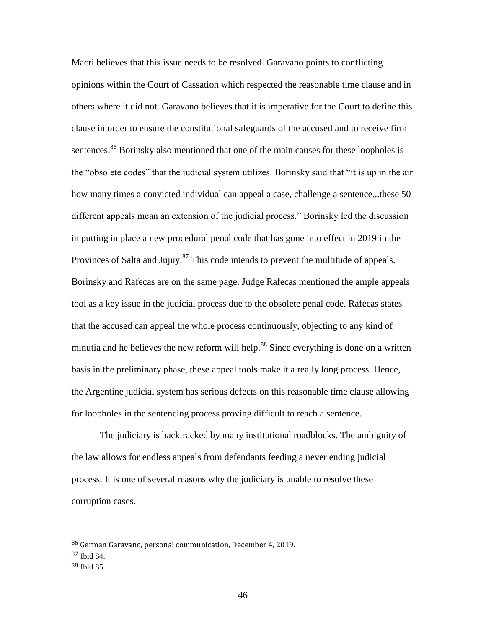Macri believes that this issue needs to be resolved. Garavano points to conflicting opinions within the Court of Cassation which respected the reasonable time clause and in others where it did not. Garavano believes that it is imperative for the Court to define this clause in order to ensure the constitutional safeguards of the accused and to receive firm sentences.<sup>86</sup> Borinsky also mentioned that one of the main causes for these loopholes is the "obsolete codes" that the judicial system utilizes. Borinsky said that "it is up in the air how many times a convicted individual can appeal a case, challenge a sentence...these 50 different appeals mean an extension of the judicial process." Borinsky led the discussion in putting in place a new procedural penal code that has gone into effect in 2019 in the Provinces of Salta and Jujuy.<sup>87</sup> This code intends to prevent the multitude of appeals. Borinsky and Rafecas are on the same page. Judge Rafecas mentioned the ample appeals tool as a key issue in the judicial process due to the obsolete penal code. Rafecas states that the accused can appeal the whole process continuously, objecting to any kind of minutia and he believes the new reform will help.<sup>88</sup> Since everything is done on a written basis in the preliminary phase, these appeal tools make it a really long process. Hence, the Argentine judicial system has serious defects on this reasonable time clause allowing for loopholes in the sentencing process proving difficult to reach a sentence.

The judiciary is backtracked by many institutional roadblocks. The ambiguity of the law allows for endless appeals from defendants feeding a never ending judicial process. It is one of several reasons why the judiciary is unable to resolve these corruption cases.

<sup>86</sup> German Garavano, personal communication, December 4, 2019.

<sup>87</sup> Ibid 84.

<sup>88</sup> Ibid 85.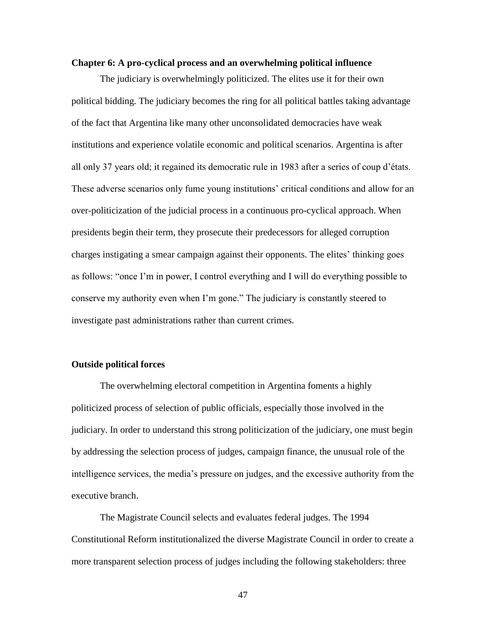#### **Chapter 6: A pro-cyclical process and an overwhelming political influence**

The judiciary is overwhelmingly politicized. The elites use it for their own political bidding. The judiciary becomes the ring for all political battles taking advantage of the fact that Argentina like many other unconsolidated democracies have weak institutions and experience volatile economic and political scenarios. Argentina is after all only 37 years old; it regained its democratic rule in 1983 after a series of coup d'états. These adverse scenarios only fume young institutions' critical conditions and allow for an over-politicization of the judicial process in a continuous pro-cyclical approach. When presidents begin their term, they prosecute their predecessors for alleged corruption charges instigating a smear campaign against their opponents. The elites' thinking goes as follows: "once I'm in power, I control everything and I will do everything possible to conserve my authority even when I'm gone." The judiciary is constantly steered to investigate past administrations rather than current crimes.

### **Outside political forces**

The overwhelming electoral competition in Argentina foments a highly politicized process of selection of public officials, especially those involved in the judiciary. In order to understand this strong politicization of the judiciary, one must begin by addressing the selection process of judges, campaign finance, the unusual role of the intelligence services, the media's pressure on judges, and the excessive authority from the executive branch.

The Magistrate Council selects and evaluates federal judges. The 1994 Constitutional Reform institutionalized the diverse Magistrate Council in order to create a more transparent selection process of judges including the following stakeholders: three

47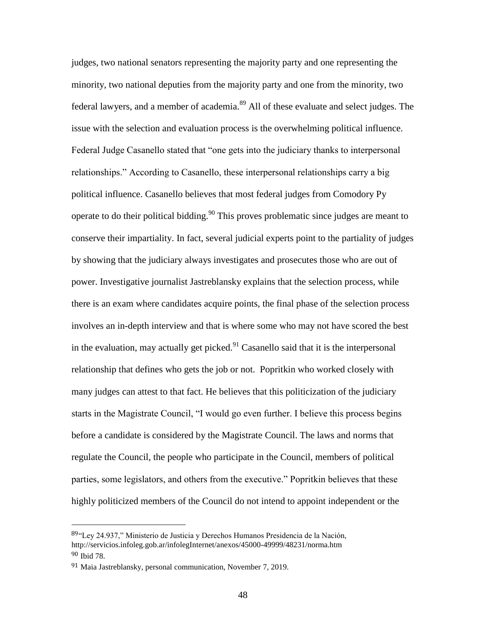judges, two national senators representing the majority party and one representing the minority, two national deputies from the majority party and one from the minority, two federal lawyers, and a member of academia.<sup>89</sup> All of these evaluate and select judges. The issue with the selection and evaluation process is the overwhelming political influence. Federal Judge Casanello stated that "one gets into the judiciary thanks to interpersonal relationships." According to Casanello, these interpersonal relationships carry a big political influence. Casanello believes that most federal judges from Comodory Py operate to do their political bidding.<sup>90</sup> This proves problematic since judges are meant to conserve their impartiality. In fact, several judicial experts point to the partiality of judges by showing that the judiciary always investigates and prosecutes those who are out of power. Investigative journalist Jastreblansky explains that the selection process, while there is an exam where candidates acquire points, the final phase of the selection process involves an in-depth interview and that is where some who may not have scored the best in the evaluation, may actually get picked. $91$  Casanello said that it is the interpersonal relationship that defines who gets the job or not. Popritkin who worked closely with many judges can attest to that fact. He believes that this politicization of the judiciary starts in the Magistrate Council, "I would go even further. I believe this process begins before a candidate is considered by the Magistrate Council. The laws and norms that regulate the Council, the people who participate in the Council, members of political parties, some legislators, and others from the executive." Popritkin believes that these highly politicized members of the Council do not intend to appoint independent or the

l

<sup>89&</sup>quot;Ley 24.937," Ministerio de Justicia y Derechos Humanos Presidencia de la Nación, <http://servicios.infoleg.gob.ar/infolegInternet/anexos/45000-49999/48231/norma.htm> 90 Ibid 78.

<sup>91</sup> Maia Jastreblansky, personal communication, November 7, 2019.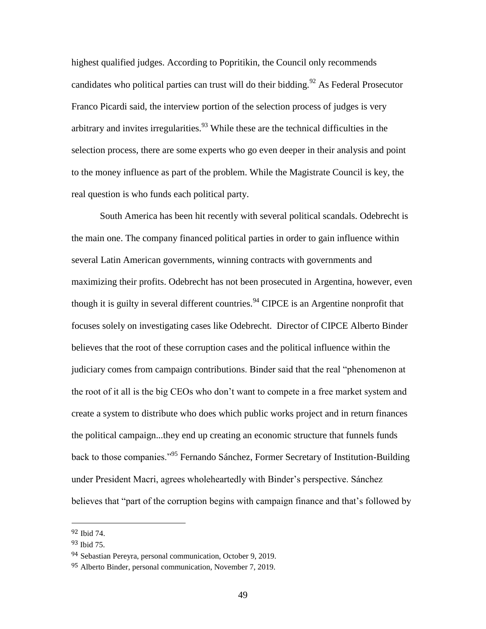highest qualified judges. According to Popritikin, the Council only recommends candidates who political parties can trust will do their bidding.<sup>92</sup> As Federal Prosecutor Franco Picardi said, the interview portion of the selection process of judges is very arbitrary and invites irregularities.<sup>93</sup> While these are the technical difficulties in the selection process, there are some experts who go even deeper in their analysis and point to the money influence as part of the problem. While the Magistrate Council is key, the real question is who funds each political party.

South America has been hit recently with several political scandals. Odebrecht is the main one. The company financed political parties in order to gain influence within several Latin American governments, winning contracts with governments and maximizing their profits. Odebrecht has not been prosecuted in Argentina, however, even though it is guilty in several different countries.<sup>94</sup> CIPCE is an Argentine nonprofit that focuses solely on investigating cases like Odebrecht. Director of CIPCE Alberto Binder believes that the root of these corruption cases and the political influence within the judiciary comes from campaign contributions. Binder said that the real "phenomenon at the root of it all is the big CEOs who don't want to compete in a free market system and create a system to distribute who does which public works project and in return finances the political campaign...they end up creating an economic structure that funnels funds back to those companies."<sup>95</sup> Fernando Sánchez, Former Secretary of Institution-Building under President Macri, agrees wholeheartedly with Binder's perspective. Sánchez believes that "part of the corruption begins with campaign finance and that's followed by

<sup>92</sup> Ibid 74.

<sup>93</sup> Ibid 75.

<sup>94</sup> Sebastian Pereyra, personal communication, October 9, 2019.

<sup>&</sup>lt;sup>95</sup> Alberto Binder, personal communication, November 7, 2019.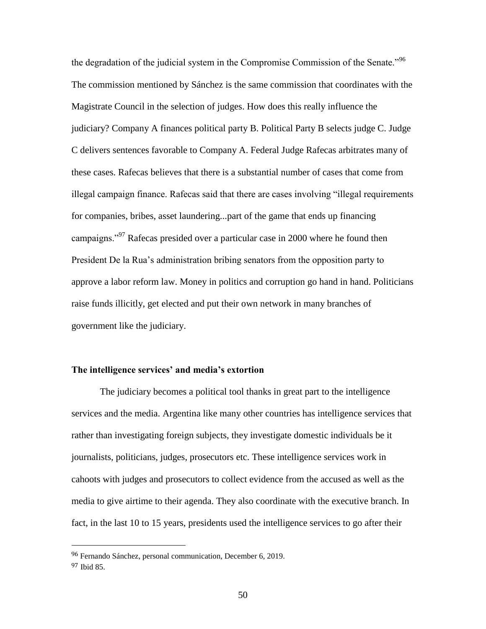the degradation of the judicial system in the Compromise Commission of the Senate.<sup>"96</sup> The commission mentioned by Sánchez is the same commission that coordinates with the Magistrate Council in the selection of judges. How does this really influence the judiciary? Company A finances political party B. Political Party B selects judge C. Judge C delivers sentences favorable to Company A. Federal Judge Rafecas arbitrates many of these cases. Rafecas believes that there is a substantial number of cases that come from illegal campaign finance. Rafecas said that there are cases involving "illegal requirements for companies, bribes, asset laundering...part of the game that ends up financing campaigns."<sup>97</sup> Rafecas presided over a particular case in 2000 where he found then President De la Rua's administration bribing senators from the opposition party to approve a labor reform law. Money in politics and corruption go hand in hand. Politicians raise funds illicitly, get elected and put their own network in many branches of government like the judiciary.

### **The intelligence services' and media's extortion**

The judiciary becomes a political tool thanks in great part to the intelligence services and the media. Argentina like many other countries has intelligence services that rather than investigating foreign subjects, they investigate domestic individuals be it journalists, politicians, judges, prosecutors etc. These intelligence services work in cahoots with judges and prosecutors to collect evidence from the accused as well as the media to give airtime to their agenda. They also coordinate with the executive branch. In fact, in the last 10 to 15 years, presidents used the intelligence services to go after their

<sup>96</sup> Fernando Sánchez, personal communication, December 6, 2019.

<sup>97</sup> Ibid 85.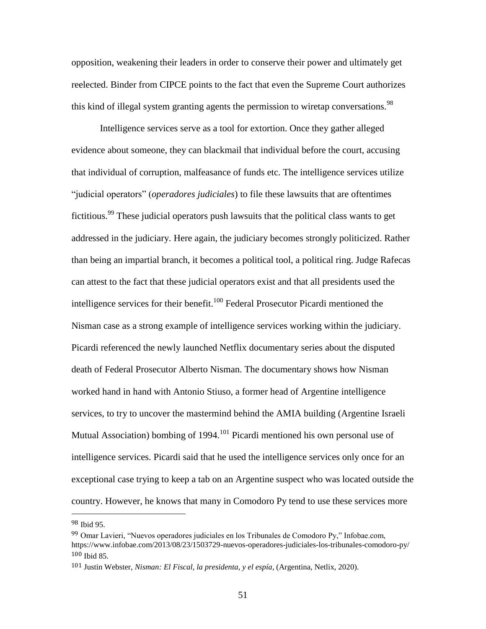opposition, weakening their leaders in order to conserve their power and ultimately get reelected. Binder from CIPCE points to the fact that even the Supreme Court authorizes this kind of illegal system granting agents the permission to wiretap conversations.<sup>98</sup>

Intelligence services serve as a tool for extortion. Once they gather alleged evidence about someone, they can blackmail that individual before the court, accusing that individual of corruption, malfeasance of funds etc. The intelligence services utilize "judicial operators" (*operadores judiciales*) to file these lawsuits that are oftentimes fictitious.<sup>99</sup> These judicial operators push lawsuits that the political class wants to get addressed in the judiciary. Here again, the judiciary becomes strongly politicized. Rather than being an impartial branch, it becomes a political tool, a political ring. Judge Rafecas can attest to the fact that these judicial operators exist and that all presidents used the intelligence services for their benefit.<sup>100</sup> Federal Prosecutor Picardi mentioned the Nisman case as a strong example of intelligence services working within the judiciary. Picardi referenced the newly launched Netflix documentary series about the disputed death of Federal Prosecutor Alberto Nisman. The documentary shows how Nisman worked hand in hand with Antonio Stiuso, a former head of Argentine intelligence services, to try to uncover the mastermind behind the AMIA building (Argentine Israeli Mutual Association) bombing of 1994.<sup>101</sup> Picardi mentioned his own personal use of intelligence services. Picardi said that he used the intelligence services only once for an exceptional case trying to keep a tab on an Argentine suspect who was located outside the country. However, he knows that many in Comodoro Py tend to use these services more

<sup>98</sup> Ibid 95.

<sup>99</sup> Omar Lavieri, "Nuevos operadores judiciales en los Tribunales de Comodoro Py," Infobae.com, <https://www.infobae.com/2013/08/23/1503729-nuevos-operadores-judiciales-los-tribunales-comodoro-py/> 100 Ibid 85.

<sup>101</sup> Justin Webster, *Nisman: El Fiscal, la presidenta, y el espía*, (Argentina, Netlix, 2020).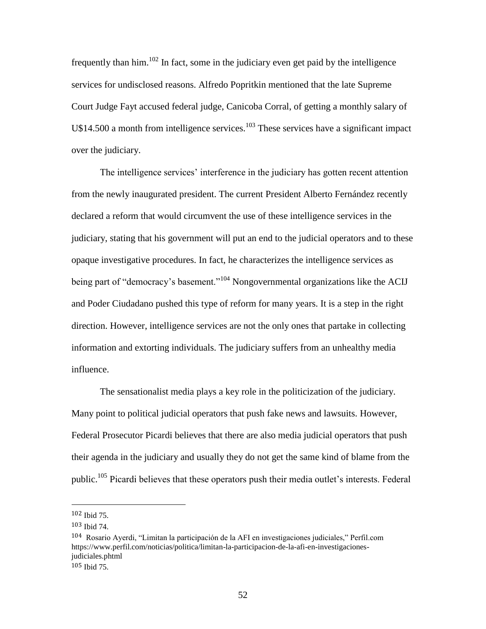frequently than  $\lim_{n \to \infty} 102$  In fact, some in the judiciary even get paid by the intelligence services for undisclosed reasons. Alfredo Popritkin mentioned that the late Supreme Court Judge Fayt accused federal judge, Canicoba Corral, of getting a monthly salary of U\$14.500 a month from intelligence services.<sup>103</sup> These services have a significant impact over the judiciary.

The intelligence services' interference in the judiciary has gotten recent attention from the newly inaugurated president. The current President Alberto Fernández recently declared a reform that would circumvent the use of these intelligence services in the judiciary, stating that his government will put an end to the judicial operators and to these opaque investigative procedures. In fact, he characterizes the intelligence services as being part of "democracy's basement."<sup>104</sup> Nongovernmental organizations like the ACIJ and Poder Ciudadano pushed this type of reform for many years. It is a step in the right direction. However, intelligence services are not the only ones that partake in collecting information and extorting individuals. The judiciary suffers from an unhealthy media influence.

The sensationalist media plays a key role in the politicization of the judiciary. Many point to political judicial operators that push fake news and lawsuits. However, Federal Prosecutor Picardi believes that there are also media judicial operators that push their agenda in the judiciary and usually they do not get the same kind of blame from the public.<sup>105</sup> Picardi believes that these operators push their media outlet's interests. Federal

l

<sup>102</sup> Ibid 75.

<sup>103</sup> Ibid 74.

<sup>104</sup> Rosario Ayerdi, "Limitan la participación de la AFI en investigaciones judiciales," Perfil.com https://www.perfil.com/noticias/politica/limitan-la-participacion-de-la-afi-en-investigacionesjudiciales.phtml 105 Ibid 75.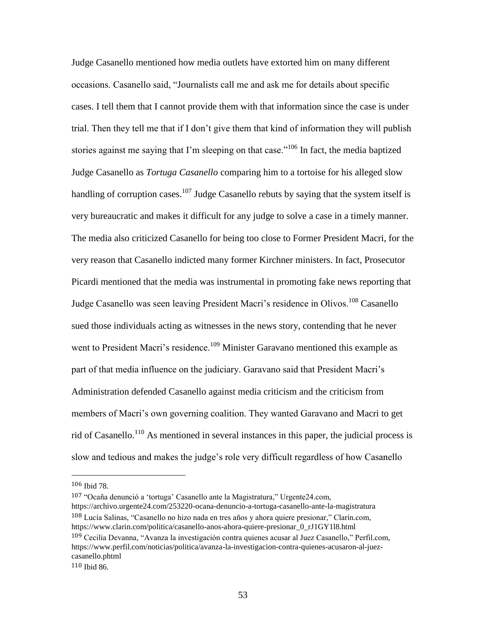Judge Casanello mentioned how media outlets have extorted him on many different occasions. Casanello said, "Journalists call me and ask me for details about specific cases. I tell them that I cannot provide them with that information since the case is under trial. Then they tell me that if I don't give them that kind of information they will publish stories against me saying that I'm sleeping on that case."<sup>106</sup> In fact, the media baptized Judge Casanello as *Tortuga Casanello* comparing him to a tortoise for his alleged slow handling of corruption cases.<sup>107</sup> Judge Casanello rebuts by saying that the system itself is very bureaucratic and makes it difficult for any judge to solve a case in a timely manner. The media also criticized Casanello for being too close to Former President Macri, for the very reason that Casanello indicted many former Kirchner ministers. In fact, Prosecutor Picardi mentioned that the media was instrumental in promoting fake news reporting that Judge Casanello was seen leaving President Macri's residence in Olivos.<sup>108</sup> Casanello sued those individuals acting as witnesses in the news story, contending that he never went to President Macri's residence.<sup>109</sup> Minister Garavano mentioned this example as part of that media influence on the judiciary. Garavano said that President Macri's Administration defended Casanello against media criticism and the criticism from members of Macri's own governing coalition. They wanted Garavano and Macri to get rid of Casanello.<sup>110</sup> As mentioned in several instances in this paper, the judicial process is slow and tedious and makes the judge's role very difficult regardless of how Casanello

l

107 "Ocaña denunció a 'tortuga' Casanello ante la Magistratura," Urgente24.com, <https://archivo.urgente24.com/253220-ocana-denuncio-a-tortuga-casanello-ante-la-magistratura> 108 Lucía Salinas, "Casanello no hizo nada en tres años y ahora quiere presionar," Clarín.com, [https://www.clarin.com/politica/casanello-anos-ahora-quiere-presionar\\_0\\_rJ1GY1l8.html](https://www.clarin.com/politica/casanello-anos-ahora-quiere-presionar_0_rJ1GY1l8.html) 109 Cecilia Devanna, "Avanza la investigación contra quienes acusar al Juez Casanello," Perfil.com, [https://www.perfil.com/noticias/politica/avanza-la-investigacion-contra-quienes-acusaron-al-juez](https://www.perfil.com/noticias/politica/avanza-la-investigacion-contra-quienes-acusaron-al-juez-casanello.phtml)[casanello.phtml](https://www.perfil.com/noticias/politica/avanza-la-investigacion-contra-quienes-acusaron-al-juez-casanello.phtml)

<sup>106</sup> Ibid 78.

<sup>110</sup> Ibid 86.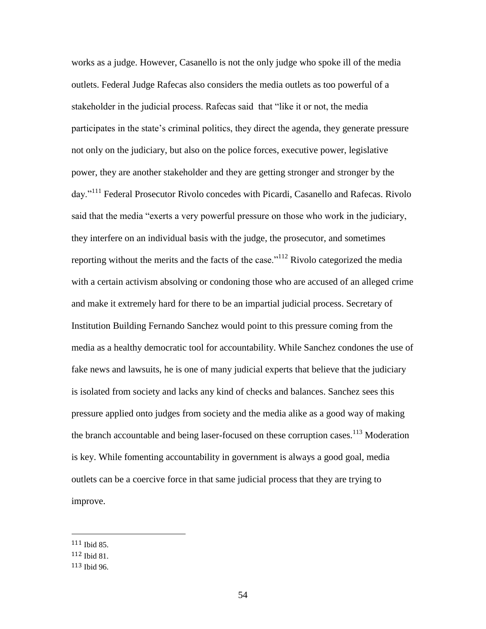works as a judge. However, Casanello is not the only judge who spoke ill of the media outlets. Federal Judge Rafecas also considers the media outlets as too powerful of a stakeholder in the judicial process. Rafecas said that "like it or not, the media participates in the state's criminal politics, they direct the agenda, they generate pressure not only on the judiciary, but also on the police forces, executive power, legislative power, they are another stakeholder and they are getting stronger and stronger by the day."<sup>111</sup> Federal Prosecutor Rivolo concedes with Picardi, Casanello and Rafecas. Rivolo said that the media "exerts a very powerful pressure on those who work in the judiciary, they interfere on an individual basis with the judge, the prosecutor, and sometimes reporting without the merits and the facts of the case."<sup>112</sup> Rivolo categorized the media with a certain activism absolving or condoning those who are accused of an alleged crime and make it extremely hard for there to be an impartial judicial process. Secretary of Institution Building Fernando Sanchez would point to this pressure coming from the media as a healthy democratic tool for accountability. While Sanchez condones the use of fake news and lawsuits, he is one of many judicial experts that believe that the judiciary is isolated from society and lacks any kind of checks and balances. Sanchez sees this pressure applied onto judges from society and the media alike as a good way of making the branch accountable and being laser-focused on these corruption cases.<sup>113</sup> Moderation is key. While fomenting accountability in government is always a good goal, media outlets can be a coercive force in that same judicial process that they are trying to improve.

<sup>111</sup> Ibid 85.

<sup>112</sup> Ibid 81.

<sup>113</sup> Ibid 96.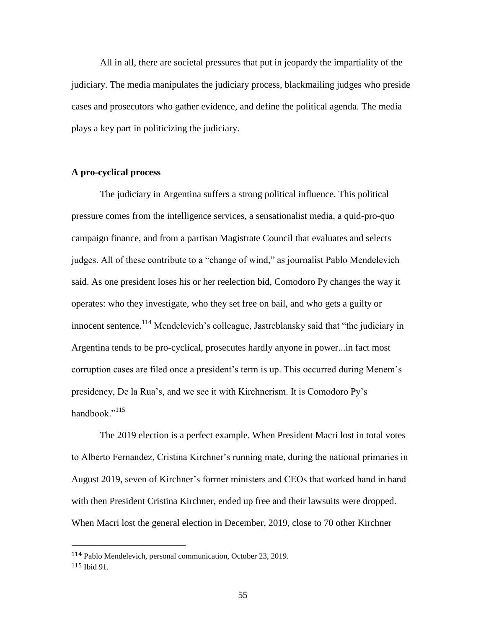All in all, there are societal pressures that put in jeopardy the impartiality of the judiciary. The media manipulates the judiciary process, blackmailing judges who preside cases and prosecutors who gather evidence, and define the political agenda. The media plays a key part in politicizing the judiciary.

# **A pro-cyclical process**

The judiciary in Argentina suffers a strong political influence. This political pressure comes from the intelligence services, a sensationalist media, a quid-pro-quo campaign finance, and from a partisan Magistrate Council that evaluates and selects judges. All of these contribute to a "change of wind," as journalist Pablo Mendelevich said. As one president loses his or her reelection bid, Comodoro Py changes the way it operates: who they investigate, who they set free on bail, and who gets a guilty or innocent sentence.<sup>114</sup> Mendelevich's colleague, Jastreblansky said that "the judiciary in Argentina tends to be pro-cyclical, prosecutes hardly anyone in power...in fact most corruption cases are filed once a president's term is up. This occurred during Menem's presidency, De la Rua's, and we see it with Kirchnerism. It is Comodoro Py's handbook $"$ <sup>115</sup>

The 2019 election is a perfect example. When President Macri lost in total votes to Alberto Fernandez, Cristina Kirchner's running mate, during the national primaries in August 2019, seven of Kirchner's former ministers and CEOs that worked hand in hand with then President Cristina Kirchner, ended up free and their lawsuits were dropped. When Macri lost the general election in December, 2019, close to 70 other Kirchner

<sup>114</sup> Pablo Mendelevich, personal communication, October 23, 2019. 115 Ibid 91.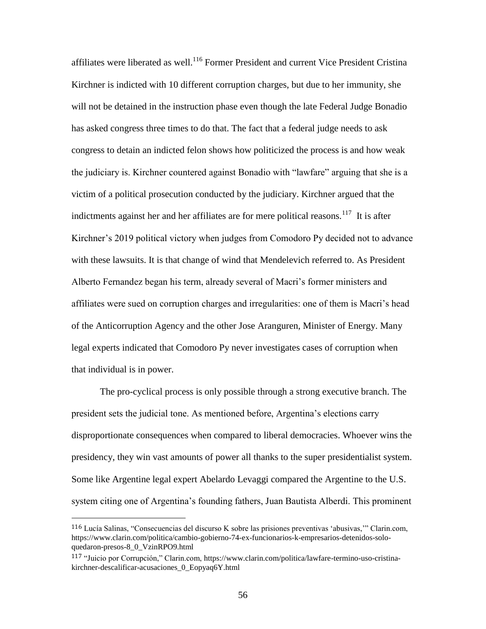affiliates were liberated as well.<sup>116</sup> Former President and current Vice President Cristina Kirchner is indicted with 10 different corruption charges, but due to her immunity, she will not be detained in the instruction phase even though the late Federal Judge Bonadio has asked congress three times to do that. The fact that a federal judge needs to ask congress to detain an indicted felon shows how politicized the process is and how weak the judiciary is. Kirchner countered against Bonadio with "lawfare" arguing that she is a victim of a political prosecution conducted by the judiciary. Kirchner argued that the indictments against her and her affiliates are for mere political reasons.<sup>117</sup> It is after Kirchner's 2019 political victory when judges from Comodoro Py decided not to advance with these lawsuits. It is that change of wind that Mendelevich referred to. As President Alberto Fernandez began his term, already several of Macri's former ministers and affiliates were sued on corruption charges and irregularities: one of them is Macri's head of the Anticorruption Agency and the other Jose Aranguren, Minister of Energy. Many legal experts indicated that Comodoro Py never investigates cases of corruption when that individual is in power.

The pro-cyclical process is only possible through a strong executive branch. The president sets the judicial tone. As mentioned before, Argentina's elections carry disproportionate consequences when compared to liberal democracies. Whoever wins the presidency, they win vast amounts of power all thanks to the super presidentialist system. Some like Argentine legal expert Abelardo Levaggi compared the Argentine to the U.S. system citing one of Argentina's founding fathers, Juan Bautista Alberdi. This prominent

<sup>116</sup> Lucía Salinas, "Consecuencias del discurso K sobre las prisiones preventivas 'abusivas,'" Clarin.com, [https://www.clarin.com/politica/cambio-gobierno-74-ex-funcionarios-k-empresarios-detenidos-solo](https://www.clarin.com/politica/cambio-gobierno-74-ex-funcionarios-k-empresarios-detenidos-solo-quedaron-presos-8_0_VzinRPO9.html)[quedaron-presos-8\\_0\\_VzinRPO9.html](https://www.clarin.com/politica/cambio-gobierno-74-ex-funcionarios-k-empresarios-detenidos-solo-quedaron-presos-8_0_VzinRPO9.html)

<sup>117</sup> "Juicio por Corrupción," Clarin.com, [https://www.clarin.com/politica/lawfare-termino-uso-cristina](https://www.clarin.com/politica/lawfare-termino-uso-cristina-kirchner-descalificar-acusaciones_0_Eopyaq6Y.html)[kirchner-descalificar-acusaciones\\_0\\_Eopyaq6Y.html](https://www.clarin.com/politica/lawfare-termino-uso-cristina-kirchner-descalificar-acusaciones_0_Eopyaq6Y.html)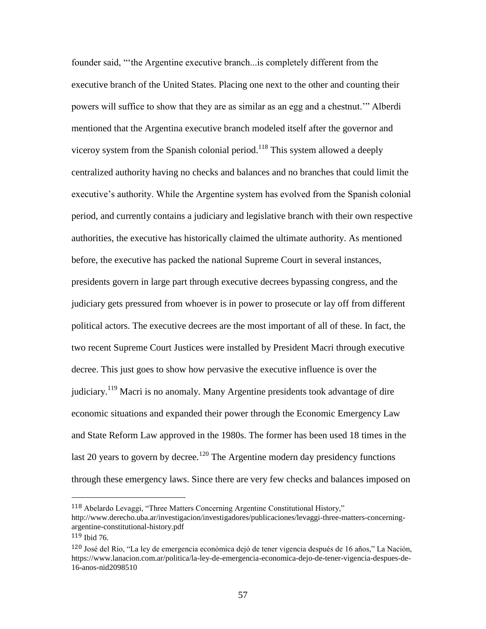founder said, "'the Argentine executive branch...is completely different from the executive branch of the United States. Placing one next to the other and counting their powers will suffice to show that they are as similar as an egg and a chestnut.'" Alberdi mentioned that the Argentina executive branch modeled itself after the governor and viceroy system from the Spanish colonial period.<sup>118</sup> This system allowed a deeply centralized authority having no checks and balances and no branches that could limit the executive's authority. While the Argentine system has evolved from the Spanish colonial period, and currently contains a judiciary and legislative branch with their own respective authorities, the executive has historically claimed the ultimate authority. As mentioned before, the executive has packed the national Supreme Court in several instances, presidents govern in large part through executive decrees bypassing congress, and the judiciary gets pressured from whoever is in power to prosecute or lay off from different political actors. The executive decrees are the most important of all of these. In fact, the two recent Supreme Court Justices were installed by President Macri through executive decree. This just goes to show how pervasive the executive influence is over the judiciary.<sup>119</sup> Macri is no anomaly. Many Argentine presidents took advantage of dire economic situations and expanded their power through the Economic Emergency Law and State Reform Law approved in the 1980s. The former has been used 18 times in the last 20 years to govern by decree.<sup>120</sup> The Argentine modern day presidency functions through these emergency laws. Since there are very few checks and balances imposed on

<sup>118</sup> Abelardo Levaggi, "Three Matters Concerning Argentine Constitutional History," [http://www.derecho.uba.ar/investigacion/investigadores/publicaciones/levaggi-three-matters-concerning](http://www.derecho.uba.ar/investigacion/investigadores/publicaciones/levaggi-three-matters-concerning-argentine-constitutional-history.pdf)[argentine-constitutional-history.pdf](http://www.derecho.uba.ar/investigacion/investigadores/publicaciones/levaggi-three-matters-concerning-argentine-constitutional-history.pdf)

<sup>119</sup> Ibid 76.

<sup>120</sup> José del Río, "La ley de emergencia económica dejó de tener vigencia después de 16 años," La Nación, [https://www.lanacion.com.ar/politica/la-ley-de-emergencia-economica-dejo-de-tener-vigencia-despues-de-](https://www.lanacion.com.ar/politica/la-ley-de-emergencia-economica-dejo-de-tener-vigencia-despues-de-16-anos-nid2098510)[16-anos-nid2098510](https://www.lanacion.com.ar/politica/la-ley-de-emergencia-economica-dejo-de-tener-vigencia-despues-de-16-anos-nid2098510)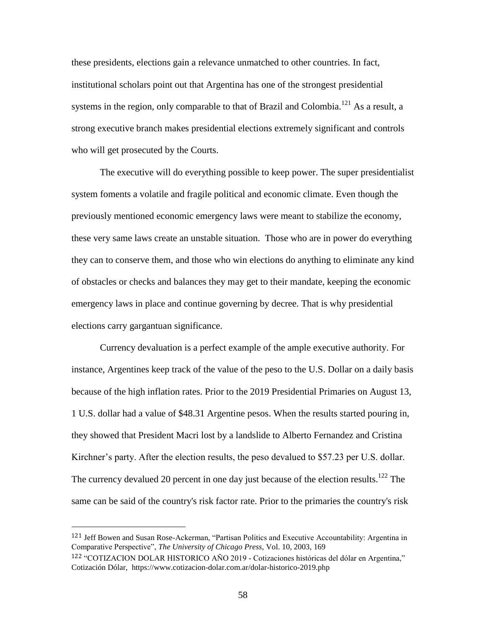these presidents, elections gain a relevance unmatched to other countries. In fact, institutional scholars point out that Argentina has one of the strongest presidential systems in the region, only comparable to that of Brazil and Colombia.<sup>121</sup> As a result, a strong executive branch makes presidential elections extremely significant and controls who will get prosecuted by the Courts.

The executive will do everything possible to keep power. The super presidentialist system foments a volatile and fragile political and economic climate. Even though the previously mentioned economic emergency laws were meant to stabilize the economy, these very same laws create an unstable situation. Those who are in power do everything they can to conserve them, and those who win elections do anything to eliminate any kind of obstacles or checks and balances they may get to their mandate, keeping the economic emergency laws in place and continue governing by decree. That is why presidential elections carry gargantuan significance.

Currency devaluation is a perfect example of the ample executive authority. For instance, Argentines keep track of the value of the peso to the U.S. Dollar on a daily basis because of the high inflation rates. Prior to the 2019 Presidential Primaries on August 13, 1 U.S. dollar had a value of \$48.31 Argentine pesos. When the results started pouring in, they showed that President Macri lost by a landslide to Alberto Fernandez and Cristina Kirchner's party. After the election results, the peso devalued to \$57.23 per U.S. dollar. The currency devalued 20 percent in one day just because of the election results.<sup>122</sup> The same can be said of the country's risk factor rate. Prior to the primaries the country's risk

l

<sup>121</sup> Jeff Bowen and Susan Rose-Ackerman, "Partisan Politics and Executive Accountability: Argentina in Comparative Perspective", *The University of Chicago Press*, Vol. 10, 2003, 169

<sup>122</sup> "COTIZACION DOLAR HISTORICO AÑO 2019 - Cotizaciones históricas del dólar en Argentina," Cotización Dólar, <https://www.cotizacion-dolar.com.ar/dolar-historico-2019.php>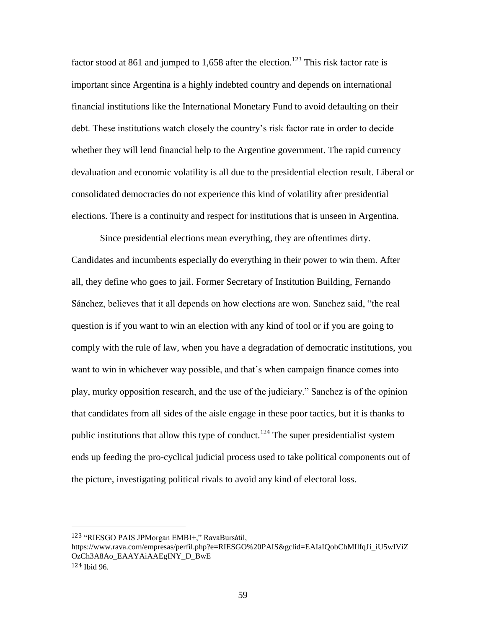factor stood at 861 and jumped to 1,658 after the election.<sup>123</sup> This risk factor rate is important since Argentina is a highly indebted country and depends on international financial institutions like the International Monetary Fund to avoid defaulting on their debt. These institutions watch closely the country's risk factor rate in order to decide whether they will lend financial help to the Argentine government. The rapid currency devaluation and economic volatility is all due to the presidential election result. Liberal or consolidated democracies do not experience this kind of volatility after presidential elections. There is a continuity and respect for institutions that is unseen in Argentina.

Since presidential elections mean everything, they are oftentimes dirty. Candidates and incumbents especially do everything in their power to win them. After all, they define who goes to jail. Former Secretary of Institution Building, Fernando Sánchez, believes that it all depends on how elections are won. Sanchez said, "the real question is if you want to win an election with any kind of tool or if you are going to comply with the rule of law, when you have a degradation of democratic institutions, you want to win in whichever way possible, and that's when campaign finance comes into play, murky opposition research, and the use of the judiciary." Sanchez is of the opinion that candidates from all sides of the aisle engage in these poor tactics, but it is thanks to public institutions that allow this type of conduct.<sup>124</sup> The super presidentialist system ends up feeding the pro-cyclical judicial process used to take political components out of the picture, investigating political rivals to avoid any kind of electoral loss.

l

<sup>123</sup> "RIESGO PAIS JPMorgan EMBI+," RavaBursátil,

[https://www.rava.com/empresas/perfil.php?e=RIESGO%20PAIS&gclid=EAIaIQobChMIlfqJi\\_iU5wIViZ](https://www.rava.com/empresas/perfil.php?e=RIESGO%20PAIS&gclid=EAIaIQobChMIlfqJi_iU5wIViZOzCh3A8Ao_EAAYAiAAEgINY_D_BwE) [OzCh3A8Ao\\_EAAYAiAAEgINY\\_D\\_BwE](https://www.rava.com/empresas/perfil.php?e=RIESGO%20PAIS&gclid=EAIaIQobChMIlfqJi_iU5wIViZOzCh3A8Ao_EAAYAiAAEgINY_D_BwE) 124 Ibid 96.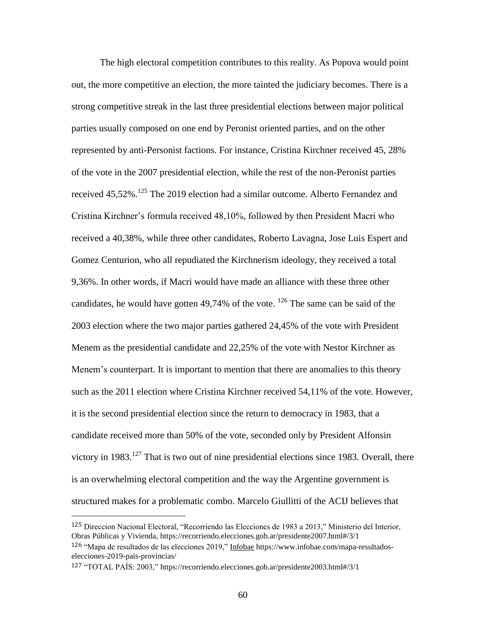The high electoral competition contributes to this reality. As Popova would point out, the more competitive an election, the more tainted the judiciary becomes. There is a strong competitive streak in the last three presidential elections between major political parties usually composed on one end by Peronist oriented parties, and on the other represented by anti-Personist factions. For instance, Cristina Kirchner received 45, 28% of the vote in the 2007 presidential election, while the rest of the non-Peronist parties received 45,52%.<sup>125</sup> The 2019 election had a similar outcome. Alberto Fernandez and Cristina Kirchner's formula received 48,10%, followed by then President Macri who received a 40,38%, while three other candidates, Roberto Lavagna, Jose Luis Espert and Gomez Centurion, who all repudiated the Kirchnerism ideology, they received a total 9,36%. In other words, if Macri would have made an alliance with these three other candidates, he would have gotten 49,74% of the vote.  $^{126}$  The same can be said of the 2003 election where the two major parties gathered 24,45% of the vote with President Menem as the presidential candidate and 22,25% of the vote with Nestor Kirchner as Menem's counterpart. It is important to mention that there are anomalies to this theory such as the 2011 election where Cristina Kirchner received 54,11% of the vote. However, it is the second presidential election since the return to democracy in 1983, that a candidate received more than 50% of the vote, seconded only by President Alfonsin victory in  $1983$ <sup>127</sup>. That is two out of nine presidential elections since 1983. Overall, there is an overwhelming electoral competition and the way the Argentine government is structured makes for a problematic combo. Marcelo Giullitti of the ACIJ believes that

<sup>125</sup> Direccion Nacional Electoral, "Recorriendo las Elecciones de 1983 a 2013," Ministerio del Interior, Obras Públicas y Vivienda,<https://recorriendo.elecciones.gob.ar/presidente2007.html#/3/1> 126 "Mapa de resultados de las elecciones 2019," Infobae [https://www.infobae.com/mapa-resultados](https://www.infobae.com/mapa-resultados-elecciones-2019-pais-provincias/)[elecciones-2019-pais-provincias/](https://www.infobae.com/mapa-resultados-elecciones-2019-pais-provincias/)

<sup>127</sup> "TOTAL PAÍS: 2003,"<https://recorriendo.elecciones.gob.ar/presidente2003.html#/3/1>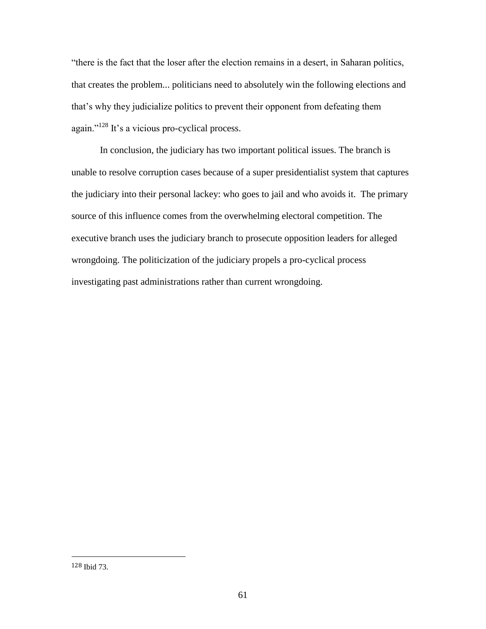"there is the fact that the loser after the election remains in a desert, in Saharan politics, that creates the problem... politicians need to absolutely win the following elections and that's why they judicialize politics to prevent their opponent from defeating them again."<sup>128</sup> It's a vicious pro-cyclical process.

In conclusion, the judiciary has two important political issues. The branch is unable to resolve corruption cases because of a super presidentialist system that captures the judiciary into their personal lackey: who goes to jail and who avoids it. The primary source of this influence comes from the overwhelming electoral competition. The executive branch uses the judiciary branch to prosecute opposition leaders for alleged wrongdoing. The politicization of the judiciary propels a pro-cyclical process investigating past administrations rather than current wrongdoing.

l

<sup>128</sup> Ibid 73.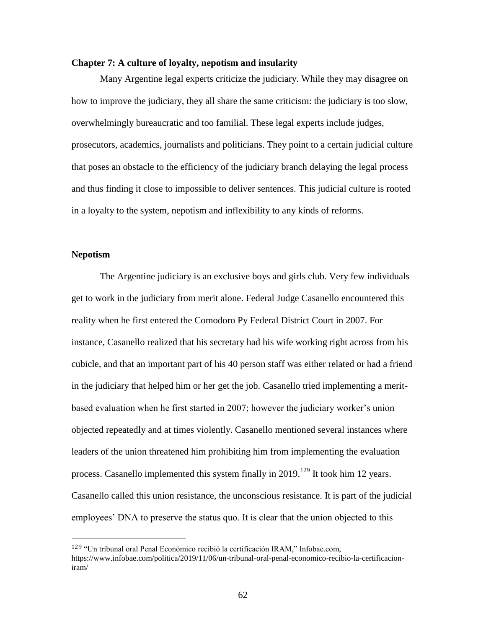#### **Chapter 7: A culture of loyalty, nepotism and insularity**

Many Argentine legal experts criticize the judiciary. While they may disagree on how to improve the judiciary, they all share the same criticism: the judiciary is too slow, overwhelmingly bureaucratic and too familial. These legal experts include judges, prosecutors, academics, journalists and politicians. They point to a certain judicial culture that poses an obstacle to the efficiency of the judiciary branch delaying the legal process and thus finding it close to impossible to deliver sentences. This judicial culture is rooted in a loyalty to the system, nepotism and inflexibility to any kinds of reforms.

#### **Nepotism**

 $\overline{a}$ 

The Argentine judiciary is an exclusive boys and girls club. Very few individuals get to work in the judiciary from merit alone. Federal Judge Casanello encountered this reality when he first entered the Comodoro Py Federal District Court in 2007. For instance, Casanello realized that his secretary had his wife working right across from his cubicle, and that an important part of his 40 person staff was either related or had a friend in the judiciary that helped him or her get the job. Casanello tried implementing a meritbased evaluation when he first started in 2007; however the judiciary worker's union objected repeatedly and at times violently. Casanello mentioned several instances where leaders of the union threatened him prohibiting him from implementing the evaluation process. Casanello implemented this system finally in  $2019$ .<sup>129</sup> It took him 12 years. Casanello called this union resistance, the unconscious resistance. It is part of the judicial employees' DNA to preserve the status quo. It is clear that the union objected to this

<sup>129</sup> "Un tribunal oral Penal Económico recibió la certificación IRAM," Infobae.com, [https://www.infobae.com/politica/2019/11/06/un-tribunal-oral-penal-economico-recibio-la-certificacion](https://www.infobae.com/politica/2019/11/06/un-tribunal-oral-penal-economico-recibio-la-certificacion-iram/)[iram/](https://www.infobae.com/politica/2019/11/06/un-tribunal-oral-penal-economico-recibio-la-certificacion-iram/)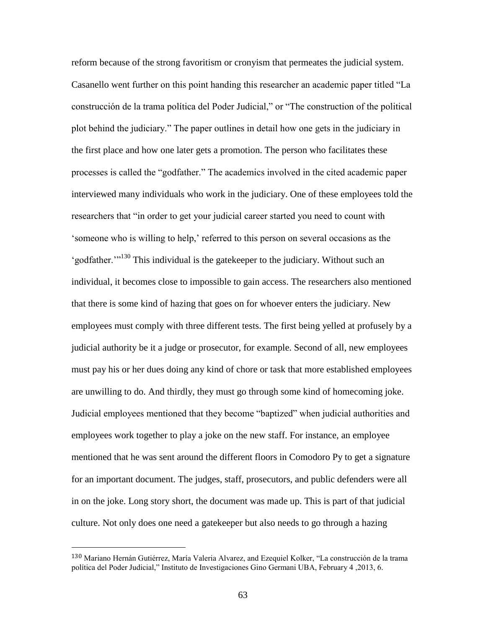reform because of the strong favoritism or cronyism that permeates the judicial system. Casanello went further on this point handing this researcher an academic paper titled "La construcción de la trama política del Poder Judicial," or "The construction of the political plot behind the judiciary." The paper outlines in detail how one gets in the judiciary in the first place and how one later gets a promotion. The person who facilitates these processes is called the "godfather." The academics involved in the cited academic paper interviewed many individuals who work in the judiciary. One of these employees told the researchers that "in order to get your judicial career started you need to count with 'someone who is willing to help,' referred to this person on several occasions as the 'godfather.'"<sup>130</sup> This individual is the gatekeeper to the judiciary. Without such an individual, it becomes close to impossible to gain access. The researchers also mentioned that there is some kind of hazing that goes on for whoever enters the judiciary. New employees must comply with three different tests. The first being yelled at profusely by a judicial authority be it a judge or prosecutor, for example. Second of all, new employees must pay his or her dues doing any kind of chore or task that more established employees are unwilling to do. And thirdly, they must go through some kind of homecoming joke. Judicial employees mentioned that they become "baptized" when judicial authorities and employees work together to play a joke on the new staff. For instance, an employee mentioned that he was sent around the different floors in Comodoro Py to get a signature for an important document. The judges, staff, prosecutors, and public defenders were all in on the joke. Long story short, the document was made up. This is part of that judicial culture. Not only does one need a gatekeeper but also needs to go through a hazing

<sup>130</sup> Mariano Hernán Gutiérrez, María Valeria Alvarez, and Ezequiel Kolker, "La construcción de la trama política del Poder Judicial," Instituto de Investigaciones Gino Germani UBA, February 4 ,2013, 6.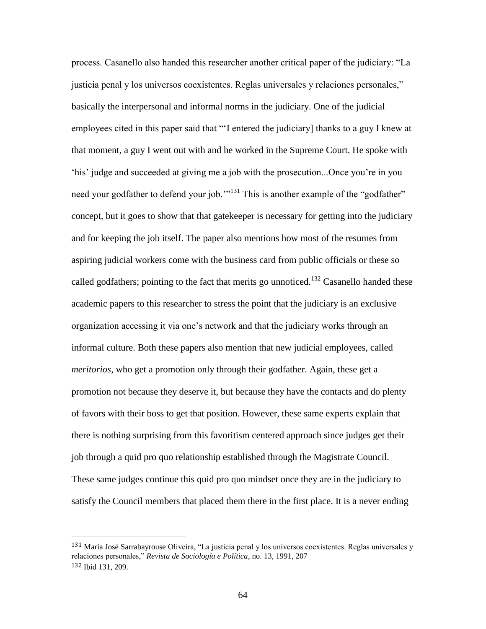process. Casanello also handed this researcher another critical paper of the judiciary: "La justicia penal y los universos coexistentes. Reglas universales y relaciones personales," basically the interpersonal and informal norms in the judiciary. One of the judicial employees cited in this paper said that "'I entered the judiciary] thanks to a guy I knew at that moment, a guy I went out with and he worked in the Supreme Court. He spoke with 'his' judge and succeeded at giving me a job with the prosecution...Once you're in you need your godfather to defend your job."<sup>131</sup> This is another example of the "godfather" concept, but it goes to show that that gatekeeper is necessary for getting into the judiciary and for keeping the job itself. The paper also mentions how most of the resumes from aspiring judicial workers come with the business card from public officials or these so called godfathers; pointing to the fact that merits go unnoticed.<sup>132</sup> Casanello handed these academic papers to this researcher to stress the point that the judiciary is an exclusive organization accessing it via one's network and that the judiciary works through an informal culture. Both these papers also mention that new judicial employees, called *meritorios*, who get a promotion only through their godfather. Again, these get a promotion not because they deserve it, but because they have the contacts and do plenty of favors with their boss to get that position. However, these same experts explain that there is nothing surprising from this favoritism centered approach since judges get their job through a quid pro quo relationship established through the Magistrate Council. These same judges continue this quid pro quo mindset once they are in the judiciary to satisfy the Council members that placed them there in the first place. It is a never ending

<sup>131</sup> María José Sarrabayrouse Oliveira, "La justicia penal y los universos coexistentes. Reglas universales y relaciones personales," *Revista de Sociología e Política*, no. 13, 1991, 207 132 Ibid 131, 209.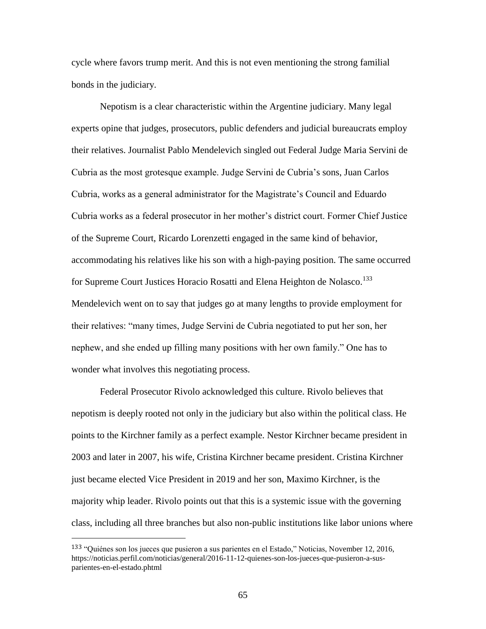cycle where favors trump merit. And this is not even mentioning the strong familial bonds in the judiciary.

Nepotism is a clear characteristic within the Argentine judiciary. Many legal experts opine that judges, prosecutors, public defenders and judicial bureaucrats employ their relatives. Journalist Pablo Mendelevich singled out Federal Judge Maria Servini de Cubria as the most grotesque example. Judge Servini de Cubria's sons, Juan Carlos Cubria, works as a general administrator for the Magistrate's Council and Eduardo Cubria works as a federal prosecutor in her mother's district court. Former Chief Justice of the Supreme Court, Ricardo Lorenzetti engaged in the same kind of behavior, accommodating his relatives like his son with a high-paying position. The same occurred for Supreme Court Justices Horacio Rosatti and Elena Heighton de Nolasco.<sup>133</sup> Mendelevich went on to say that judges go at many lengths to provide employment for their relatives: "many times, Judge Servini de Cubria negotiated to put her son, her nephew, and she ended up filling many positions with her own family." One has to wonder what involves this negotiating process.

Federal Prosecutor Rivolo acknowledged this culture. Rivolo believes that nepotism is deeply rooted not only in the judiciary but also within the political class. He points to the Kirchner family as a perfect example. Nestor Kirchner became president in 2003 and later in 2007, his wife, Cristina Kirchner became president. Cristina Kirchner just became elected Vice President in 2019 and her son, Maximo Kirchner, is the majority whip leader. Rivolo points out that this is a systemic issue with the governing class, including all three branches but also non-public institutions like labor unions where

<sup>133</sup> "Quiénes son los jueces que pusieron a sus parientes en el Estado," Noticias, November 12, 2016, https://noticias.perfil.com/noticias/general/2016-11-12-quienes-son-los-jueces-que-pusieron-a-susparientes-en-el-estado.phtml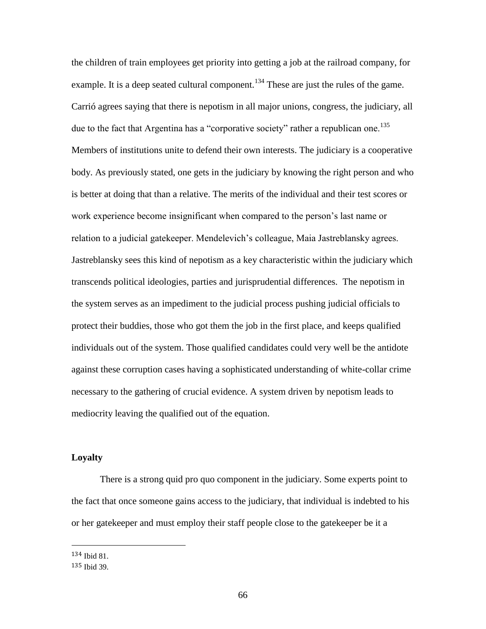the children of train employees get priority into getting a job at the railroad company, for example. It is a deep seated cultural component.<sup>134</sup> These are just the rules of the game. Carrió agrees saying that there is nepotism in all major unions, congress, the judiciary, all due to the fact that Argentina has a "corporative society" rather a republican one.<sup>135</sup> Members of institutions unite to defend their own interests. The judiciary is a cooperative body. As previously stated, one gets in the judiciary by knowing the right person and who is better at doing that than a relative. The merits of the individual and their test scores or work experience become insignificant when compared to the person's last name or relation to a judicial gatekeeper. Mendelevich's colleague, Maia Jastreblansky agrees. Jastreblansky sees this kind of nepotism as a key characteristic within the judiciary which transcends political ideologies, parties and jurisprudential differences. The nepotism in the system serves as an impediment to the judicial process pushing judicial officials to protect their buddies, those who got them the job in the first place, and keeps qualified individuals out of the system. Those qualified candidates could very well be the antidote against these corruption cases having a sophisticated understanding of white-collar crime necessary to the gathering of crucial evidence. A system driven by nepotism leads to mediocrity leaving the qualified out of the equation.

# **Loyalty**

There is a strong quid pro quo component in the judiciary. Some experts point to the fact that once someone gains access to the judiciary, that individual is indebted to his or her gatekeeper and must employ their staff people close to the gatekeeper be it a

134 Ibid 81.

<sup>135</sup> Ibid 39.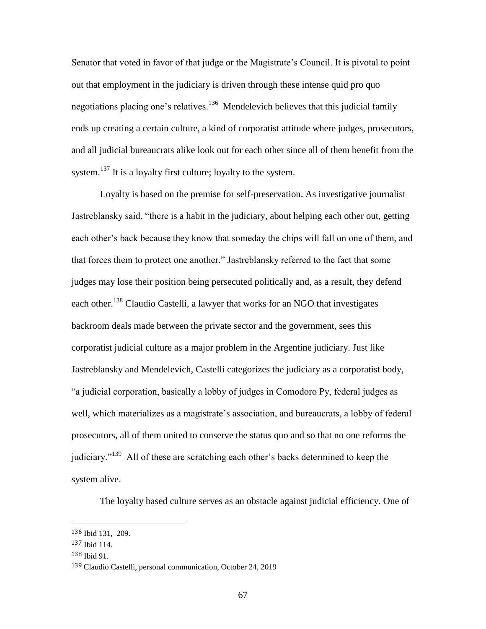Senator that voted in favor of that judge or the Magistrate's Council. It is pivotal to point out that employment in the judiciary is driven through these intense quid pro quo negotiations placing one's relatives.<sup>136</sup> Mendelevich believes that this judicial family ends up creating a certain culture, a kind of corporatist attitude where judges, prosecutors, and all judicial bureaucrats alike look out for each other since all of them benefit from the system.<sup>137</sup> It is a loyalty first culture; loyalty to the system.

Loyalty is based on the premise for self-preservation. As investigative journalist Jastreblansky said, "there is a habit in the judiciary, about helping each other out, getting each other's back because they know that someday the chips will fall on one of them, and that forces them to protect one another." Jastreblansky referred to the fact that some judges may lose their position being persecuted politically and, as a result, they defend each other.<sup>138</sup> Claudio Castelli, a lawyer that works for an NGO that investigates backroom deals made between the private sector and the government, sees this corporatist judicial culture as a major problem in the Argentine judiciary. Just like Jastreblansky and Mendelevich, Castelli categorizes the judiciary as a corporatist body, "a judicial corporation, basically a lobby of judges in Comodoro Py, federal judges as well, which materializes as a magistrate's association, and bureaucrats, a lobby of federal prosecutors, all of them united to conserve the status quo and so that no one reforms the judiciary."<sup>139</sup> All of these are scratching each other's backs determined to keep the system alive.

The loyalty based culture serves as an obstacle against judicial efficiency. One of

<sup>136</sup> Ibid 131, 209.

<sup>137</sup> Ibid 114.

<sup>138</sup> Ibid 91.

<sup>139</sup> Claudio Castelli, personal communication, October 24, 2019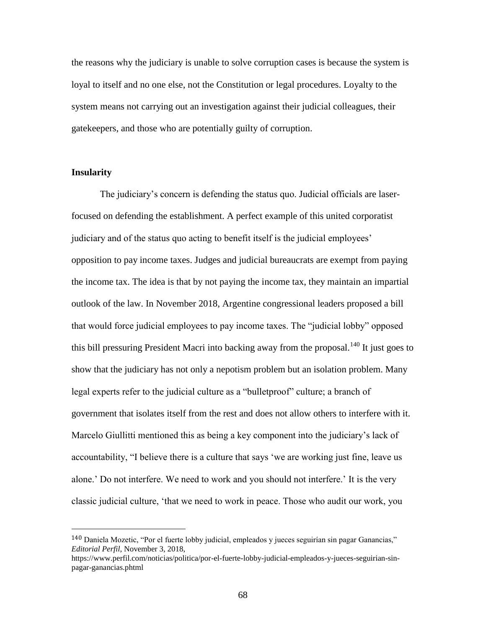the reasons why the judiciary is unable to solve corruption cases is because the system is loyal to itself and no one else, not the Constitution or legal procedures. Loyalty to the system means not carrying out an investigation against their judicial colleagues, their gatekeepers, and those who are potentially guilty of corruption.

# **Insularity**

 $\overline{a}$ 

The judiciary's concern is defending the status quo. Judicial officials are laserfocused on defending the establishment. A perfect example of this united corporatist judiciary and of the status quo acting to benefit itself is the judicial employees' opposition to pay income taxes. Judges and judicial bureaucrats are exempt from paying the income tax. The idea is that by not paying the income tax, they maintain an impartial outlook of the law. In November 2018, Argentine congressional leaders proposed a bill that would force judicial employees to pay income taxes. The "judicial lobby" opposed this bill pressuring President Macri into backing away from the proposal.<sup>140</sup> It just goes to show that the judiciary has not only a nepotism problem but an isolation problem. Many legal experts refer to the judicial culture as a "bulletproof" culture; a branch of government that isolates itself from the rest and does not allow others to interfere with it. Marcelo Giullitti mentioned this as being a key component into the judiciary's lack of accountability, "I believe there is a culture that says 'we are working just fine, leave us alone.' Do not interfere. We need to work and you should not interfere.' It is the very classic judicial culture, 'that we need to work in peace. Those who audit our work, you

<sup>140</sup> Daniela Mozetic, "Por el fuerte lobby judicial, empleados y jueces seguirían sin pagar Ganancias," *Editorial Perfil*, November 3, 2018,

https://www.perfil.com/noticias/politica/por-el-fuerte-lobby-judicial-empleados-y-jueces-seguirian-sinpagar-ganancias.phtml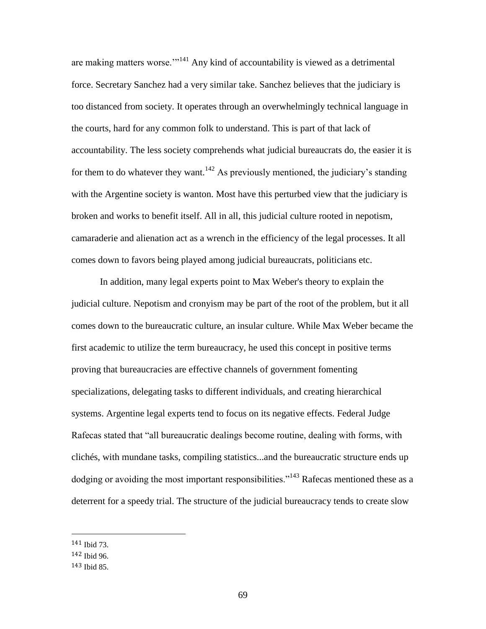are making matters worse. $^{114}$  Any kind of accountability is viewed as a detrimental force. Secretary Sanchez had a very similar take. Sanchez believes that the judiciary is too distanced from society. It operates through an overwhelmingly technical language in the courts, hard for any common folk to understand. This is part of that lack of accountability. The less society comprehends what judicial bureaucrats do, the easier it is for them to do whatever they want.<sup>142</sup> As previously mentioned, the judiciary's standing with the Argentine society is wanton. Most have this perturbed view that the judiciary is broken and works to benefit itself. All in all, this judicial culture rooted in nepotism, camaraderie and alienation act as a wrench in the efficiency of the legal processes. It all comes down to favors being played among judicial bureaucrats, politicians etc.

In addition, many legal experts point to Max Weber's theory to explain the judicial culture. Nepotism and cronyism may be part of the root of the problem, but it all comes down to the bureaucratic culture, an insular culture. While Max Weber became the first academic to utilize the term bureaucracy, he used this concept in positive terms proving that bureaucracies are effective channels of government fomenting specializations, delegating tasks to different individuals, and creating hierarchical systems. Argentine legal experts tend to focus on its negative effects. Federal Judge Rafecas stated that "all bureaucratic dealings become routine, dealing with forms, with clichés, with mundane tasks, compiling statistics...and the bureaucratic structure ends up dodging or avoiding the most important responsibilities."<sup>143</sup> Rafecas mentioned these as a deterrent for a speedy trial. The structure of the judicial bureaucracy tends to create slow

<sup>141</sup> Ibid 73.

<sup>142</sup> Ibid 96.

<sup>143</sup> Ibid 85.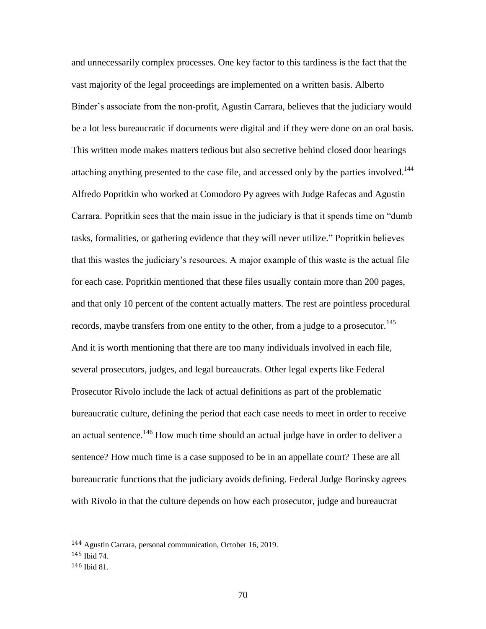and unnecessarily complex processes. One key factor to this tardiness is the fact that the vast majority of the legal proceedings are implemented on a written basis. Alberto Binder's associate from the non-profit, Agustin Carrara, believes that the judiciary would be a lot less bureaucratic if documents were digital and if they were done on an oral basis. This written mode makes matters tedious but also secretive behind closed door hearings attaching anything presented to the case file, and accessed only by the parties involved.<sup>144</sup> Alfredo Popritkin who worked at Comodoro Py agrees with Judge Rafecas and Agustin Carrara. Popritkin sees that the main issue in the judiciary is that it spends time on "dumb tasks, formalities, or gathering evidence that they will never utilize." Popritkin believes that this wastes the judiciary's resources. A major example of this waste is the actual file for each case. Popritkin mentioned that these files usually contain more than 200 pages, and that only 10 percent of the content actually matters. The rest are pointless procedural records, maybe transfers from one entity to the other, from a judge to a prosecutor.<sup>145</sup> And it is worth mentioning that there are too many individuals involved in each file, several prosecutors, judges, and legal bureaucrats. Other legal experts like Federal Prosecutor Rivolo include the lack of actual definitions as part of the problematic bureaucratic culture, defining the period that each case needs to meet in order to receive an actual sentence.<sup>146</sup> How much time should an actual judge have in order to deliver a sentence? How much time is a case supposed to be in an appellate court? These are all bureaucratic functions that the judiciary avoids defining. Federal Judge Borinsky agrees with Rivolo in that the culture depends on how each prosecutor, judge and bureaucrat

<sup>144</sup> Agustin Carrara, personal communication, October 16, 2019.

<sup>145</sup> Ibid 74.

<sup>146</sup> Ibid 81.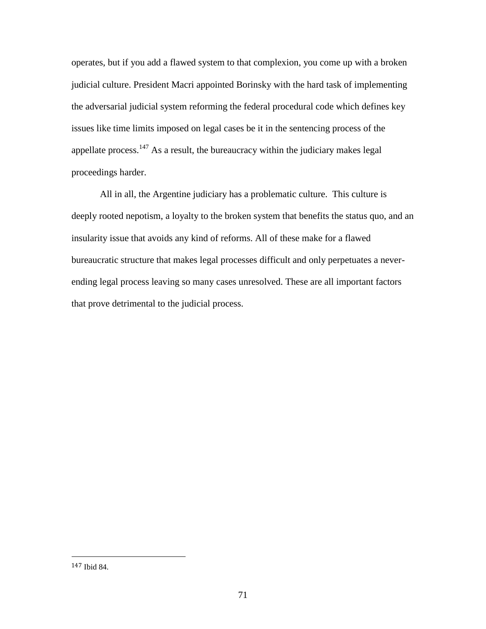operates, but if you add a flawed system to that complexion, you come up with a broken judicial culture. President Macri appointed Borinsky with the hard task of implementing the adversarial judicial system reforming the federal procedural code which defines key issues like time limits imposed on legal cases be it in the sentencing process of the appellate process. $147$  As a result, the bureaucracy within the judiciary makes legal proceedings harder.

All in all, the Argentine judiciary has a problematic culture. This culture is deeply rooted nepotism, a loyalty to the broken system that benefits the status quo, and an insularity issue that avoids any kind of reforms. All of these make for a flawed bureaucratic structure that makes legal processes difficult and only perpetuates a neverending legal process leaving so many cases unresolved. These are all important factors that prove detrimental to the judicial process.

l

<sup>147</sup> Ibid 84.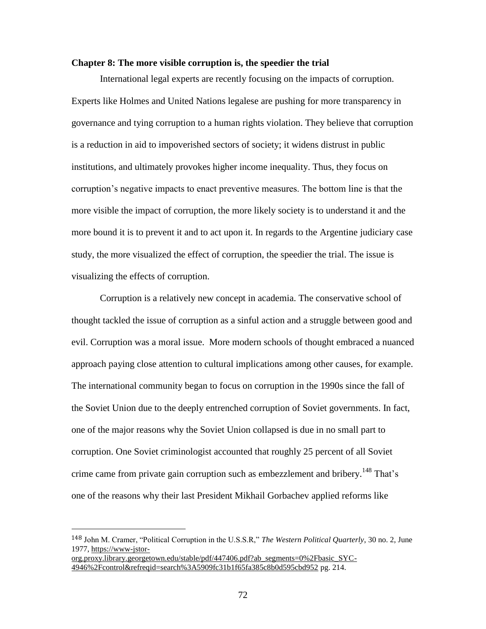## **Chapter 8: The more visible corruption is, the speedier the trial**

International legal experts are recently focusing on the impacts of corruption. Experts like Holmes and United Nations legalese are pushing for more transparency in governance and tying corruption to a human rights violation. They believe that corruption is a reduction in aid to impoverished sectors of society; it widens distrust in public institutions, and ultimately provokes higher income inequality. Thus, they focus on corruption's negative impacts to enact preventive measures. The bottom line is that the more visible the impact of corruption, the more likely society is to understand it and the more bound it is to prevent it and to act upon it. In regards to the Argentine judiciary case study, the more visualized the effect of corruption, the speedier the trial. The issue is visualizing the effects of corruption.

Corruption is a relatively new concept in academia. The conservative school of thought tackled the issue of corruption as a sinful action and a struggle between good and evil. Corruption was a moral issue. More modern schools of thought embraced a nuanced approach paying close attention to cultural implications among other causes, for example. The international community began to focus on corruption in the 1990s since the fall of the Soviet Union due to the deeply entrenched corruption of Soviet governments. In fact, one of the major reasons why the Soviet Union collapsed is due in no small part to corruption. One Soviet criminologist accounted that roughly 25 percent of all Soviet crime came from private gain corruption such as embezzlement and bribery.<sup>148</sup> That's one of the reasons why their last President Mikhail Gorbachev applied reforms like

<sup>148</sup> John M. Cramer, "Political Corruption in the U.S.S.R," *The Western Political Quarterly*, 30 no. 2, June 1977, [https://www-jstor-](https://www-jstor-org.proxy.library.georgetown.edu/stable/pdf/447406.pdf?ab_segments=0%2Fbasic_SYC-4946%2Fcontrol&refreqid=search%3A5909fc31b1f65fa385c8b0d595cbd952)

[org.proxy.library.georgetown.edu/stable/pdf/447406.pdf?ab\\_segments=0%2Fbasic\\_SYC-](https://www-jstor-org.proxy.library.georgetown.edu/stable/pdf/447406.pdf?ab_segments=0%2Fbasic_SYC-4946%2Fcontrol&refreqid=search%3A5909fc31b1f65fa385c8b0d595cbd952)[4946%2Fcontrol&refreqid=search%3A5909fc31b1f65fa385c8b0d595cbd952](https://www-jstor-org.proxy.library.georgetown.edu/stable/pdf/447406.pdf?ab_segments=0%2Fbasic_SYC-4946%2Fcontrol&refreqid=search%3A5909fc31b1f65fa385c8b0d595cbd952) pg. 214.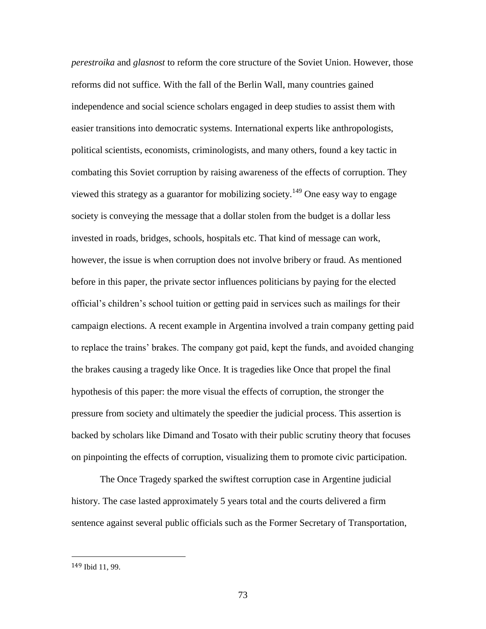*perestroika* and *glasnost* to reform the core structure of the Soviet Union. However, those reforms did not suffice. With the fall of the Berlin Wall, many countries gained independence and social science scholars engaged in deep studies to assist them with easier transitions into democratic systems. International experts like anthropologists, political scientists, economists, criminologists, and many others, found a key tactic in combating this Soviet corruption by raising awareness of the effects of corruption. They viewed this strategy as a guarantor for mobilizing society.<sup>149</sup> One easy way to engage society is conveying the message that a dollar stolen from the budget is a dollar less invested in roads, bridges, schools, hospitals etc. That kind of message can work, however, the issue is when corruption does not involve bribery or fraud. As mentioned before in this paper, the private sector influences politicians by paying for the elected official's children's school tuition or getting paid in services such as mailings for their campaign elections. A recent example in Argentina involved a train company getting paid to replace the trains' brakes. The company got paid, kept the funds, and avoided changing the brakes causing a tragedy like Once. It is tragedies like Once that propel the final hypothesis of this paper: the more visual the effects of corruption, the stronger the pressure from society and ultimately the speedier the judicial process. This assertion is backed by scholars like Dimand and Tosato with their public scrutiny theory that focuses on pinpointing the effects of corruption, visualizing them to promote civic participation.

The Once Tragedy sparked the swiftest corruption case in Argentine judicial history. The case lasted approximately 5 years total and the courts delivered a firm sentence against several public officials such as the Former Secretary of Transportation,

l

<sup>149</sup> Ibid 11, 99.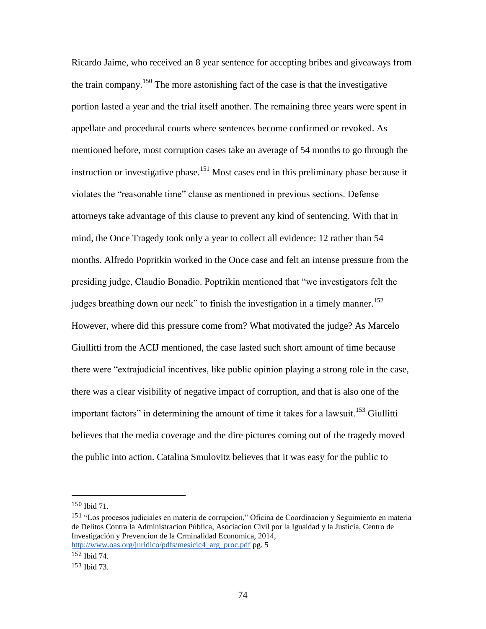Ricardo Jaime, who received an 8 year sentence for accepting bribes and giveaways from the train company.<sup>150</sup> The more astonishing fact of the case is that the investigative portion lasted a year and the trial itself another. The remaining three years were spent in appellate and procedural courts where sentences become confirmed or revoked. As mentioned before, most corruption cases take an average of 54 months to go through the instruction or investigative phase.<sup>151</sup> Most cases end in this preliminary phase because it violates the "reasonable time" clause as mentioned in previous sections. Defense attorneys take advantage of this clause to prevent any kind of sentencing. With that in mind, the Once Tragedy took only a year to collect all evidence: 12 rather than 54 months. Alfredo Popritkin worked in the Once case and felt an intense pressure from the presiding judge, Claudio Bonadio. Poptrikin mentioned that "we investigators felt the judges breathing down our neck" to finish the investigation in a timely manner.<sup>152</sup> However, where did this pressure come from? What motivated the judge? As Marcelo Giullitti from the ACIJ mentioned, the case lasted such short amount of time because there were "extrajudicial incentives, like public opinion playing a strong role in the case, there was a clear visibility of negative impact of corruption, and that is also one of the important factors" in determining the amount of time it takes for a lawsuit.<sup>153</sup> Giullitti believes that the media coverage and the dire pictures coming out of the tragedy moved the public into action. Catalina Smulovitz believes that it was easy for the public to

<sup>150</sup> Ibid 71.

<sup>151</sup> "Los procesos judiciales en materia de corrupcion," Oficina de Coordinacion y Seguimiento en materia de Delitos Contra la Administracion Pública, Asociacion Civil por la Igualdad y la Justicia, Centro de Investigación y Prevencion de la Crminalidad Economica, 2014, [http://www.oas.org/juridico/pdfs/mesicic4\\_arg\\_proc.pdf](http://www.oas.org/juridico/pdfs/mesicic4_arg_proc.pdf) pg. 5

<sup>152</sup> Ibid 74.

<sup>153</sup> Ibid 73.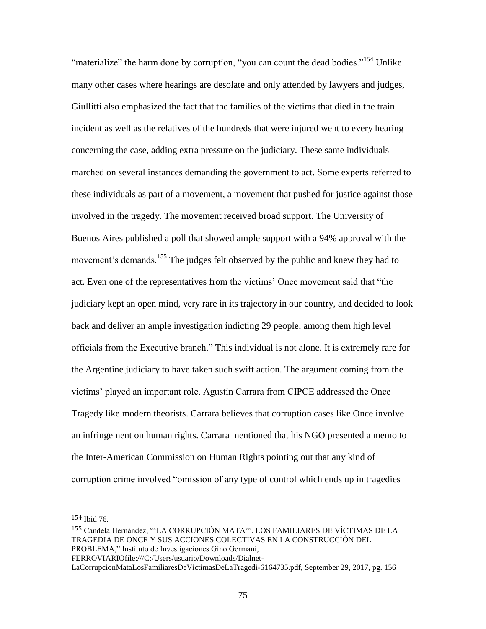"materialize" the harm done by corruption, "you can count the dead bodies."<sup>154</sup> Unlike many other cases where hearings are desolate and only attended by lawyers and judges, Giullitti also emphasized the fact that the families of the victims that died in the train incident as well as the relatives of the hundreds that were injured went to every hearing concerning the case, adding extra pressure on the judiciary. These same individuals marched on several instances demanding the government to act. Some experts referred to these individuals as part of a movement, a movement that pushed for justice against those involved in the tragedy. The movement received broad support. The University of Buenos Aires published a poll that showed ample support with a 94% approval with the movement's demands.<sup>155</sup> The judges felt observed by the public and knew they had to act. Even one of the representatives from the victims' Once movement said that "the judiciary kept an open mind, very rare in its trajectory in our country, and decided to look back and deliver an ample investigation indicting 29 people, among them high level officials from the Executive branch." This individual is not alone. It is extremely rare for the Argentine judiciary to have taken such swift action. The argument coming from the victims' played an important role. Agustin Carrara from CIPCE addressed the Once Tragedy like modern theorists. Carrara believes that corruption cases like Once involve an infringement on human rights. Carrara mentioned that his NGO presented a memo to the Inter-American Commission on Human Rights pointing out that any kind of corruption crime involved "omission of any type of control which ends up in tragedies

<sup>154</sup> Ibid 76.

<sup>155</sup> Candela Hernández, "'LA CORRUPCIÓN MATA'". LOS FAMILIARES DE VÍCTIMAS DE LA TRAGEDIA DE ONCE Y SUS ACCIONES COLECTIVAS EN LA CONSTRUCCIÓN DEL PROBLEMA," Instituto de Investigaciones Gino Germani, FERROVIARIOfile:///C:/Users/usuario/Downloads/Dialnet-

LaCorrupcionMataLosFamiliaresDeVictimasDeLaTragedi-6164735.pdf, September 29, 2017, pg. 156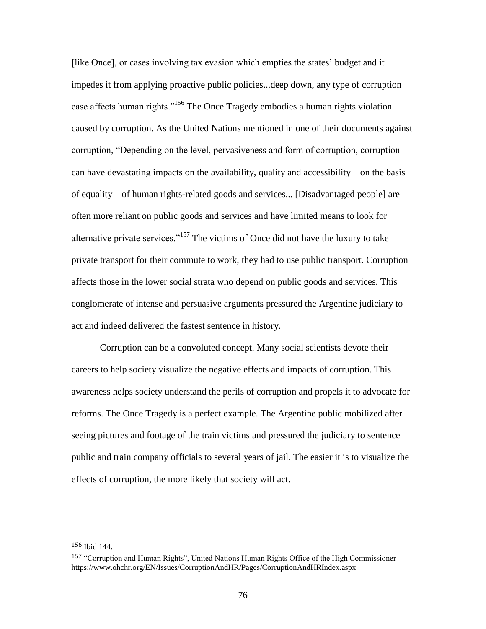[like Once], or cases involving tax evasion which empties the states' budget and it impedes it from applying proactive public policies...deep down, any type of corruption case affects human rights."<sup>156</sup> The Once Tragedy embodies a human rights violation caused by corruption. As the United Nations mentioned in one of their documents against corruption, "Depending on the level, pervasiveness and form of corruption, corruption can have devastating impacts on the availability, quality and accessibility – on the basis of equality – of human rights-related goods and services... [Disadvantaged people] are often more reliant on public goods and services and have limited means to look for alternative private services."<sup>157</sup> The victims of Once did not have the luxury to take private transport for their commute to work, they had to use public transport. Corruption affects those in the lower social strata who depend on public goods and services. This conglomerate of intense and persuasive arguments pressured the Argentine judiciary to act and indeed delivered the fastest sentence in history.

Corruption can be a convoluted concept. Many social scientists devote their careers to help society visualize the negative effects and impacts of corruption. This awareness helps society understand the perils of corruption and propels it to advocate for reforms. The Once Tragedy is a perfect example. The Argentine public mobilized after seeing pictures and footage of the train victims and pressured the judiciary to sentence public and train company officials to several years of jail. The easier it is to visualize the effects of corruption, the more likely that society will act.

<sup>156</sup> Ibid 144.

<sup>157</sup> "Corruption and Human Rights", United Nations Human Rights Office of the High Commissioner <https://www.ohchr.org/EN/Issues/CorruptionAndHR/Pages/CorruptionAndHRIndex.aspx>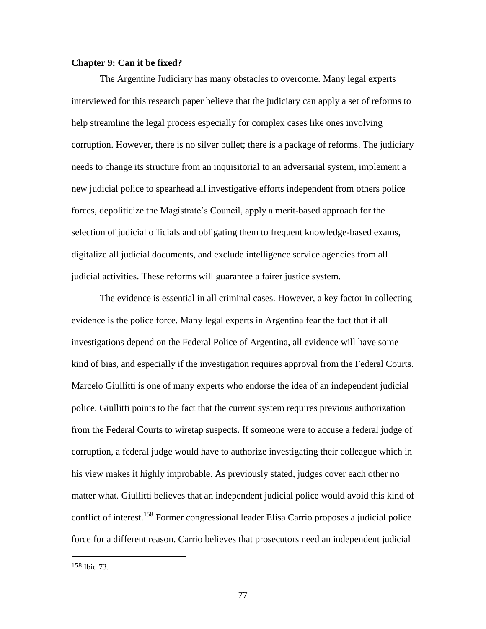## **Chapter 9: Can it be fixed?**

The Argentine Judiciary has many obstacles to overcome. Many legal experts interviewed for this research paper believe that the judiciary can apply a set of reforms to help streamline the legal process especially for complex cases like ones involving corruption. However, there is no silver bullet; there is a package of reforms. The judiciary needs to change its structure from an inquisitorial to an adversarial system, implement a new judicial police to spearhead all investigative efforts independent from others police forces, depoliticize the Magistrate's Council, apply a merit-based approach for the selection of judicial officials and obligating them to frequent knowledge-based exams, digitalize all judicial documents, and exclude intelligence service agencies from all judicial activities. These reforms will guarantee a fairer justice system.

The evidence is essential in all criminal cases. However, a key factor in collecting evidence is the police force. Many legal experts in Argentina fear the fact that if all investigations depend on the Federal Police of Argentina, all evidence will have some kind of bias, and especially if the investigation requires approval from the Federal Courts. Marcelo Giullitti is one of many experts who endorse the idea of an independent judicial police. Giullitti points to the fact that the current system requires previous authorization from the Federal Courts to wiretap suspects. If someone were to accuse a federal judge of corruption, a federal judge would have to authorize investigating their colleague which in his view makes it highly improbable. As previously stated, judges cover each other no matter what. Giullitti believes that an independent judicial police would avoid this kind of conflict of interest.<sup>158</sup> Former congressional leader Elisa Carrio proposes a judicial police force for a different reason. Carrio believes that prosecutors need an independent judicial

l

<sup>158</sup> Ibid 73.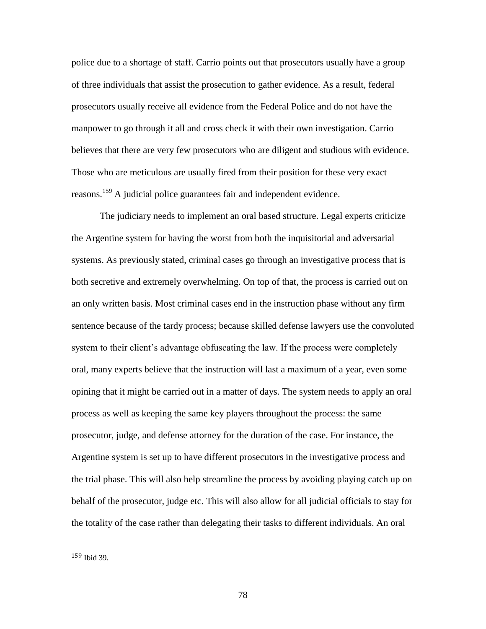police due to a shortage of staff. Carrio points out that prosecutors usually have a group of three individuals that assist the prosecution to gather evidence. As a result, federal prosecutors usually receive all evidence from the Federal Police and do not have the manpower to go through it all and cross check it with their own investigation. Carrio believes that there are very few prosecutors who are diligent and studious with evidence. Those who are meticulous are usually fired from their position for these very exact reasons.<sup>159</sup> A judicial police guarantees fair and independent evidence.

The judiciary needs to implement an oral based structure. Legal experts criticize the Argentine system for having the worst from both the inquisitorial and adversarial systems. As previously stated, criminal cases go through an investigative process that is both secretive and extremely overwhelming. On top of that, the process is carried out on an only written basis. Most criminal cases end in the instruction phase without any firm sentence because of the tardy process; because skilled defense lawyers use the convoluted system to their client's advantage obfuscating the law. If the process were completely oral, many experts believe that the instruction will last a maximum of a year, even some opining that it might be carried out in a matter of days. The system needs to apply an oral process as well as keeping the same key players throughout the process: the same prosecutor, judge, and defense attorney for the duration of the case. For instance, the Argentine system is set up to have different prosecutors in the investigative process and the trial phase. This will also help streamline the process by avoiding playing catch up on behalf of the prosecutor, judge etc. This will also allow for all judicial officials to stay for the totality of the case rather than delegating their tasks to different individuals. An oral

<sup>159</sup> Ibid 39.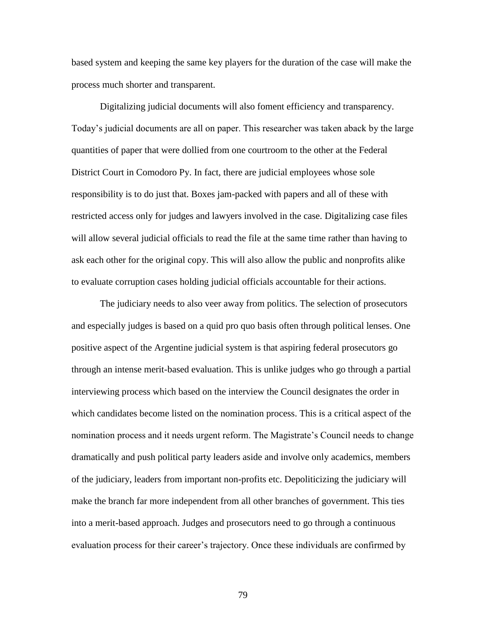based system and keeping the same key players for the duration of the case will make the process much shorter and transparent.

Digitalizing judicial documents will also foment efficiency and transparency. Today's judicial documents are all on paper. This researcher was taken aback by the large quantities of paper that were dollied from one courtroom to the other at the Federal District Court in Comodoro Py. In fact, there are judicial employees whose sole responsibility is to do just that. Boxes jam-packed with papers and all of these with restricted access only for judges and lawyers involved in the case. Digitalizing case files will allow several judicial officials to read the file at the same time rather than having to ask each other for the original copy. This will also allow the public and nonprofits alike to evaluate corruption cases holding judicial officials accountable for their actions.

The judiciary needs to also veer away from politics. The selection of prosecutors and especially judges is based on a quid pro quo basis often through political lenses. One positive aspect of the Argentine judicial system is that aspiring federal prosecutors go through an intense merit-based evaluation. This is unlike judges who go through a partial interviewing process which based on the interview the Council designates the order in which candidates become listed on the nomination process. This is a critical aspect of the nomination process and it needs urgent reform. The Magistrate's Council needs to change dramatically and push political party leaders aside and involve only academics, members of the judiciary, leaders from important non-profits etc. Depoliticizing the judiciary will make the branch far more independent from all other branches of government. This ties into a merit-based approach. Judges and prosecutors need to go through a continuous evaluation process for their career's trajectory. Once these individuals are confirmed by

79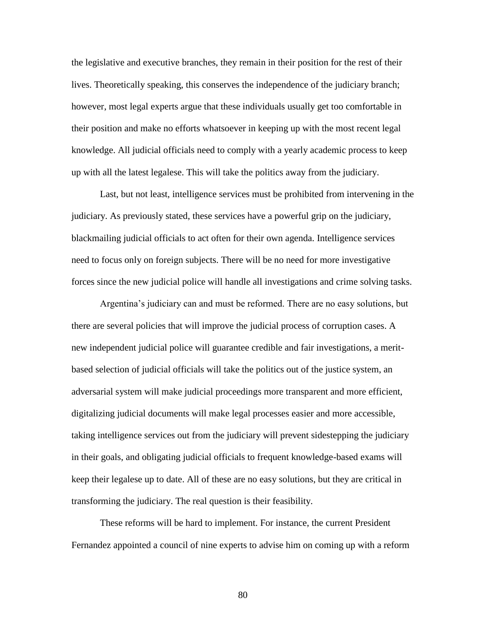the legislative and executive branches, they remain in their position for the rest of their lives. Theoretically speaking, this conserves the independence of the judiciary branch; however, most legal experts argue that these individuals usually get too comfortable in their position and make no efforts whatsoever in keeping up with the most recent legal knowledge. All judicial officials need to comply with a yearly academic process to keep up with all the latest legalese. This will take the politics away from the judiciary.

Last, but not least, intelligence services must be prohibited from intervening in the judiciary. As previously stated, these services have a powerful grip on the judiciary, blackmailing judicial officials to act often for their own agenda. Intelligence services need to focus only on foreign subjects. There will be no need for more investigative forces since the new judicial police will handle all investigations and crime solving tasks.

Argentina's judiciary can and must be reformed. There are no easy solutions, but there are several policies that will improve the judicial process of corruption cases. A new independent judicial police will guarantee credible and fair investigations, a meritbased selection of judicial officials will take the politics out of the justice system, an adversarial system will make judicial proceedings more transparent and more efficient, digitalizing judicial documents will make legal processes easier and more accessible, taking intelligence services out from the judiciary will prevent sidestepping the judiciary in their goals, and obligating judicial officials to frequent knowledge-based exams will keep their legalese up to date. All of these are no easy solutions, but they are critical in transforming the judiciary. The real question is their feasibility.

These reforms will be hard to implement. For instance, the current President Fernandez appointed a council of nine experts to advise him on coming up with a reform

80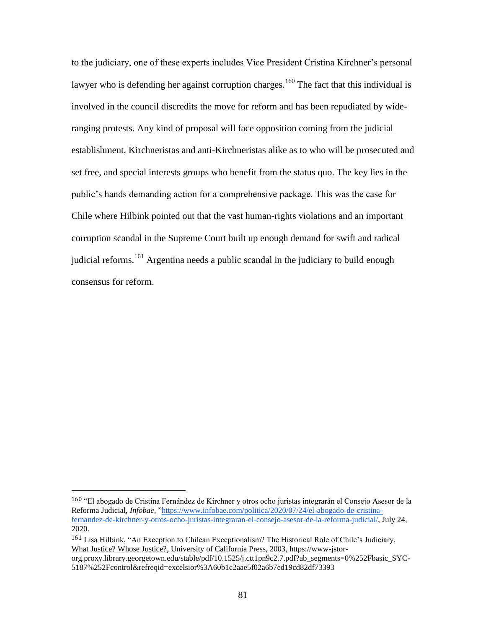to the judiciary, one of these experts includes Vice President Cristina Kirchner's personal lawyer who is defending her against corruption charges.<sup>160</sup> The fact that this individual is involved in the council discredits the move for reform and has been repudiated by wideranging protests. Any kind of proposal will face opposition coming from the judicial establishment, Kirchneristas and anti-Kirchneristas alike as to who will be prosecuted and set free, and special interests groups who benefit from the status quo. The key lies in the public's hands demanding action for a comprehensive package. This was the case for Chile where Hilbink pointed out that the vast human-rights violations and an important corruption scandal in the Supreme Court built up enough demand for swift and radical judicial reforms.<sup>161</sup> Argentina needs a public scandal in the judiciary to build enough consensus for reform.

<sup>160</sup> "El abogado de Cristina Fernández de Kirchner y otros ocho juristas integrarán el Consejo Asesor de la Reforma Judicial, *Infobae,* ["https://www.infobae.com/politica/2020/07/24/el-abogado-de-cristina](https://www.infobae.com/politica/2020/07/24/el-abogado-de-cristina-fernandez-de-kirchner-y-otros-ocho-juristas-integraran-el-consejo-asesor-de-la-reforma-judicial/)[fernandez-de-kirchner-y-otros-ocho-juristas-integraran-el-consejo-asesor-de-la-reforma-judicial/,](https://www.infobae.com/politica/2020/07/24/el-abogado-de-cristina-fernandez-de-kirchner-y-otros-ocho-juristas-integraran-el-consejo-asesor-de-la-reforma-judicial/) July 24, 2020.

<sup>161</sup> Lisa Hilbink, "An Exception to Chilean Exceptionalism? The Historical Role of Chile's Judiciary, What Justice? Whose Justice?, University of California Press, 2003, https://www-jstor-

org.proxy.library.georgetown.edu/stable/pdf/10.1525/j.ctt1pn9c2.7.pdf?ab\_segments=0%252Fbasic\_SYC-5187%252Fcontrol&refreqid=excelsior%3A60b1c2aae5f02a6b7ed19cd82df73393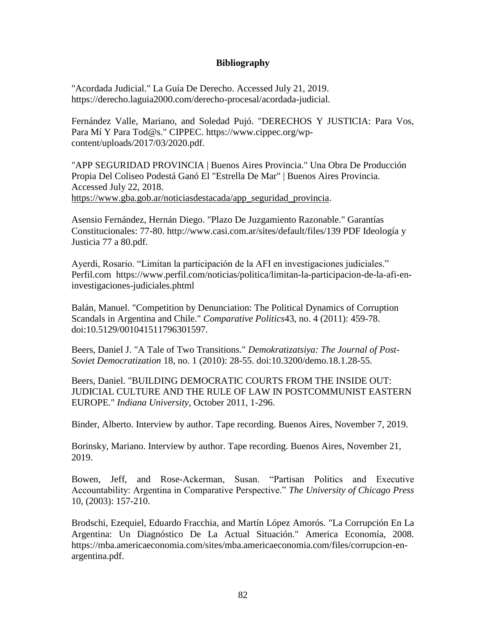## **Bibliography**

"Acordada Judicial." La Guía De Derecho. Accessed July 21, 2019. https://derecho.laguia2000.com/derecho-procesal/acordada-judicial.

Fernández Valle, Mariano, and Soledad Pujó. "DERECHOS Y JUSTICIA: Para Vos, Para Mí Y Para Tod@s." CIPPEC. https://www.cippec.org/wpcontent/uploads/2017/03/2020.pdf.

"APP SEGURIDAD PROVINCIA | Buenos Aires Provincia." Una Obra De Producción Propia Del Coliseo Podestá Ganó El "Estrella De Mar" | Buenos Aires Provincia. Accessed July 22, 2018. [https://www.gba.gob.ar/noticiasdestacada/app\\_seguridad\\_provincia.](https://www.gba.gob.ar/noticiasdestacada/app_seguridad_provincia)

Asensio Fernández, Hernán Diego. "Plazo De Juzgamiento Razonable." Garantías Constitucionales: 77-80. http://www.casi.com.ar/sites/default/files/139 PDF Ideología y Justicia 77 a 80.pdf.

Ayerdi, Rosario. "Limitan la participación de la AFI en investigaciones judiciales." Perfil.com https://www.perfil.com/noticias/politica/limitan-la-participacion-de-la-afi-eninvestigaciones-judiciales.phtml

Balán, Manuel. "Competition by Denunciation: The Political Dynamics of Corruption Scandals in Argentina and Chile." *Comparative Politics*43, no. 4 (2011): 459-78. doi:10.5129/001041511796301597.

Beers, Daniel J. "A Tale of Two Transitions." *Demokratizatsiya: The Journal of Post-Soviet Democratization* 18, no. 1 (2010): 28-55. doi:10.3200/demo.18.1.28-55.

Beers, Daniel. "BUILDING DEMOCRATIC COURTS FROM THE INSIDE OUT: JUDICIAL CULTURE AND THE RULE OF LAW IN POSTCOMMUNIST EASTERN EUROPE." *Indiana University*, October 2011, 1-296.

Binder, Alberto. Interview by author. Tape recording. Buenos Aires, November 7, 2019.

Borinsky, Mariano. Interview by author. Tape recording. Buenos Aires, November 21, 2019.

Bowen, Jeff, and Rose-Ackerman, Susan. "Partisan Politics and Executive Accountability: Argentina in Comparative Perspective." *The University of Chicago Press* 10, (2003): 157-210.

Brodschi, Ezequiel, Eduardo Fracchia, and Martín López Amorós. "La Corrupción En La Argentina: Un Diagnóstico De La Actual Situación." America Economía, 2008. https://mba.americaeconomia.com/sites/mba.americaeconomia.com/files/corrupcion-enargentina.pdf.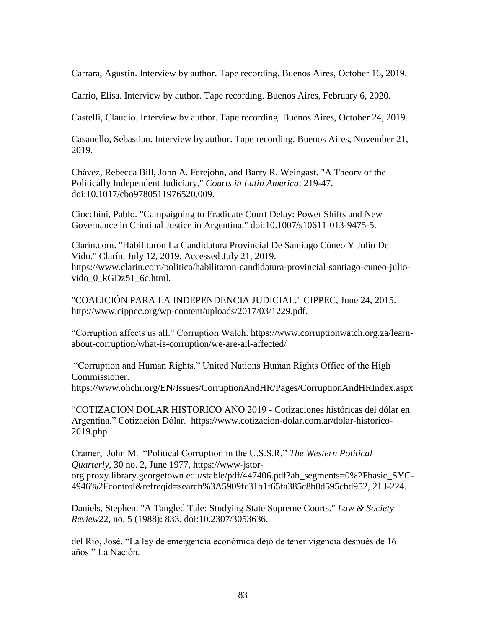Carrara, Agustin. Interview by author. Tape recording. Buenos Aires, October 16, 2019.

Carrio, Elisa. Interview by author. Tape recording. Buenos Aires, February 6, 2020.

Castelli, Claudio. Interview by author. Tape recording. Buenos Aires, October 24, 2019.

Casanello, Sebastian. Interview by author. Tape recording. Buenos Aires, November 21, 2019.

Chávez, Rebecca Bill, John A. Ferejohn, and Barry R. Weingast. "A Theory of the Politically Independent Judiciary." *Courts in Latin America*: 219-47. doi:10.1017/cbo9780511976520.009.

Ciocchini, Pablo. "Campaigning to Eradicate Court Delay: Power Shifts and New Governance in Criminal Justice in Argentina." doi:10.1007/s10611-013-9475-5.

Clarín.com. "Habilitaron La Candidatura Provincial De Santiago Cúneo Y Julio De Vido." Clarín. July 12, 2019. Accessed July 21, 2019. https://www.clarin.com/politica/habilitaron-candidatura-provincial-santiago-cuneo-juliovido\_0\_kGDz51\_6c.html.

"COALICIÓN PARA LA INDEPENDENCIA JUDICIAL." CIPPEC, June 24, 2015. http://www.cippec.org/wp-content/uploads/2017/03/1229.pdf.

"Corruption affects us all." Corruption Watch. [https://www.corruptionwatch.org.za/learn](https://www.corruptionwatch.org.za/learn-about-corruption/what-is-corruption/we-are-all-affected/)[about-corruption/what-is-corruption/we-are-all-affected/](https://www.corruptionwatch.org.za/learn-about-corruption/what-is-corruption/we-are-all-affected/)

"Corruption and Human Rights." United Nations Human Rights Office of the High Commissioner. <https://www.ohchr.org/EN/Issues/CorruptionAndHR/Pages/CorruptionAndHRIndex.aspx>

"COTIZACION DOLAR HISTORICO AÑO 2019 - Cotizaciones históricas del dólar en Argentina." Cotización Dólar. [https://www.cotizacion-dolar.com.ar/dolar-historico-](https://www.cotizacion-dolar.com.ar/dolar-historico-2019.php)[2019.php](https://www.cotizacion-dolar.com.ar/dolar-historico-2019.php)

Cramer, John M. "Political Corruption in the U.S.S.R," *The Western Political Quarterly*, 30 no. 2, June 1977, [https://www-jstor](https://www-jstor-org.proxy.library.georgetown.edu/stable/pdf/447406.pdf?ab_segments=0%2Fbasic_SYC-4946%2Fcontrol&refreqid=search%3A5909fc31b1f65fa385c8b0d595cbd952)[org.proxy.library.georgetown.edu/stable/pdf/447406.pdf?ab\\_segments=0%2Fbasic\\_SYC-](https://www-jstor-org.proxy.library.georgetown.edu/stable/pdf/447406.pdf?ab_segments=0%2Fbasic_SYC-4946%2Fcontrol&refreqid=search%3A5909fc31b1f65fa385c8b0d595cbd952)[4946%2Fcontrol&refreqid=search%3A5909fc31b1f65fa385c8b0d595cbd952,](https://www-jstor-org.proxy.library.georgetown.edu/stable/pdf/447406.pdf?ab_segments=0%2Fbasic_SYC-4946%2Fcontrol&refreqid=search%3A5909fc31b1f65fa385c8b0d595cbd952) 213-224.

Daniels, Stephen. "A Tangled Tale: Studying State Supreme Courts." *Law & Society Review*22, no. 5 (1988): 833. doi:10.2307/3053636.

del Río, José. "La ley de emergencia económica dejó de tener vigencia después de 16 años." La Nación.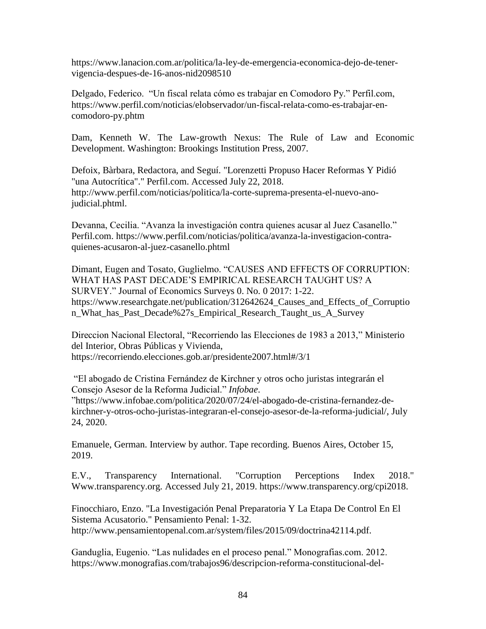[https://www.lanacion.com.ar/politica/la-ley-de-emergencia-economica-dejo-de-tener](https://www.lanacion.com.ar/politica/la-ley-de-emergencia-economica-dejo-de-tener-vigencia-despues-de-16-anos-nid2098510)[vigencia-despues-de-16-anos-nid2098510](https://www.lanacion.com.ar/politica/la-ley-de-emergencia-economica-dejo-de-tener-vigencia-despues-de-16-anos-nid2098510)

Delgado, Federico. "Un fiscal relata cómo es trabajar en Comodoro Py." Perfil.com, [https://www.perfil.com/noticias/elobservador/un-fiscal-relata-como-es-trabajar-en](https://www.perfil.com/noticias/elobservador/un-fiscal-relata-como-es-trabajar-en-comodoro-py.phtml)[comodoro-py.phtm](https://www.perfil.com/noticias/elobservador/un-fiscal-relata-como-es-trabajar-en-comodoro-py.phtml)

Dam, Kenneth W. The Law-growth Nexus: The Rule of Law and Economic Development. Washington: Brookings Institution Press, 2007.

Defoix, Bàrbara, Redactora, and Seguí. "Lorenzetti Propuso Hacer Reformas Y Pidió "una Autocrítica"." Perfil.com. Accessed July 22, 2018. http://www.perfil.com/noticias/politica/la-corte-suprema-presenta-el-nuevo-anojudicial.phtml.

Devanna, Cecilia. "Avanza la investigación contra quienes acusar al Juez Casanello." Perfil.com. [https://www.perfil.com/noticias/politica/avanza-la-investigacion-contra](https://www.perfil.com/noticias/politica/avanza-la-investigacion-contra-quienes-acusaron-al-juez-casanello.phtml)[quienes-acusaron-al-juez-casanello.phtml](https://www.perfil.com/noticias/politica/avanza-la-investigacion-contra-quienes-acusaron-al-juez-casanello.phtml)

Dimant, Eugen and Tosato, Guglielmo. "CAUSES AND EFFECTS OF CORRUPTION: WHAT HAS PAST DECADE'S EMPIRICAL RESEARCH TAUGHT US? A SURVEY." Journal of Economics Surveys 0. No. 0 2017: 1-22. https://www.researchgate.net/publication/312642624 Causes and Effects of Corruptio n\_What\_has\_Past\_Decade%27s\_Empirical\_Research\_Taught\_us\_A\_Survey

Direccion Nacional Electoral, "Recorriendo las Elecciones de 1983 a 2013," Ministerio del Interior, Obras Públicas y Vivienda, <https://recorriendo.elecciones.gob.ar/presidente2007.html#/3/1>

"El abogado de Cristina Fernández de Kirchner y otros ocho juristas integrarán el Consejo Asesor de la Reforma Judicial." *Infobae*. ["https://www.infobae.com/politica/2020/07/24/el-abogado-de-cristina-fernandez-de](https://www.infobae.com/politica/2020/07/24/el-abogado-de-cristina-fernandez-de-kirchner-y-otros-ocho-juristas-integraran-el-consejo-asesor-de-la-reforma-judicial/)[kirchner-y-otros-ocho-juristas-integraran-el-consejo-asesor-de-la-reforma-judicial/,](https://www.infobae.com/politica/2020/07/24/el-abogado-de-cristina-fernandez-de-kirchner-y-otros-ocho-juristas-integraran-el-consejo-asesor-de-la-reforma-judicial/) July 24, 2020.

Emanuele, German. Interview by author. Tape recording. Buenos Aires, October 15, 2019.

E.V., Transparency International. "Corruption Perceptions Index 2018." Www.transparency.org. Accessed July 21, 2019. https://www.transparency.org/cpi2018.

Finocchiaro, Enzo. "La Investigación Penal Preparatoria Y La Etapa De Control En El Sistema Acusatorio." Pensamiento Penal: 1-32. http://www.pensamientopenal.com.ar/system/files/2015/09/doctrina42114.pdf.

Ganduglia, Eugenio. "Las nulidades en el proceso penal." Monografias.com. 2012. https://www.monografias.com/trabajos96/descripcion-reforma-constitucional-del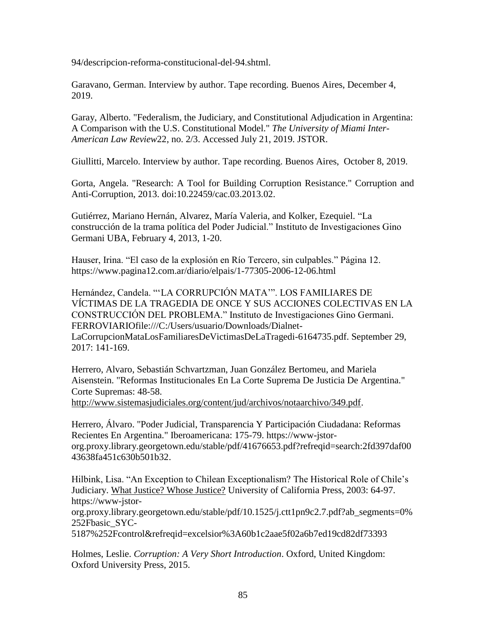94/descripcion-reforma-constitucional-del-94.shtml.

Garavano, German. Interview by author. Tape recording. Buenos Aires, December 4, 2019.

Garay, Alberto. "Federalism, the Judiciary, and Constitutional Adjudication in Argentina: A Comparison with the U.S. Constitutional Model." *The University of Miami Inter-American Law Review*22, no. 2/3. Accessed July 21, 2019. JSTOR.

Giullitti, Marcelo. Interview by author. Tape recording. Buenos Aires, October 8, 2019.

Gorta, Angela. "Research: A Tool for Building Corruption Resistance." Corruption and Anti-Corruption, 2013. doi:10.22459/cac.03.2013.02.

Gutiérrez, Mariano Hernán, Alvarez, María Valeria, and Kolker, Ezequiel. "La construcción de la trama política del Poder Judicial." Instituto de Investigaciones Gino Germani UBA, February 4, 2013, 1-20.

Hauser, Irina. "El caso de la explosión en Río Tercero, sin culpables." Página 12. <https://www.pagina12.com.ar/diario/elpais/1-77305-2006-12-06.html>

Hernández, Candela. "'LA CORRUPCIÓN MATA'". LOS FAMILIARES DE VÍCTIMAS DE LA TRAGEDIA DE ONCE Y SUS ACCIONES COLECTIVAS EN LA CONSTRUCCIÓN DEL PROBLEMA." Instituto de Investigaciones Gino Germani. FERROVIARIOfile:///C:/Users/usuario/Downloads/Dialnet-LaCorrupcionMataLosFamiliaresDeVictimasDeLaTragedi-6164735.pdf. September 29, 2017: 141-169.

Herrero, Alvaro, Sebastián Schvartzman, Juan González Bertomeu, and Mariela Aisenstein. "Reformas Institucionales En La Corte Suprema De Justicia De Argentina." Corte Supremas: 48-58.

[http://www.sistemasjudiciales.org/content/jud/archivos/notaarchivo/349.pdf.](http://www.sistemasjudiciales.org/content/jud/archivos/notaarchivo/349.pdf)

Herrero, Álvaro. "Poder Judicial, Transparencia Y Participación Ciudadana: Reformas Recientes En Argentina." Iberoamericana: 175-79. https://www-jstororg.proxy.library.georgetown.edu/stable/pdf/41676653.pdf?refreqid=search:2fd397daf00 43638fa451c630b501b32.

Hilbink, Lisa. "An Exception to Chilean Exceptionalism? The Historical Role of Chile's Judiciary. What Justice? Whose Justice? University of California Press, 2003: 64-97. https://www-jstor-

org.proxy.library.georgetown.edu/stable/pdf/10.1525/j.ctt1pn9c2.7.pdf?ab\_segments=0% 252Fbasic\_SYC-

5187%252Fcontrol&refreqid=excelsior%3A60b1c2aae5f02a6b7ed19cd82df73393

Holmes, Leslie. *Corruption: A Very Short Introduction*. Oxford, United Kingdom: Oxford University Press, 2015.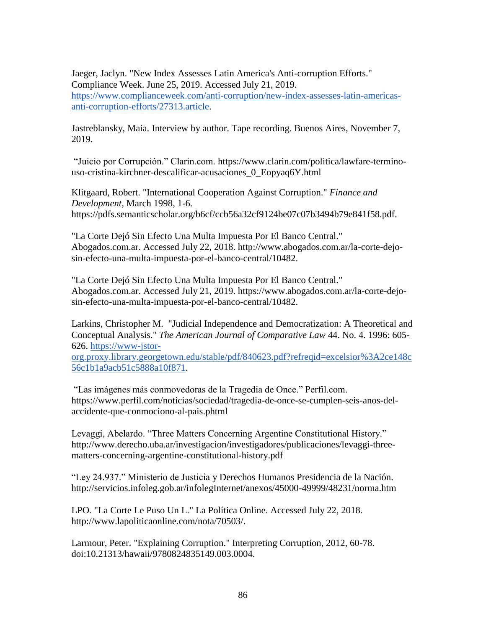Jaeger, Jaclyn. "New Index Assesses Latin America's Anti-corruption Efforts." Compliance Week. June 25, 2019. Accessed July 21, 2019. [https://www.complianceweek.com/anti-corruption/new-index-assesses-latin-americas](https://www.complianceweek.com/anti-corruption/new-index-assesses-latin-americas-anti-corruption-efforts/27313.article)[anti-corruption-efforts/27313.article.](https://www.complianceweek.com/anti-corruption/new-index-assesses-latin-americas-anti-corruption-efforts/27313.article)

Jastreblansky, Maia. Interview by author. Tape recording. Buenos Aires, November 7, 2019.

"Juicio por Corrupción." Clarin.com. [https://www.clarin.com/politica/lawfare-termino](https://www.clarin.com/politica/lawfare-termino-uso-cristina-kirchner-descalificar-acusaciones_0_Eopyaq6Y.html)[uso-cristina-kirchner-descalificar-acusaciones\\_0\\_Eopyaq6Y.html](https://www.clarin.com/politica/lawfare-termino-uso-cristina-kirchner-descalificar-acusaciones_0_Eopyaq6Y.html)

Klitgaard, Robert. "International Cooperation Against Corruption." *Finance and Development*, March 1998, 1-6. https://pdfs.semanticscholar.org/b6cf/ccb56a32cf9124be07c07b3494b79e841f58.pdf.

"La Corte Dejó Sin Efecto Una Multa Impuesta Por El Banco Central." Abogados.com.ar. Accessed July 22, 2018. http://www.abogados.com.ar/la-corte-dejosin-efecto-una-multa-impuesta-por-el-banco-central/10482.

"La Corte Dejó Sin Efecto Una Multa Impuesta Por El Banco Central." Abogados.com.ar. Accessed July 21, 2019. https://www.abogados.com.ar/la-corte-dejosin-efecto-una-multa-impuesta-por-el-banco-central/10482.

Larkins, Christopher M. "Judicial Independence and Democratization: A Theoretical and Conceptual Analysis." *The American Journal of Comparative Law* 44. No. 4. 1996: 605- 626. [https://www-jstor-](https://www-jstor-org.proxy.library.georgetown.edu/stable/pdf/840623.pdf?refreqid=excelsior%3A2ce148c56c1b1a9acb51c5888a10f871)

[org.proxy.library.georgetown.edu/stable/pdf/840623.pdf?refreqid=excelsior%3A2ce148c](https://www-jstor-org.proxy.library.georgetown.edu/stable/pdf/840623.pdf?refreqid=excelsior%3A2ce148c56c1b1a9acb51c5888a10f871) [56c1b1a9acb51c5888a10f871.](https://www-jstor-org.proxy.library.georgetown.edu/stable/pdf/840623.pdf?refreqid=excelsior%3A2ce148c56c1b1a9acb51c5888a10f871)

"Las imágenes más conmovedoras de la Tragedia de Once." Perfil.com. [https://www.perfil.com/noticias/sociedad/tragedia-de-once-se-cumplen-seis-anos-del](https://www.perfil.com/noticias/sociedad/tragedia-de-once-se-cumplen-seis-anos-del-accidente-que-conmociono-al-pais.phtml)[accidente-que-conmociono-al-pais.phtml](https://www.perfil.com/noticias/sociedad/tragedia-de-once-se-cumplen-seis-anos-del-accidente-que-conmociono-al-pais.phtml)

Levaggi, Abelardo. "Three Matters Concerning Argentine Constitutional History." [http://www.derecho.uba.ar/investigacion/investigadores/publicaciones/levaggi-three](http://www.derecho.uba.ar/investigacion/investigadores/publicaciones/levaggi-three-matters-concerning-argentine-constitutional-history.pdf)[matters-concerning-argentine-constitutional-history.pdf](http://www.derecho.uba.ar/investigacion/investigadores/publicaciones/levaggi-three-matters-concerning-argentine-constitutional-history.pdf)

"Ley 24.937." Ministerio de Justicia y Derechos Humanos Presidencia de la Nación. <http://servicios.infoleg.gob.ar/infolegInternet/anexos/45000-49999/48231/norma.htm>

LPO. "La Corte Le Puso Un L." La Política Online. Accessed July 22, 2018. http://www.lapoliticaonline.com/nota/70503/.

Larmour, Peter. "Explaining Corruption." Interpreting Corruption, 2012, 60-78. doi:10.21313/hawaii/9780824835149.003.0004.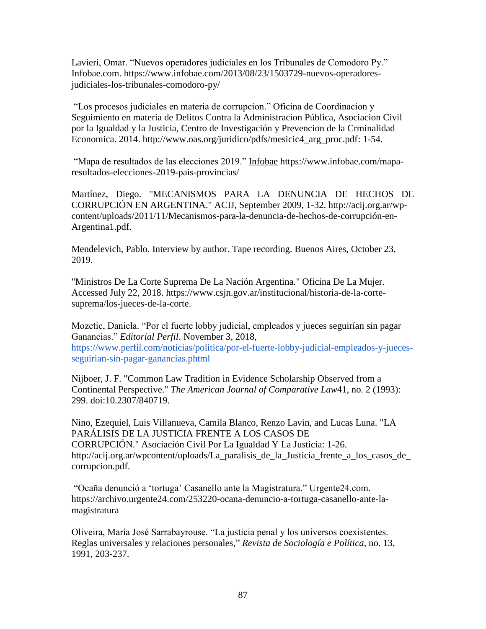Lavieri, Omar. "Nuevos operadores judiciales en los Tribunales de Comodoro Py." Infobae.com. [https://www.infobae.com/2013/08/23/1503729-nuevos-operadores](https://www.infobae.com/2013/08/23/1503729-nuevos-operadores-judiciales-los-tribunales-comodoro-py/)[judiciales-los-tribunales-comodoro-py/](https://www.infobae.com/2013/08/23/1503729-nuevos-operadores-judiciales-los-tribunales-comodoro-py/)

"Los procesos judiciales en materia de corrupcion." Oficina de Coordinacion y Seguimiento en materia de Delitos Contra la Administracion Pública, Asociacion Civil por la Igualdad y la Justicia, Centro de Investigación y Prevencion de la Crminalidad Economica. 2014. [http://www.oas.org/juridico/pdfs/mesicic4\\_arg\\_proc.pdf:](http://www.oas.org/juridico/pdfs/mesicic4_arg_proc.pdf) 1-54.

"Mapa de resultados de las elecciones 2019." Infobae [https://www.infobae.com/mapa](https://www.infobae.com/mapa-resultados-elecciones-2019-pais-provincias/)[resultados-elecciones-2019-pais-provincias/](https://www.infobae.com/mapa-resultados-elecciones-2019-pais-provincias/)

Martínez, Diego. "MECANISMOS PARA LA DENUNCIA DE HECHOS DE CORRUPCIÓN EN ARGENTINA." ACIJ, September 2009, 1-32. http://acij.org.ar/wpcontent/uploads/2011/11/Mecanismos-para-la-denuncia-de-hechos-de-corrupción-en-Argentina1.pdf.

Mendelevich, Pablo. Interview by author. Tape recording. Buenos Aires, October 23, 2019.

"Ministros De La Corte Suprema De La Nación Argentina." Oficina De La Mujer. Accessed July 22, 2018. https://www.csjn.gov.ar/institucional/historia-de-la-cortesuprema/los-jueces-de-la-corte.

Mozetic, Daniela. "Por el fuerte lobby judicial, empleados y jueces seguirían sin pagar Ganancias." *Editorial Perfil*. November 3, 2018, [https://www.perfil.com/noticias/politica/por-el-fuerte-lobby-judicial-empleados-y-jueces](https://www.perfil.com/noticias/politica/por-el-fuerte-lobby-judicial-empleados-y-jueces-seguirian-sin-pagar-ganancias.phtml)[seguirian-sin-pagar-ganancias.phtml](https://www.perfil.com/noticias/politica/por-el-fuerte-lobby-judicial-empleados-y-jueces-seguirian-sin-pagar-ganancias.phtml)

Nijboer, J. F. "Common Law Tradition in Evidence Scholarship Observed from a Continental Perspective." *The American Journal of Comparative Law*41, no. 2 (1993): 299. doi:10.2307/840719.

Nino, Ezequiel, Luis Villanueva, Camila Blanco, Renzo Lavin, and Lucas Luna. "LA PARÁLISIS DE LA JUSTICIA FRENTE A LOS CASOS DE CORRUPCIÓN." Asociación Civil Por La Igualdad Y La Justicia: 1-26. http://acij.org.ar/wpcontent/uploads/La\_paralisis\_de\_la\_Justicia\_frente\_a\_los\_casos\_de\_ corrupcion.pdf.

"Ocaña denunció a 'tortuga' Casanello ante la Magistratura." Urgente24.com. [https://archivo.urgente24.com/253220-ocana-denuncio-a-tortuga-casanello-ante-la](https://archivo.urgente24.com/253220-ocana-denuncio-a-tortuga-casanello-ante-la-magistratura)[magistratura](https://archivo.urgente24.com/253220-ocana-denuncio-a-tortuga-casanello-ante-la-magistratura)

Oliveira, María José Sarrabayrouse. "La justicia penal y los universos coexistentes. Reglas universales y relaciones personales," *Revista de Sociología e Política*, no. 13, 1991, 203-237.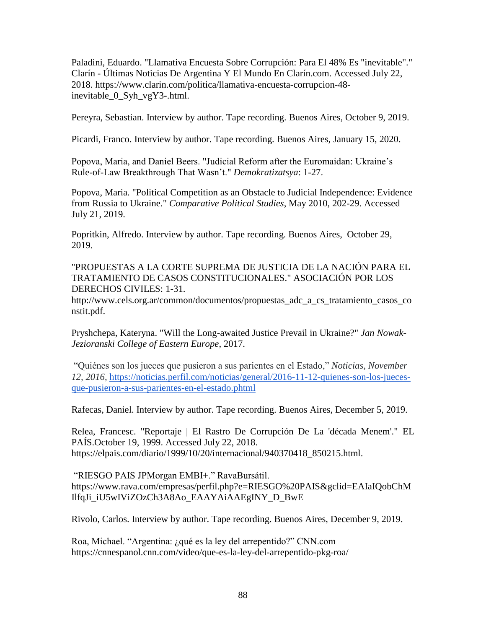Paladini, Eduardo. "Llamativa Encuesta Sobre Corrupción: Para El 48% Es "inevitable"." Clarín - Últimas Noticias De Argentina Y El Mundo En Clarín.com. Accessed July 22, 2018. https://www.clarin.com/politica/llamativa-encuesta-corrupcion-48 inevitable\_0\_Syh\_vgY3-.html.

Pereyra, Sebastian. Interview by author. Tape recording. Buenos Aires, October 9, 2019.

Picardi, Franco. Interview by author. Tape recording. Buenos Aires, January 15, 2020.

Popova, Maria, and Daniel Beers. "Judicial Reform after the Euromaidan: Ukraine's Rule-of-Law Breakthrough That Wasn't." *Demokratizatsya*: 1-27.

Popova, Maria. "Political Competition as an Obstacle to Judicial Independence: Evidence from Russia to Ukraine." *Comparative Political Studies*, May 2010, 202-29. Accessed July 21, 2019.

Popritkin, Alfredo. Interview by author. Tape recording. Buenos Aires, October 29, 2019.

"PROPUESTAS A LA CORTE SUPREMA DE JUSTICIA DE LA NACIÓN PARA EL TRATAMIENTO DE CASOS CONSTITUCIONALES." ASOCIACIÓN POR LOS DERECHOS CIVILES: 1-31.

http://www.cels.org.ar/common/documentos/propuestas\_adc\_a\_cs\_tratamiento\_casos\_co nstit.pdf.

Pryshchepa, Kateryna. "Will the Long-awaited Justice Prevail in Ukraine?" *Jan Nowak-Jezioranski College of Eastern Europe*, 2017.

"Quiénes son los jueces que pusieron a sus parientes en el Estado," *Noticias, November 12, 2016,* [https://noticias.perfil.com/noticias/general/2016-11-12-quienes-son-los-jueces](https://noticias.perfil.com/noticias/general/2016-11-12-quienes-son-los-jueces-que-pusieron-a-sus-parientes-en-el-estado.phtml)[que-pusieron-a-sus-parientes-en-el-estado.phtml](https://noticias.perfil.com/noticias/general/2016-11-12-quienes-son-los-jueces-que-pusieron-a-sus-parientes-en-el-estado.phtml)

Rafecas, Daniel. Interview by author. Tape recording. Buenos Aires, December 5, 2019.

Relea, Francesc. "Reportaje | El Rastro De Corrupción De La 'década Menem'." EL PAÍS.October 19, 1999. Accessed July 22, 2018. https://elpais.com/diario/1999/10/20/internacional/940370418\_850215.html.

"RIESGO PAIS JPMorgan EMBI+." RavaBursátil. [https://www.rava.com/empresas/perfil.php?e=RIESGO%20PAIS&gclid=EAIaIQobChM](https://www.rava.com/empresas/perfil.php?e=RIESGO%20PAIS&gclid=EAIaIQobChMIlfqJi_iU5wIViZOzCh3A8Ao_EAAYAiAAEgINY_D_BwE) [IlfqJi\\_iU5wIViZOzCh3A8Ao\\_EAAYAiAAEgINY\\_D\\_BwE](https://www.rava.com/empresas/perfil.php?e=RIESGO%20PAIS&gclid=EAIaIQobChMIlfqJi_iU5wIViZOzCh3A8Ao_EAAYAiAAEgINY_D_BwE)

Rivolo, Carlos. Interview by author. Tape recording. Buenos Aires, December 9, 2019.

Roa, Michael. "Argentina: ¿qué es la ley del arrepentido?" CNN.com <https://cnnespanol.cnn.com/video/que-es-la-ley-del-arrepentido-pkg-roa/>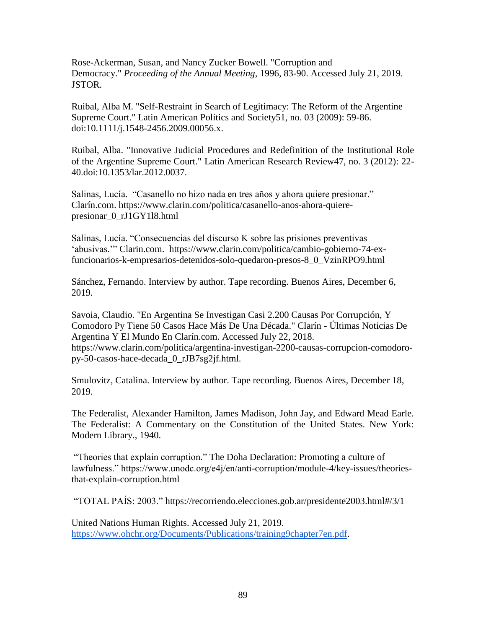Rose-Ackerman, Susan, and Nancy Zucker Bowell. "Corruption and Democracy." *Proceeding of the Annual Meeting*, 1996, 83-90. Accessed July 21, 2019. JSTOR.

Ruibal, Alba M. "Self-Restraint in Search of Legitimacy: The Reform of the Argentine Supreme Court." Latin American Politics and Society51, no. 03 (2009): 59-86. doi:10.1111/j.1548-2456.2009.00056.x.

Ruibal, Alba. "Innovative Judicial Procedures and Redefinition of the Institutional Role of the Argentine Supreme Court." Latin American Research Review47, no. 3 (2012): 22- 40.doi:10.1353/lar.2012.0037.

Salinas, Lucía. "Casanello no hizo nada en tres años y ahora quiere presionar." Clarín.com. [https://www.clarin.com/politica/casanello-anos-ahora-quiere](https://www.clarin.com/politica/casanello-anos-ahora-quiere-presionar_0_rJ1GY1l8.html)[presionar\\_0\\_rJ1GY1l8.html](https://www.clarin.com/politica/casanello-anos-ahora-quiere-presionar_0_rJ1GY1l8.html)

Salinas, Lucía. "Consecuencias del discurso K sobre las prisiones preventivas 'abusivas.'" Clarin.com. [https://www.clarin.com/politica/cambio-gobierno-74-ex](https://www.clarin.com/politica/cambio-gobierno-74-ex-funcionarios-k-empresarios-detenidos-solo-quedaron-presos-8_0_VzinRPO9.html)[funcionarios-k-empresarios-detenidos-solo-quedaron-presos-8\\_0\\_VzinRPO9.html](https://www.clarin.com/politica/cambio-gobierno-74-ex-funcionarios-k-empresarios-detenidos-solo-quedaron-presos-8_0_VzinRPO9.html)

Sánchez, Fernando. Interview by author. Tape recording. Buenos Aires, December 6, 2019.

Savoia, Claudio. "En Argentina Se Investigan Casi 2.200 Causas Por Corrupción, Y Comodoro Py Tiene 50 Casos Hace Más De Una Década." Clarín - Últimas Noticias De Argentina Y El Mundo En Clarín.com. Accessed July 22, 2018. https://www.clarin.com/politica/argentina-investigan-2200-causas-corrupcion-comodoropy-50-casos-hace-decada\_0\_rJB7sg2jf.html.

Smulovitz, Catalina. Interview by author. Tape recording. Buenos Aires, December 18, 2019.

The Federalist, Alexander Hamilton, James Madison, John Jay, and Edward Mead Earle. The Federalist: A Commentary on the Constitution of the United States. New York: Modern Library., 1940.

"Theories that explain corruption." The Doha Declaration: Promoting a culture of lawfulness." https://www.unodc.org/e4j/en/anti-corruption/module-4/key-issues/theoriesthat-explain-corruption.html

"TOTAL PAÍS: 2003."<https://recorriendo.elecciones.gob.ar/presidente2003.html#/3/1>

United Nations Human Rights. Accessed July 21, 2019. [https://www.ohchr.org/Documents/Publications/training9chapter7en.pdf.](https://www.ohchr.org/Documents/Publications/training9chapter7en.pdf)